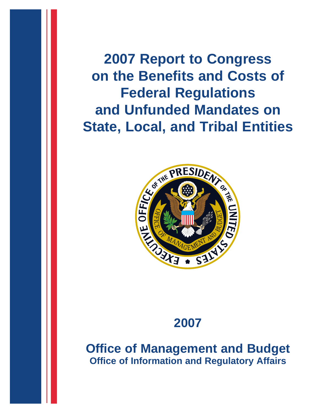**2007 Report to Congress on the Benefits and Costs of Federal Regulations and Unfunded Mandates on State, Local, and Tribal Entities**



# **2007**

**Office of Management and Budget Office of Information and Regulatory Affairs**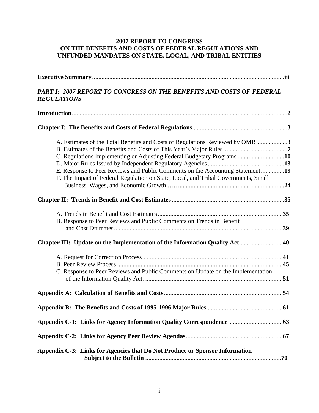# **2007 REPORT TO CONGRESS ON THE BENEFITS AND COSTS OF FEDERAL REGULATIONS AND UNFUNDED MANDATES ON STATE, LOCAL, AND TRIBAL ENTITIES**

| PART I: 2007 REPORT TO CONGRESS ON THE BENEFITS AND COSTS OF FEDERAL<br><b>REGULATIONS</b>                                                                          |  |
|---------------------------------------------------------------------------------------------------------------------------------------------------------------------|--|
|                                                                                                                                                                     |  |
|                                                                                                                                                                     |  |
| A. Estimates of the Total Benefits and Costs of Regulations Reviewed by OMB3                                                                                        |  |
| C. Regulations Implementing or Adjusting Federal Budgetary Programs 10                                                                                              |  |
| E. Response to Peer Reviews and Public Comments on the Accounting Statement19<br>F. The Impact of Federal Regulation on State, Local, and Tribal Governments, Small |  |
|                                                                                                                                                                     |  |
| B. Response to Peer Reviews and Public Comments on Trends in Benefit                                                                                                |  |
|                                                                                                                                                                     |  |
|                                                                                                                                                                     |  |
| C. Response to Peer Reviews and Public Comments on Update on the Implementation                                                                                     |  |
|                                                                                                                                                                     |  |
|                                                                                                                                                                     |  |
|                                                                                                                                                                     |  |
|                                                                                                                                                                     |  |
| Appendix C-3: Links for Agencies that Do Not Produce or Sponsor Information                                                                                         |  |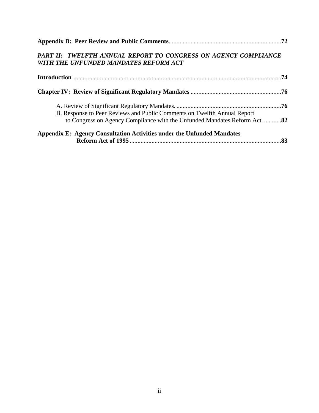| PART II: TWELFTH ANNUAL REPORT TO CONGRESS ON AGENCY COMPLIANCE<br>WITH THE UNFUNDED MANDATES REFORM ACT                                               |  |
|--------------------------------------------------------------------------------------------------------------------------------------------------------|--|
|                                                                                                                                                        |  |
|                                                                                                                                                        |  |
| B. Response to Peer Reviews and Public Comments on Twelfth Annual Report<br>to Congress on Agency Compliance with the Unfunded Mandates Reform Act. 82 |  |
| Appendix E: Agency Consultation Activities under the Unfunded Mandates                                                                                 |  |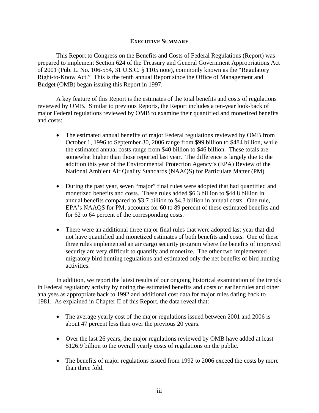# **EXECUTIVE SUMMARY**

This Report to Congress on the Benefits and Costs of Federal Regulations (Report) was prepared to implement Section 624 of the Treasury and General Government Appropriations Act of 2001 (Pub. L. No. 106-554, 31 U.S.C. § 1105 note), commonly known as the "Regulatory Right-to-Know Act." This is the tenth annual Report since the Office of Management and Budget (OMB) began issuing this Report in 1997.

A key feature of this Report is the estimates of the total benefits and costs of regulations reviewed by OMB. Similar to previous Reports, the Report includes a ten-year look-back of major Federal regulations reviewed by OMB to examine their quantified and monetized benefits and costs:

- The estimated annual benefits of major Federal regulations reviewed by OMB from October 1, 1996 to September 30, 2006 range from \$99 billion to \$484 billion, while the estimated annual costs range from \$40 billion to \$46 billion. These totals are somewhat higher than those reported last year. The difference is largely due to the addition this year of the Environmental Protection Agency's (EPA) Review of the National Ambient Air Quality Standards (NAAQS) for Particulate Matter (PM).
- During the past year, seven "major" final rules were adopted that had quantified and monetized benefits and costs. These rules added \$6.3 billion to \$44.8 billion in annual benefits compared to \$3.7 billion to \$4.3 billion in annual costs. One rule, EPA's NAAQS for PM, accounts for 60 to 89 percent of these estimated benefits and for 62 to 64 percent of the corresponding costs.
- There were an additional three major final rules that were adopted last year that did not have quantified and monetized estimates of both benefits and costs. One of these three rules implemented an air cargo security program where the benefits of improved security are very difficult to quantify and monetize. The other two implemented migratory bird hunting regulations and estimated only the net benefits of bird hunting activities.

In addition, we report the latest results of our ongoing historical examination of the trends in Federal regulatory activity by noting the estimated benefits and costs of earlier rules and other analyses as appropriate back to 1992 and additional cost data for major rules dating back to 1981. As explained in Chapter II of this Report, the data reveal that:

- The average yearly cost of the major regulations issued between 2001 and 2006 is about 47 percent less than over the previous 20 years.
- Over the last 26 years, the major regulations reviewed by OMB have added at least \$126.9 billion to the overall yearly costs of regulations on the public.
- The benefits of major regulations issued from 1992 to 2006 exceed the costs by more than three fold.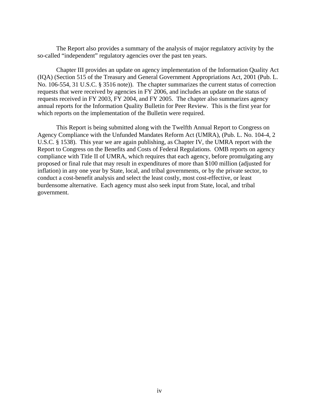The Report also provides a summary of the analysis of major regulatory activity by the so-called "independent" regulatory agencies over the past ten years.

Chapter III provides an update on agency implementation of the Information Quality Act (IQA) (Section 515 of the Treasury and General Government Appropriations Act, 2001 (Pub. L. No. 106-554, 31 U.S.C. § 3516 note)). The chapter summarizes the current status of correction requests that were received by agencies in FY 2006, and includes an update on the status of requests received in FY 2003, FY 2004, and FY 2005. The chapter also summarizes agency annual reports for the Information Quality Bulletin for Peer Review. This is the first year for which reports on the implementation of the Bulletin were required.

This Report is being submitted along with the Twelfth Annual Report to Congress on Agency Compliance with the Unfunded Mandates Reform Act (UMRA), (Pub. L. No. 104-4, 2 U.S.C. § 1538). This year we are again publishing, as Chapter IV, the UMRA report with the Report to Congress on the Benefits and Costs of Federal Regulations. OMB reports on agency compliance with Title II of UMRA, which requires that each agency, before promulgating any proposed or final rule that may result in expenditures of more than \$100 million (adjusted for inflation) in any one year by State, local, and tribal governments, or by the private sector, to conduct a cost-benefit analysis and select the least costly, most cost-effective, or least burdensome alternative. Each agency must also seek input from State, local, and tribal government.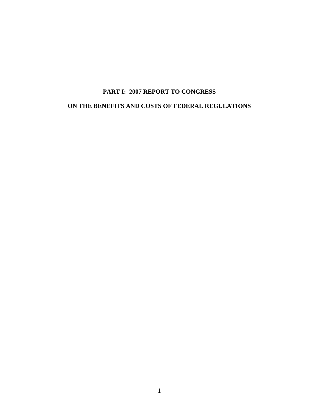# **PART I: 2007 REPORT TO CONGRESS ON THE BENEFITS AND COSTS OF FEDERAL REGULATIONS**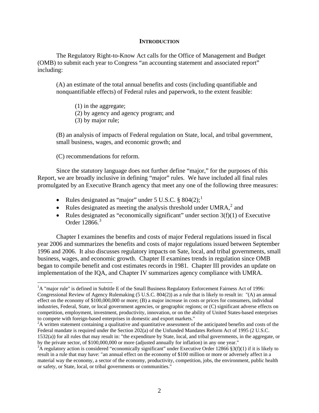## **INTRODUCTION**

The Regulatory Right-to-Know Act calls for the Office of Management and Budget (OMB) to submit each year to Congress "an accounting statement and associated report" including:

(A) an estimate of the total annual benefits and costs (including quantifiable and nonquantifiable effects) of Federal rules and paperwork, to the extent feasible:

(1) in the aggregate;

- (2) by agency and agency program; and
- (3) by major rule;

(B) an analysis of impacts of Federal regulation on State, local, and tribal government, small business, wages, and economic growth; and

(C) recommendations for reform.

 $\overline{a}$ 

Since the statutory language does not further define "major," for the purposes of this Report, we are broadly inclusive in defining "major" rules. We have included all final rules promulgated by an Executive Branch agency that meet any one of the following three measures:

- Rules designated as "major" under  $5 \text{ U.S.C. }$  \$804(2);<sup>[1](#page-6-0)</sup>
- Rules designated as meeting the analysis threshold under UMRA, $<sup>2</sup>$  $<sup>2</sup>$  $<sup>2</sup>$  and</sup>
- Rules designated as "economically significant" under section  $3(f)(1)$  of Executive Order 12866.<sup>[3](#page-6-2)</sup>

Chapter I examines the benefits and costs of major Federal regulations issued in fiscal year 2006 and summarizes the benefits and costs of major regulations issued between September 1996 and 2006. It also discusses regulatory impacts on Sate, local, and tribal governments, small business, wages, and economic growth. Chapter II examines trends in regulation since OMB began to compile benefit and cost estimates records in 1981. Chapter III provides an update on implementation of the IQA, and Chapter IV summarizes agency compliance with UMRA.

<span id="page-6-0"></span><sup>&</sup>lt;sup>1</sup>A "major rule" is defined in Subtitle E of the Small Business Regulatory Enforcement Fairness Act of 1996: Congressional Review of Agency Rulemaking (5 U.S.C. 804(2)) as a rule that is likely to result in: "(A) an annual effect on the economy of \$100,000,000 or more; (B) a major increase in costs or prices for consumers, individual industries, Federal, State, or local government agencies, or geographic regions; or (C) significant adverse effects on competition, employment, investment, productivity, innovation, or on the ability of United States-based enterprises to compete with foreign-based enterprises in domestic and export markets."

<span id="page-6-1"></span><sup>&</sup>lt;sup>2</sup>A written statement containing a qualitative and quantitative assessment of the anticipated benefits and costs of the Federal mandate is required under the Section 202(a) of the Unfunded Mandates Reform Act of 1995 (2 U.S.C. 1532(a)) for all rules that may result in: "the expenditure by State, local, and tribal governments, in the aggregate, or

by the private sector, of \$100,000,000 or more (adjusted annually for inflation) in any one year."

<span id="page-6-2"></span> $3A$  regulatory action is considered "economically significant" under Executive Order 12866 §3(f)(1) if it is likely to result in a rule that may have: "an annual effect on the economy of \$100 million or more or adversely affect in a material way the economy, a sector of the economy, productivity, competition, jobs, the environment, public health or safety, or State, local, or tribal governments or communities."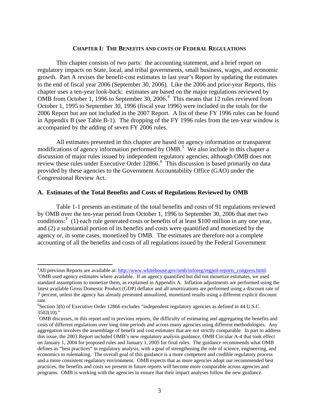## **CHAPTER I: THE BENEFITS AND COSTS OF FEDERAL REGULATIONS**

This chapter consists of two parts: the accounting statement, and a brief report on regulatory impacts on State, local, and tribal governments, small business, wages, and economic growth. Part A revises the benefit-cost estimates in last year's Report by updating the estimates to the end of fiscal year 2006 (September 30, 2006). Like the 2006 and prior-year Reports, this chapter uses a ten-year look-back: estimates are based on the major regulations reviewed by OMB from October 1, 1996 to September 30, 2006. $4$  This means that 12 rules reviewed from October 1, 1995 to September 30, 1996 (fiscal year 1996) were included in the totals for the 2006 Report but are not included in the 2007 Report. A list of these FY 1996 rules can be found in Appendix B (see Table B-1). The dropping of the FY 1996 rules from the ten-year window is accompanied by the adding of seven FY 2006 rules.

All estimates presented in this chapter are based on agency information or transparent modifications of agency information performed by  $OMB$ <sup>[5](#page-7-1)</sup>. We also include in this chapter a discussion of major rules issued by independent regulatory agencies, although OMB does not review these rules under Executive Order 128[6](#page-7-2)6.<sup>6</sup> This discussion is based primarily on data provided by these agencies to the Government Accountability Office (GAO) under the Congressional Review Act.

# **A. Estimates of the Total Benefits and Costs of Regulations Reviewed by OMB**

Table 1-1 presents an estimate of the total benefits and costs of 91 regulations reviewed by OMB over the ten-year period from October 1, 1996 to September 30, 2006 that met two conditions:<sup>[7](#page-7-3)</sup> (1) each rule generated costs or benefits of at least \$100 million in any one year, and (2) a substantial portion of its benefits and costs were quantified and monetized by the agency or, in some cases, monetized by OMB. The estimates are therefore not a complete accounting of all the benefits and costs of all regulations issued by the Federal Government

 $\overline{a}$ 

<span id="page-7-0"></span><sup>&</sup>lt;sup>4</sup>All previous Reports are available at: <u>[http://www.whitehouse.gov/omb/inforeg/regpol-reports\\_congress.html](http://www.whitehouse.gov/omb/inforeg/regpol-reports_congress.html)</u>. 5<br><sup>5</sup>OMB used agapay actimates where available. If an agapay quantified by did not manatize estimates, we used

<span id="page-7-1"></span><sup>&</sup>lt;sup>5</sup>OMB used agency estimates where available. If an agency quantified but did not monetize estimates, we used standard assumptions to monetize them, as explained in Appendix A. Inflation adjustments are performed using the latest available Gross Domestic Product (GDP) deflator and all amortizations are performed using a discount rate of 7 percent, unless the agency has already presented annualized, monetized results using a different explicit discount rate.

<span id="page-7-2"></span><sup>&</sup>lt;sup>6</sup>Section 3(b) of Executive Order 12866 excludes "independent regulatory agencies as defined in 44 U.S.C. 3502(10)."

<span id="page-7-3"></span> $7$ OMB discusses, in this report and in previous reports, the difficulty of estimating and aggregating the benefits and costs of different regulations over long time periods and across many agencies using different methodologies. Any aggregation involves the assemblage of benefit and cost estimates that are not strictly comparable. In part to address this issue, the 2003 Report included OMB's new regulatory analysis guidance, OMB Circular A-4 that took effect on January 1, 2004 for proposed rules and January 1, 2005 for final rules. The guidance recommends what OMB defines as "best practices" in regulatory analysis, with a goal of strengthening the role of science, engineering, and economics in rulemaking. The overall goal of this guidance is a more competent and credible regulatory process and a more consistent regulatory environment. OMB expects that as more agencies adopt our recommended best practices, the benefits and costs we present in future reports will become more comparable across agencies and programs. OMB is working with the agencies to ensure that their impact analyses follow the new guidance.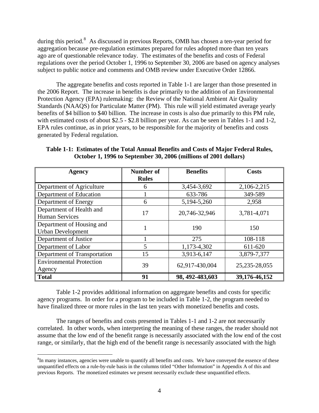<span id="page-8-0"></span>during this period.<sup>[8](#page-8-0)</sup> As discussed in previous Reports, OMB has chosen a ten-year period for aggregation because pre-regulation estimates prepared for rules adopted more than ten years ago are of questionable relevance today. The estimates of the benefits and costs of Federal regulations over the period October 1, 1996 to September 30, 2006 are based on agency analyses subject to public notice and comments and OMB review under Executive Order 12866.

The aggregate benefits and costs reported in Table 1-1 are larger than those presented in the 2006 Report. The increase in benefits is due primarily to the addition of an Environmental Protection Agency (EPA) rulemaking: the Review of the National Ambient Air Quality Standards (NAAQS) for Particulate Matter (PM). This rule will yield estimated average yearly benefits of \$4 billion to \$40 billion. The increase in costs is also due primarily to this PM rule, with estimated costs of about \$2.5 - \$2.8 billion per year. As can be seen in Tables 1-1 and 1-2, EPA rules continue, as in prior years, to be responsible for the majority of benefits and costs generated by Federal regulation.

| Agency                          | Number of    | <b>Benefits</b>  | Costs             |  |
|---------------------------------|--------------|------------------|-------------------|--|
|                                 | <b>Rules</b> |                  |                   |  |
| Department of Agriculture       | 6            | 3,454-3,692      | 2,106-2,215       |  |
| Department of Education         |              | 633-786          | 349-589           |  |
| Department of Energy            | 6            | 5,194-5,260      | 2,958             |  |
| Department of Health and        | 17           | 20,746-32,946    |                   |  |
| <b>Human Services</b>           |              |                  | 3,781-4,071       |  |
| Department of Housing and       |              | 190              | 150               |  |
| <b>Urban Development</b>        |              |                  |                   |  |
| Department of Justice           |              | 275              | 108-118           |  |
| Department of Labor             | 5            | 1,173-4,302      | 611-620           |  |
| Department of Transportation    | 15           | 3,913-6,147      | 3,879-7,377       |  |
| <b>Environmental Protection</b> | 39           | 62,917-430,004   | 25, 235 - 28, 055 |  |
| Agency                          |              |                  |                   |  |
| <b>Total</b>                    | 91           | 98, 492-483, 603 | 39,176-46,152     |  |

**Table 1-1: Estimates of the Total Annual Benefits and Costs of Major Federal Rules, October 1, 1996 to September 30, 2006 (millions of 2001 dollars)** 

Table 1-2 provides additional information on aggregate benefits and costs for specific agency programs. In order for a program to be included in Table 1-2, the program needed to have finalized three or more rules in the last ten years with monetized benefits and costs.

The ranges of benefits and costs presented in Tables 1-1 and 1-2 are not necessarily correlated. In other words, when interpreting the meaning of these ranges, the reader should not assume that the low end of the benefit range is necessarily associated with the low end of the cost range, or similarly, that the high end of the benefit range is necessarily associated with the high

1

 ${}^{8}$ In many instances, agencies were unable to quantify all benefits and costs. We have conveyed the essence of these unquantified effects on a rule-by-rule basis in the columns titled "Other Information" in Appendix A of this and previous Reports. The monetized estimates we present necessarily exclude these unquantified effects.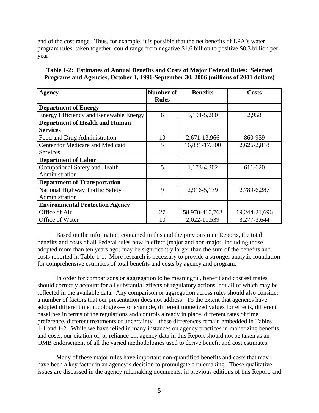end of the cost range. Thus, for example, it is possible that the net benefits of EPA's water program rules, taken together, could range from negative \$1.6 billion to positive \$8.3 billion per year.

**Table 1-2: Estimates of Annual Benefits and Costs of Major Federal Rules: Selected Programs and Agencies, October 1, 1996-September 30, 2006 (millions of 2001 dollars)** 

| Agency                                                   | Number of <b>S</b> | <b>Benefits</b> | <b>Costs</b>  |
|----------------------------------------------------------|--------------------|-----------------|---------------|
|                                                          | <b>Rules</b>       |                 |               |
| <b>Department of Energy</b>                              |                    |                 |               |
| <b>Energy Efficiency and Renewable Energy</b>            | 6                  | 5, 194 - 5, 260 | 2,958         |
| <b>Department of Health and Human</b><br><b>Services</b> |                    |                 |               |
| Food and Drug Administration                             | 10                 | 2,671-13,966    | 860-959       |
| Center for Medicare and Medicaid                         | 5                  | 16,831-17,300   | 2,626-2,818   |
| <b>Services</b>                                          |                    |                 |               |
| <b>Department of Labor</b>                               |                    |                 |               |
| Occupational Safety and Health                           | 5                  | 1,173-4,302     | 611-620       |
| Administration                                           |                    |                 |               |
| <b>Department of Transportation</b>                      |                    |                 |               |
| National Highway Traffic Safety                          | 9                  | 2,916-5,139     | 2,789-6,287   |
| Administration                                           |                    |                 |               |
| <b>Environmental Protection Agency</b>                   |                    |                 |               |
| Office of Air                                            | 27                 | 58,970-410,763  | 19,244-21,696 |
| Office of Water                                          | 10                 | 2,022-11,539    | 3,277-3,644   |

Based on the information contained in this and the previous nine Reports, the total benefits and costs of all Federal rules now in effect (major and non-major, including those adopted more than ten years ago) may be significantly larger than the sum of the benefits and costs reported in Table 1-1. More research is necessary to provide a stronger analytic foundation for comprehensive estimates of total benefits and costs by agency and program.

In order for comparisons or aggregation to be meaningful, benefit and cost estimates should correctly account for all substantial effects of regulatory actions, not all of which may be reflected in the available data. Any comparison or aggregation across rules should also consider a number of factors that our presentation does not address. To the extent that agencies have adopted different methodologies—for example, different monetized values for effects, different baselines in terms of the regulations and controls already in place, different rates of time preference, different treatments of uncertainty—these differences remain embedded in Tables 1-1 and 1-2. While we have relied in many instances on agency practices in monetizing benefits and costs, our citation of, or reliance on, agency data in this Report should not be taken as an OMB endorsement of all the varied methodologies used to derive benefit and cost estimates.

Many of these major rules have important non-quantified benefits and costs that may have been a key factor in an agency's decision to promulgate a rulemaking. These qualitative issues are discussed in the agency rulemaking documents, in previous editions of this Report, and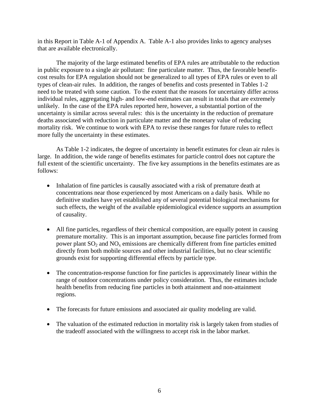in this Report in Table A-1 of Appendix A. Table A-1 also provides links to agency analyses that are available electronically.

The majority of the large estimated benefits of EPA rules are attributable to the reduction in public exposure to a single air pollutant: fine particulate matter. Thus, the favorable benefitcost results for EPA regulation should not be generalized to all types of EPA rules or even to all types of clean-air rules. In addition, the ranges of benefits and costs presented in Tables 1-2 need to be treated with some caution. To the extent that the reasons for uncertainty differ across individual rules, aggregating high- and low-end estimates can result in totals that are extremely unlikely. In the case of the EPA rules reported here, however, a substantial portion of the uncertainty is similar across several rules: this is the uncertainty in the reduction of premature deaths associated with reduction in particulate matter and the monetary value of reducing mortality risk. We continue to work with EPA to revise these ranges for future rules to reflect more fully the uncertainty in these estimates.

As Table 1-2 indicates, the degree of uncertainty in benefit estimates for clean air rules is large. In addition, the wide range of benefits estimates for particle control does not capture the full extent of the scientific uncertainty. The five key assumptions in the benefits estimates are as follows:

- Inhalation of fine particles is causally associated with a risk of premature death at concentrations near those experienced by most Americans on a daily basis. While no definitive studies have yet established any of several potential biological mechanisms for such effects, the weight of the available epidemiological evidence supports an assumption of causality.
- All fine particles, regardless of their chemical composition, are equally potent in causing premature mortality. This is an important assumption, because fine particles formed from power plant  $SO_2$  and  $NO_x$  emissions are chemically different from fine particles emitted directly from both mobile sources and other industrial facilities, but no clear scientific grounds exist for supporting differential effects by particle type.
- The concentration-response function for fine particles is approximately linear within the range of outdoor concentrations under policy consideration. Thus, the estimates include health benefits from reducing fine particles in both attainment and non-attainment regions.
- The forecasts for future emissions and associated air quality modeling are valid.
- The valuation of the estimated reduction in mortality risk is largely taken from studies of the tradeoff associated with the willingness to accept risk in the labor market.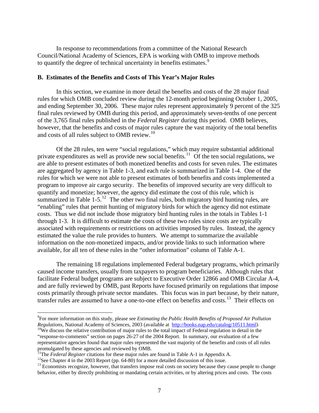<span id="page-11-0"></span>In response to recommendations from a committee of the National Research Council/National Academy of Sciences, EPA is working with OMB to improve methods to quantify the degree of technical uncertainty in benefits estimates.<sup>[9](#page-11-0)</sup>

#### **B. Estimates of the Benefits and Costs of This Year's Major Rules**

In this section, we examine in more detail the benefits and costs of the 28 major final rules for which OMB concluded review during the 12-month period beginning October 1, 2005, and ending September 30, 2006. These major rules represent approximately 9 percent of the 325 final rules reviewed by OMB during this period, and approximately seven-tenths of one percent of the 3,765 final rules published in the *Federal Register* during this period. OMB believes, however, that the benefits and costs of major rules capture the vast majority of the total benefits and costs of all rules subject to OMB review.<sup>[10](#page-11-0)</sup>

Of the 28 rules, ten were "social regulations," which may require substantial additional private expenditures as well as provide new social benefits.<sup>[11](#page-11-0)</sup> Of the ten social regulations, we are able to present estimates of both monetized benefits and costs for seven rules. The estimates are aggregated by agency in Table 1-3, and each rule is summarized in Table 1-4. One of the rules for which we were not able to present estimates of both benefits and costs implemented a program to improve air cargo security. The benefits of improved security are very difficult to quantify and monetize; however, the agency did estimate the cost of this rule, which is summarized in Table 1-5.<sup>[12](#page-11-0)</sup> The other two final rules, both migratory bird hunting rules, are "enabling" rules that permit hunting of migratory birds for which the agency did not estimate costs. Thus we did not include those migratory bird hunting rules in the totals in Tables 1-1 through 1-3. It is difficult to estimate the costs of these two rules since costs are typically associated with requirements or restrictions on activities imposed by rules. Instead, the agency estimated the value the rule provides to hunters. We attempt to summarize the available information on the non-monetized impacts, and/or provide links to such information where available, for all ten of these rules in the "other information" column of Table A-1.

The remaining 18 regulations implemented Federal budgetary programs, which primarily caused income transfers, usually from taxpayers to program beneficiaries. Although rules that facilitate Federal budget programs are subject to Executive Order 12866 and OMB Circular A-4, and are fully reviewed by OMB, past Reports have focused primarily on regulations that impose costs primarily through private sector mandates. This focus was in part because, by their nature, transfer rules are assumed to have a one-to-one effect on benefits and costs.<sup>[13](#page-11-0)</sup> Their effects on

 $\overline{a}$ 

<sup>9</sup> For more information on this study, please see *Estimating the Public Health Benefits of Proposed Air Pollution Regulations*, National Academy of Sciences, 2003 (available at [http://books.nap.edu/catalog/10511.html\)](http://books.nap.edu/catalog/10511.html). <sup>10</sup>We discuss the relative contribution of major rules to the total impact of Federal regulation in detail in the

<sup>&</sup>quot;response-to-comments" section on pages 26-27 of the 2004 Report. In summary, our evaluation of a few representative agencies found that major rules represented the vast majority of the benefits and costs of all rules promulgated by these agencies and reviewed by OMB.

<sup>&</sup>lt;sup>11</sup>The *Federal Register* citations for these major rules are found in Table A-1 in Appendix A. <sup>12</sup>See Chapter 4 in the 2003 Report (pp. 64-80) for a more detailed discussion of this issue.

<sup>&</sup>lt;sup>13</sup> Economists recognize, however, that transfers impose real costs on society because they cause people to change behavior, either by directly prohibiting or mandating certain activities, or by altering prices and costs. The costs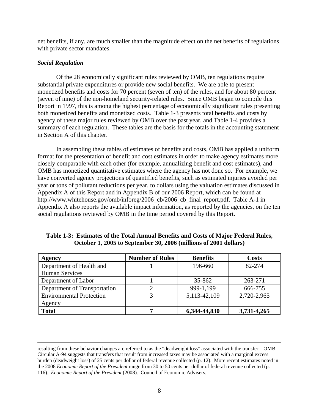net benefits, if any, are much smaller than the magnitude effect on the net benefits of regulations with private sector mandates.

# *Social Regulation*

Of the 28 economically significant rules reviewed by OMB, ten regulations require substantial private expenditures or provide new social benefits. We are able to present monetized benefits and costs for 70 percent (seven of ten) of the rules, and for about 80 percent (seven of nine) of the non-homeland security-related rules. Since OMB began to compile this Report in 1997, this is among the highest percentage of economically significant rules presenting both monetized benefits and monetized costs. Table 1-3 presents total benefits and costs by agency of these major rules reviewed by OMB over the past year, and Table 1-4 provides a summary of each regulation. These tables are the basis for the totals in the accounting statement in Section A of this chapter.

In assembling these tables of estimates of benefits and costs, OMB has applied a uniform format for the presentation of benefit and cost estimates in order to make agency estimates more closely comparable with each other (for example, annualizing benefit and cost estimates), and OMB has monetized quantitative estimates where the agency has not done so. For example, we have converted agency projections of quantified benefits, such as estimated injuries avoided per year or tons of pollutant reductions per year, to dollars using the valuation estimates discussed in Appendix A of this Report and in Appendix B of our 2006 Report, which can be found at http://www.whitehouse.gov/omb/inforeg/2006\_cb/2006\_cb\_final\_report.pdf. Table A-1 in Appendix A also reports the available impact information, as reported by the agencies, on the ten social regulations reviewed by OMB in the time period covered by this Report.

| Agency                          | <b>Number of Rules</b> | <b>Benefits</b> | <b>Costs</b> |
|---------------------------------|------------------------|-----------------|--------------|
| Department of Health and        |                        | 196-660         | 82-274       |
| <b>Human Services</b>           |                        |                 |              |
| Department of Labor             |                        | 35-862          | 263-271      |
| Department of Transportation    |                        | 999-1,199       | 666-755      |
| <b>Environmental Protection</b> |                        | 5,113-42,109    | 2,720-2,965  |
| Agency                          |                        |                 |              |
| <b>Total</b>                    |                        | 6,344-44,830    | 3,731-4,265  |

**Table 1-3: Estimates of the Total Annual Benefits and Costs of Major Federal Rules, October 1, 2005 to September 30, 2006 (millions of 2001 dollars)** 

resulting from these behavior changes are referred to as the "deadweight loss" associated with the transfer. OMB Circular A-94 suggests that transfers that result from increased taxes may be associated with a marginal excess burden (deadweight loss) of 25 cents per dollar of federal revenue collected (p. 12). More recent estimates noted in the 2008 *Economic Report of the President* range from 30 to 50 cents per dollar of federal revenue collected (p. 116). *Economic Report of the President* (2008). Council of Economic Advisers.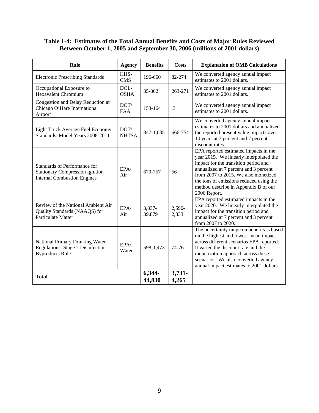# **Table 1-4: Estimates of the Total Annual Benefits and Costs of Major Rules Reviewed Between October 1, 2005 and September 30, 2006 (millions of 2001 dollars)**

| Rule                                                                                                         | <b>Agency</b>        | <b>Benefits</b>  | Costs             | <b>Explanation of OMB Calculations</b>                                                                                                                                                                                                                                                                       |
|--------------------------------------------------------------------------------------------------------------|----------------------|------------------|-------------------|--------------------------------------------------------------------------------------------------------------------------------------------------------------------------------------------------------------------------------------------------------------------------------------------------------------|
| <b>Electronic Prescribing Standards</b>                                                                      | HHS-<br><b>CMS</b>   | 196-660          | 82-274            | We converted agency annual impact<br>estimates to 2001 dollars.                                                                                                                                                                                                                                              |
| Occupational Exposure to<br><b>Hexavalent Chromium</b>                                                       | DOL-<br><b>OSHA</b>  | 35-862           | 263-271           | We converted agency annual impact<br>estimates to 2001 dollars.                                                                                                                                                                                                                                              |
| Congestion and Delay Reduction at<br>Chicago O'Hare International<br>Airport                                 | DOT/<br><b>FAA</b>   | 153-164          | $\cdot$ 3         | We converted agency annual impact<br>estimates to 2001 dollars.                                                                                                                                                                                                                                              |
| Light Truck Average Fuel Economy<br>Standards, Model Years 2008-2011                                         | DOT/<br><b>NHTSA</b> | 847-1,035        | 666-754           | We converted agency annual impact<br>estimates to 2001 dollars and annualized<br>the reported present value impacts over<br>10 years at 3 percent and 7 percent<br>discount rates.                                                                                                                           |
| Standards of Performance for<br><b>Stationary Compression Ignition</b><br><b>Internal Combustion Engines</b> | EPA/<br>Air          | 679-757          | 56                | EPA reported estimated impacts in the<br>year 2015. We linearly interpolated the<br>impact for the transition period and<br>annualized at 7 percent and 3 percent<br>from 2007 to 2015. We also monetized<br>the tons of emissions reduced using the<br>method describe in Appendix B of our<br>2006 Report. |
| Review of the National Ambient Air<br>Quality Standards (NAAQS) for<br>Particulate Matter                    | EPA/<br>Air          | 3,837-<br>39,879 | 2,590-<br>2,833   | EPA reported estimated impacts in the<br>year 2020. We linearly interpolated the<br>impact for the transition period and<br>annualized at 7 percent and 3 percent<br>from 2007 to 2020.                                                                                                                      |
| National Primary Drinking Water<br>Regulations: Stage 2 Disinfection<br><b>Byproducts Rule</b>               | EPA/<br>Water        | 598-1,473        | 74-76             | The uncertainty range on benefits is based<br>on the highest and lowest mean impact<br>across different scenarios EPA reported.<br>It varied the discount rate and the<br>monetization approach across these<br>scenarios. We also converted agency<br>annual impact estimates to 2001 dollars.              |
| <b>Total</b>                                                                                                 |                      | 6,344-<br>44,830 | $3,731-$<br>4,265 |                                                                                                                                                                                                                                                                                                              |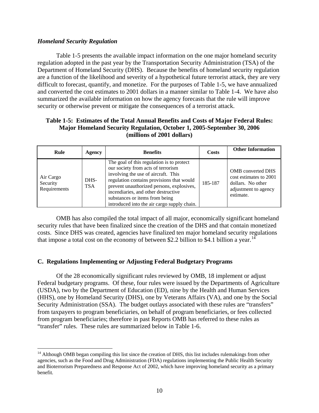# <span id="page-14-0"></span>*Homeland Security Regulation*

<u>.</u>

Table 1-5 presents the available impact information on the one major homeland security regulation adopted in the past year by the Transportation Security Administration (TSA) of the Department of Homeland Security (DHS). Because the benefits of homeland security regulation are a function of the likelihood and severity of a hypothetical future terrorist attack, they are very difficult to forecast, quantify, and monetize. For the purposes of Table 1-5, we have annualized and converted the cost estimates to 2001 dollars in a manner similar to Table 1-4. We have also summarized the available information on how the agency forecasts that the rule will improve security or otherwise prevent or mitigate the consequences of a terrorist attack.

# **Table 1-5: Estimates of the Total Annual Benefits and Costs of Major Federal Rules: Major Homeland Security Regulation, October 1, 2005-September 30, 2006 (millions of 2001 dollars)**

| Rule                                  | Agency             | <b>Benefits</b>                                                                                                                                                                                                                                                                                                                          | Costs   | <b>Other Information</b>                                                                                     |
|---------------------------------------|--------------------|------------------------------------------------------------------------------------------------------------------------------------------------------------------------------------------------------------------------------------------------------------------------------------------------------------------------------------------|---------|--------------------------------------------------------------------------------------------------------------|
| Air Cargo<br>Security<br>Requirements | DHS-<br><b>TSA</b> | The goal of this regulation is to protect<br>our society from acts of terrorism<br>involving the use of aircraft. This<br>regulation contains provisions that would<br>prevent unauthorized persons, explosives,<br>incendiaries, and other destructive<br>substances or items from being<br>introduced into the air cargo supply chain. | 185-187 | <b>OMB</b> converted DHS<br>cost estimates to 2001<br>dollars. No other<br>adjustment to agency<br>estimate. |

OMB has also compiled the total impact of all major, economically significant homeland security rules that have been finalized since the creation of the DHS and that contain monetized costs. Since DHS was created, agencies have finalized ten major homeland security regulations that impose a total cost on the economy of between \$2.2 billion to \$4.1 billion a year.<sup>[14](#page-14-0)</sup>

# **C. Regulations Implementing or Adjusting Federal Budgetary Programs**

Of the 28 economically significant rules reviewed by OMB, 18 implement or adjust Federal budgetary programs. Of these, four rules were issued by the Departments of Agriculture (USDA), two by the Department of Education (ED), nine by the Health and Human Services (HHS), one by Homeland Security (DHS), one by Veterans Affairs (VA), and one by the Social Security Administration (SSA). The budget outlays associated with these rules are "transfers" from taxpayers to program beneficiaries, on behalf of program beneficiaries, or fees collected from program beneficiaries; therefore in past Reports OMB has referred to these rules as "transfer" rules. These rules are summarized below in Table 1-6.

<sup>&</sup>lt;sup>14</sup> Although OMB began compiling this list since the creation of DHS, this list includes rulemakings from other agencies, such as the Food and Drug Administration (FDA) regulations implementing the Public Health Security and Bioterrorism Preparedness and Response Act of 2002, which have improving homeland security as a primary benefit.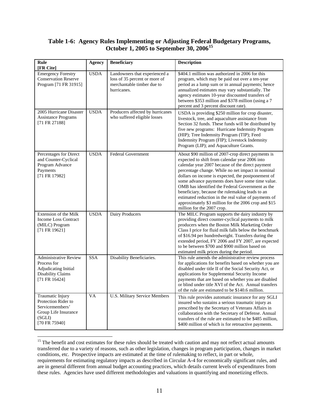# <span id="page-15-0"></span>**Table 1-6: Agency Rules Implementing or Adjusting Federal Budgetary Programs, October 1, 2005 to September 30, 2006[15](#page-15-0)**

| Rule<br>[FR Cite]                                                                                                       | <b>Agency</b> | <b>Beneficiary</b>                                                                                          | <b>Description</b>                                                                                                                                                                                                                                                                                                                                                                                                                                                                                                                                                           |
|-------------------------------------------------------------------------------------------------------------------------|---------------|-------------------------------------------------------------------------------------------------------------|------------------------------------------------------------------------------------------------------------------------------------------------------------------------------------------------------------------------------------------------------------------------------------------------------------------------------------------------------------------------------------------------------------------------------------------------------------------------------------------------------------------------------------------------------------------------------|
| <b>Emergency Forestry</b><br><b>Conservation Reserve</b><br>Program [71 FR 31915]                                       | <b>USDA</b>   | Landowners that experienced a<br>loss of 35 percent or more of<br>merchantable timber due to<br>hurricanes. | \$404.1 million was authorized in 2006 for this<br>program, which may be paid out over a ten-year<br>period as a lump sum or in annual payments; hence<br>annualized estimates may vary substantially. The<br>agency estimates 10-year discounted transfers of<br>between \$353 million and \$378 million (using a 7<br>percent and 3 percent discount rate).                                                                                                                                                                                                                |
| 2005 Hurricane Disaster<br><b>Assistance Programs</b><br>[71 FR 27188]                                                  | <b>USDA</b>   | Producers affected by hurricanes<br>who suffered eligible losses                                            | USDA is providing \$250 million for crop disaster,<br>livestock, tree, and aquaculture assistance from<br>Section 32 funds. These funds will be distributed by<br>five new programs: Hurricane Indemnity Program<br>(HIP); Tree Indemnity Program (TIP); Feed<br>Indemnity Program (FIP); Livestock Indemnity<br>Program (LIP); and Aquaculture Grants.                                                                                                                                                                                                                      |
| Percentages for Direct<br>and Counter-Cyclical<br>Program Advance<br>Payments<br>[71 FR 17982]                          | <b>USDA</b>   | <b>Federal Government</b>                                                                                   | About \$90 million of 2007-crop direct payments is<br>expected to shift from calendar year 2006 into<br>calendar year 2007 because of the direct payment<br>percentage change. While no net impact in nominal<br>dollars on income is expected, the postponement of<br>some advance payments does have some time value.<br>OMB has identified the Federal Government as the<br>beneficiary, because the rulemaking leads to an<br>estimated reduction in the real value of payments of<br>approximately \$3 million for the 2006 crop and \$15<br>million for the 2007 crop. |
| Extension of the Milk<br><b>Income Loss Contract</b><br>(MILC) Program<br>$[71$ FR 19621]                               | <b>USDA</b>   | Dairy Producers                                                                                             | The MILC Program supports the dairy industry by<br>providing direct counter-cyclical payments to milk<br>producers when the Boston Milk Marketing Order<br>Class I price for fluid milk falls below the benchmark<br>of \$16.94 per hundredweight. Transfers during the<br>extended period, FY 2006 and FY 2007, are expected<br>to be between \$700 and \$900 million based on<br>estimated milk prices during the period.                                                                                                                                                  |
| <b>Administrative Review</b><br>Process for<br><b>Adjudicating Initial</b><br><b>Disability Claims</b><br>[71 FR 16424] | <b>SSA</b>    | Disability Beneficiaries.                                                                                   | This rule amends the administrative review process<br>for applications for benefits based on whether you are<br>disabled under title II of the Social Security Act, or<br>applications for Supplemental Security Income<br>payments that are based on whether you are disabled<br>or blind under title XVI of the Act. Annual transfers<br>of the rule are estimated to be \$140.6 million.                                                                                                                                                                                  |
| Traumatic Injury<br>Protection Rider to<br>Servicemembers'<br>Group Life Insurance<br>(SGLI)<br>[70 FR 75940]           | VA            | <b>U.S. Military Service Members</b>                                                                        | This rule provides automatic insurance for any SGLI<br>insured who sustains a serious traumatic injury as<br>prescribed by the Secretary of Veterans Affairs in<br>collaboration with the Secretary of Defense. Annual<br>transfers of the rule are estimated to be \$485 million,<br>\$400 million of which is for retroactive payments.                                                                                                                                                                                                                                    |

<sup>&</sup>lt;sup>15</sup> The benefit and cost estimates for these rules should be treated with caution and may not reflect actual amounts transferred due to a variety of reasons, such as other legislation, changes in program participation, changes in market conditions, etc. Prospective impacts are estimated at the time of rulemaking to reflect, in part or whole, requirements for estimating regulatory impacts as described in Circular A-4 for economically significant rules, and are in general different from annual budget accounting practices, which details current levels of expenditures from these rules. Agencies have used different methodologies and valuations in quantifying and monetizing effects.

 $\overline{a}$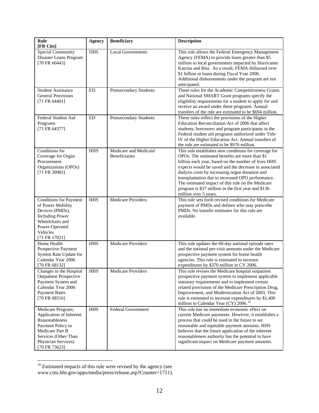<span id="page-16-0"></span>

| <b>Rule</b><br>[FR Cite]                                                                                                                                               | <b>Agency</b> | <b>Beneficiary</b>                            | <b>Description</b>                                                                                                                                                                                                                                                                                                                                                                                                                                                   |
|------------------------------------------------------------------------------------------------------------------------------------------------------------------------|---------------|-----------------------------------------------|----------------------------------------------------------------------------------------------------------------------------------------------------------------------------------------------------------------------------------------------------------------------------------------------------------------------------------------------------------------------------------------------------------------------------------------------------------------------|
| <b>Special Community</b><br>Disaster Loans Program<br>[70 FR 60443]                                                                                                    | <b>DHS</b>    | <b>Local Governments</b>                      | This rule allows the Federal Emergency Management<br>Agency (FEMA) to provide loans greater than \$5<br>million to local governments impacted by Hurricanes<br>Katrina and Rita. As a result, FEMA disbursed over<br>\$1 billion in loans during Fiscal Year 2006.<br>Additional disbursements under the program are not<br>anticipated.                                                                                                                             |
| <b>Student Assistance</b><br><b>General Provisions</b><br>[71 FR 64401]                                                                                                | ED            | Postsecondary Students                        | These rules for the Academic Competitiveness Grants<br>and National SMART Grant programs specify the<br>eligibility requirements for a student to apply for and<br>receive an award under these programs. Annual<br>transfers of the rule are estimated to be \$694 million.                                                                                                                                                                                         |
| Federal Student Aid<br>Programs<br>[71 FR 64377]                                                                                                                       | ED            | Postsecondary Students                        | These rules reflect the provisions of the Higher<br>Education Reconciliation Act of 2006 that affect<br>students, borrowers and program participants in the<br>Federal student aid programs authorized under Title<br>IV of the Higher Education Act. Annual transfers of<br>the rule are estimated to be \$976 million.                                                                                                                                             |
| Conditions for<br>Coverage for Organ<br>Procurement<br>Organizations (OPOs)<br>[71 FR 30982]                                                                           | <b>HHS</b>    | Medicare and Medicaid<br><b>Beneficiaries</b> | This rule establishes new conditions for coverage for<br>OPOs. The estimated benefits are more than \$1<br>billion each year, based on the number of lives HHS<br>expects would be saved and the decrease in associated<br>dialysis costs by increasing organ donation and<br>transplantation due to increased OPO performance.<br>The estimated impact of this rule on the Medicare<br>program is \$37 million in the first year and \$136<br>million over 5 years. |
| <b>Conditions for Payment</b><br>of Power Mobility<br>Devices (PMDs),<br><b>Including Power</b><br>Wheelchairs and<br>Power-Operated<br>Vehicles<br>[71 FR 17021]      | <b>HHS</b>    | <b>Medicare Providers</b>                     | This rule sets forth revised conditions for Medicare<br>payment of PMDs and defines who may prescribe<br>PMDs. No transfer estimates for this rule are<br>available.                                                                                                                                                                                                                                                                                                 |
| Home Health<br>Prospective Payment<br>System Rate Update for<br>Calendar Year 2006<br>[70 FR 68132]                                                                    | <b>HHS</b>    | <b>Medicare Providers</b>                     | This rule updates the 60-day national episode rates<br>and the national per-visit amounts under the Medicare<br>prospective payment system for home health<br>agencies. This rule is estimated to increase<br>expenditures by \$370 million in CY 2006.                                                                                                                                                                                                              |
| Changes to the Hospital HHS<br><b>Outpatient Prospective</b><br>Payment System and<br>Calendar Year 2006<br><b>Payment Rates</b><br>$[70$ FR 68516]                    |               | <b>Medicare Providers</b>                     | This rule revises the Medicare hospital outpatient<br>prospective payment system to implement applicable<br>statutory requirements and to implement certain<br>related provisions of the Medicare Prescription Drug,<br>Improvement, and Modernization Act of 2003. This<br>rule is estimated to increase expenditures by \$1,400<br>million in Calendar Year (CY) 2006. <sup>16</sup>                                                                               |
| Medicare Program;<br>Application of Inherent<br>Reasonableness<br>Payment Policy to<br>Medicare Part B<br>Services (Other Than<br>Physician Services)<br>[70 FR 73623] | <b>HHS</b>    | <b>Federal Government</b>                     | This rule has no immediate economic effect on<br>current Medicare payments. However, it establishes a<br>process that could be used in the future to set<br>reasonable and equitable payment amounts. HHS<br>believes that the future application of the inherent<br>reasonableness authority has the potential to have<br>significant impact on Medicare payment amounts.                                                                                           |

 $16$  Estimated impacts of this rule were revised by the agency (see www.cms.hhs.gov/apps/media/press/release.asp?Counter=1711).

 $\overline{a}$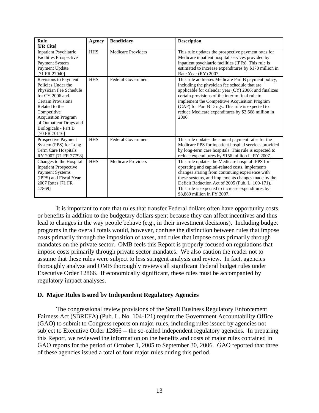| Rule                                                                                                                                                                                                                                                      | <b>Agency</b> | <b>Beneficiary</b>        | <b>Description</b>                                                                                                                                                                                                                                                                                                                                                                   |
|-----------------------------------------------------------------------------------------------------------------------------------------------------------------------------------------------------------------------------------------------------------|---------------|---------------------------|--------------------------------------------------------------------------------------------------------------------------------------------------------------------------------------------------------------------------------------------------------------------------------------------------------------------------------------------------------------------------------------|
| [FR Cite]<br><b>Inpatient Psychiatric</b><br><b>Facilities Prospective</b><br>Payment System<br>Payment Update<br>[71 FR 27040]                                                                                                                           | <b>HHS</b>    | <b>Medicare Providers</b> | This rule updates the prospective payment rates for<br>Medicare inpatient hospital services provided by<br>inpatient psychiatric facilities (IPFs). This rule is<br>estimated to increase expenditures by \$170 million in<br>Rate Year (RY) 2007.                                                                                                                                   |
| Revisions to Payment<br>Policies Under the<br>Physician Fee Schedule<br>for $CY$ 2006 and<br><b>Certain Provisions</b><br>Related to the<br>Competitive<br><b>Acquisition Program</b><br>of Outpatient Drugs and<br>Biologicals - Part B<br>[70 FR 70116] | <b>HHS</b>    | <b>Federal Government</b> | This rule addresses Medicare Part B payment policy,<br>including the physician fee schedule that are<br>applicable for calendar year (CY) 2006; and finalizes<br>certain provisions of the interim final rule to<br>implement the Competitive Acquisition Program<br>(CAP) for Part B Drugs. This rule is expected to<br>reduce Medicare expenditures by \$2,668 million in<br>2006. |
| Prospective Payment<br>System (PPS) for Long-<br>Term Care Hospitals<br>RY 2007 [71 FR 27798]                                                                                                                                                             | <b>HHS</b>    | <b>Federal Government</b> | This rule updates the annual payment rates for the<br>Medicare PPS for inpatient hospital services provided<br>by long-term care hospitals. This rule is expected to<br>reduce expenditures by \$156 million in RY 2007.                                                                                                                                                             |
| Changes to the Hospital<br><b>Inpatient Prospective</b><br><b>Payment Systems</b><br>(IPPS) and Fiscal Year<br>2007 Rates [71 FR<br>478691                                                                                                                | <b>HHS</b>    | <b>Medicare Providers</b> | This rule updates the Medicare hospital IPPS for<br>operating and capital-related costs, implements<br>changes arising from continuing experience with<br>these systems, and implements changes made by the<br>Deficit Reduction Act of 2005 (Pub. L. 109-171).<br>This rule is expected to increase expenditures by<br>\$3,889 million in FY 2007.                                  |

It is important to note that rules that transfer Federal dollars often have opportunity costs or benefits in addition to the budgetary dollars spent because they can affect incentives and thus lead to changes in the way people behave (e.g., in their investment decisions). Including budget programs in the overall totals would, however, confuse the distinction between rules that impose costs primarily through the imposition of taxes, and rules that impose costs primarily through mandates on the private sector. OMB feels this Report is properly focused on regulations that impose costs primarily through private sector mandates. We also caution the reader not to assume that these rules were subject to less stringent analysis and review. In fact, agencies thoroughly analyze and OMB thoroughly reviews all significant Federal budget rules under Executive Order 12866. If economically significant, these rules must be accompanied by regulatory impact analyses.

# **D. Major Rules Issued by Independent Regulatory Agencies**

The congressional review provisions of the Small Business Regulatory Enforcement Fairness Act (SBREFA) (Pub. L. No. 104-121) require the Government Accountability Office (GAO) to submit to Congress reports on major rules, including rules issued by agencies not subject to Executive Order 12866 -- the so-called independent regulatory agencies. In preparing this Report, we reviewed the information on the benefits and costs of major rules contained in GAO reports for the period of October 1, 2005 to September 30, 2006. GAO reported that three of these agencies issued a total of four major rules during this period.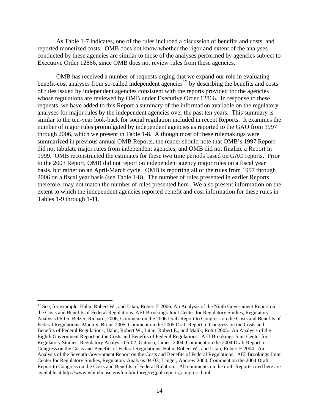<span id="page-18-0"></span>As Table 1-7 indicates, one of the rules included a discussion of benefits and costs, and reported monetized costs. OMB does not know whether the rigor and extent of the analyses conducted by these agencies are similar to those of the analyses performed by agencies subject to Executive Order 12866, since OMB does not review rules from these agencies.

OMB has received a number of requests urging that we expand our role in evaluating benefit-cost analyses from so-called independent agencies<sup>[17](#page-18-0)</sup> by describing the benefits and costs of rules issued by independent agencies consistent with the reports provided for the agencies whose regulations are reviewed by OMB under Executive Order 12866. In response to these requests, we have added to this Report a summary of the information available on the regulatory analyses for major rules by the independent agencies over the past ten years. This summary is similar to the ten-year look-back for social regulation included in recent Reports. It examines the number of major rules promulgated by independent agencies as reported to the GAO from 1997 through 2006, which we present in Table 1-8. Although most of these rulemakings were summarized in previous annual OMB Reports, the reader should note that OMB's 1997 Report did not tabulate major rules from independent agencies, and OMB did not finalize a Report in 1999. OMB reconstructed the estimates for these two time periods based on GAO reports. Prior to the 2003 Report, OMB did not report on independent agency major rules on a fiscal year basis, but rather on an April-March cycle. OMB is reporting all of the rules from 1997 through 2006 on a fiscal year basis (see Table 1-8). The number of rules presented in earlier Reports therefore, may not match the number of rules presented here. We also present information on the extent to which the independent agencies reported benefit and cost information for these rules in Tables 1-9 through 1-11.

 $\overline{a}$ 

<sup>&</sup>lt;sup>17</sup> See, for example, Hahn, Robert W., and Litan, Robert E 2006. An Analysis of the Ninth Government Report on the Costs and Benefits of Federal Regulations. AEI-Brookings Joint Center for Regulatory Studies, Regulatory Analysis 06-05; Belzer, Richard, 2006, Comment on the 2006 Draft Report to Congress on the Costs and Benefits of Federal Regulations; Mannix, Brian, 2005. Comment on the 2005 Draft Report to Congress on the Costs and Benefits of Federal Regulations; Hahn, Robert W., Litan, Robert E., and Malik, Rohit 2005. An Analysis of the Eighth Government Report on the Costs and Benefits of Federal Regulations. AEI-Brookings Joint Center for Regulatory Studies, Regulatory Analysis 05-02; Gattuso, James, 2004. Comment on the 2004 Draft Report to Congress on the Costs and Benefits of Federal Regulations; Hahn, Robert W., and Litan, Robert E 2004. An Analysis of the Seventh Government Report on the Costs and Benefits of Federal Regulations. AEI-Brookings Joint Center for Regulatory Studies, Regulatory Analysis 04-03; Langer, Andrew,2004, Comment on the 2004 Draft Report to Congress on the Costs and Benefits of Federal Rulation. All comments on the draft Reports cited here are available at http://www.whitehouse.gov/omb/inforeg/regpol-reports\_congress.html.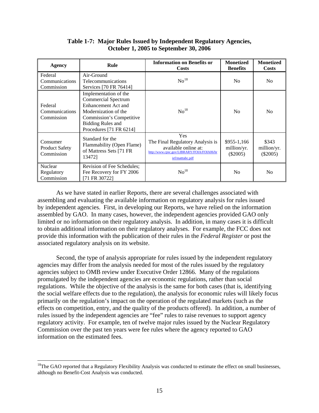<span id="page-19-0"></span>

| <b>Agency</b>                                   | <b>Rule</b>                                                                                                                                                                           | <b>Information on Benefits or</b><br><b>Costs</b>                                                                                 | <b>Monetized</b><br><b>Benefits</b>       | <b>Monetized</b><br>Costs          |
|-------------------------------------------------|---------------------------------------------------------------------------------------------------------------------------------------------------------------------------------------|-----------------------------------------------------------------------------------------------------------------------------------|-------------------------------------------|------------------------------------|
| Federal<br>Communications<br>Commission         | Air-Ground<br><b>Telecommunications</b><br>Services [70 FR 76414]                                                                                                                     | No <sup>18</sup>                                                                                                                  | No                                        | N <sub>0</sub>                     |
| Federal<br>Communications<br>Commission         | Implementation of the<br><b>Commercial Spectrum</b><br>Enhancement Act and<br>Modernization of the<br>Commission's Competitive<br><b>Bidding Rules and</b><br>Procedures [71 FR 6214] | No <sup>18</sup>                                                                                                                  | N <sub>0</sub>                            | No                                 |
| Consumer<br><b>Product Safety</b><br>Commission | Standard for the<br>Flammability (Open Flame)<br>of Mattress Sets [71 FR<br>134721                                                                                                    | Yes<br>The Final Regulatory Analysis is<br>available online at:<br>http://www.cpsc.gov/LIBRARY/FOIA/FOIA06/br<br>ief/matttabc.pdf | $$955-1,166$<br>million/yr.<br>$(\$2005)$ | \$343<br>million/yr.<br>$(\$2005)$ |
| Nuclear<br>Regulatory<br>Commission             | Revision of Fee Schedules;<br>Fee Recovery for FY 2006<br>[71 FR 30722]                                                                                                               | No <sup>18</sup>                                                                                                                  | No.                                       | N <sub>0</sub>                     |

# **Table 1-7: Major Rules Issued by Independent Regulatory Agencies, October 1, 2005 to September 30, 2006**

As we have stated in earlier Reports, there are several challenges associated with assembling and evaluating the available information on regulatory analysis for rules issued by independent agencies. First, in developing our Reports, we have relied on the information assembled by GAO. In many cases, however, the independent agencies provided GAO only limited or no information on their regulatory analysis. In addition, in many cases it is difficult to obtain additional information on their regulatory analyses. For example, the FCC does not provide this information with the publication of their rules in the *Federal Register* or post the associated regulatory analysis on its website.

Second, the type of analysis appropriate for rules issued by the independent regulatory agencies may differ from the analysis needed for most of the rules issued by the regulatory agencies subject to OMB review under Executive Order 12866. Many of the regulations promulgated by the independent agencies are economic regulations, rather than social regulations. While the objective of the analysis is the same for both cases (that is, identifying the social welfare effects due to the regulation), the analysis for economic rules will likely focus primarily on the regulation's impact on the operation of the regulated markets (such as the effects on competition, entry, and the quality of the products offered). In addition, a number of rules issued by the independent agencies are "fee" rules to raise revenues to support agency regulatory activity. For example, ten of twelve major rules issued by the Nuclear Regulatory Commission over the past ten years were fee rules where the agency reported to GAO information on the estimated fees.

1

<sup>&</sup>lt;sup>18</sup>The GAO reported that a Regulatory Flexibility Analysis was conducted to estimate the effect on small businesses, although no Benefit-Cost Analysis was conducted.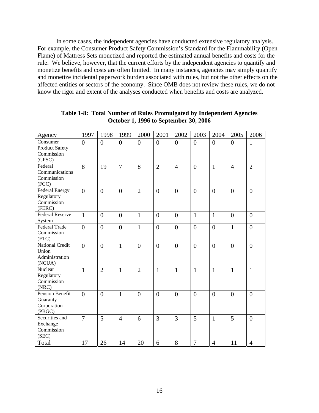In some cases, the independent agencies have conducted extensive regulatory analysis. For example, the Consumer Product Safety Commission's Standard for the Flammability (Open Flame) of Mattress Sets monetized and reported the estimated annual benefits and costs for the rule. We believe, however, that the current efforts by the independent agencies to quantify and monetize benefits and costs are often limited. In many instances, agencies may simply quantify and monetize incidental paperwork burden associated with rules, but not the other effects on the affected entities or sectors of the economy. Since OMB does not review these rules, we do not know the rigor and extent of the analyses conducted when benefits and costs are analyzed.

| Agency                                                    | 1997           | 1998             | 1999           | 2000             | 2001           | 2002             | 2003             | 2004             | 2005           | 2006           |
|-----------------------------------------------------------|----------------|------------------|----------------|------------------|----------------|------------------|------------------|------------------|----------------|----------------|
| Consumer<br><b>Product Safety</b><br>Commission<br>(CPSC) | $\overline{0}$ | $\boldsymbol{0}$ | $\overline{0}$ | $\boldsymbol{0}$ | $\overline{0}$ | $\overline{0}$   | $\overline{0}$   | $\overline{0}$   | $\overline{0}$ | $\mathbf{1}$   |
| Federal<br>Communications<br>Commission<br>(FCC)          | 8              | 19               | $\overline{7}$ | 8                | $\overline{2}$ | $\overline{4}$   | $\overline{0}$   | $\mathbf{1}$     | $\overline{4}$ | $\overline{2}$ |
| Federal Energy<br>Regulatory<br>Commission<br>(FERC)      | $\overline{0}$ | $\overline{0}$   | $\overline{0}$ | $\overline{2}$   | $\overline{0}$ | $\overline{0}$   | $\overline{0}$   | $\overline{0}$   | $\overline{0}$ | $\overline{0}$ |
| <b>Federal Reserve</b><br>System                          | $\mathbf{1}$   | $\boldsymbol{0}$ | $\overline{0}$ | $\mathbf{1}$     | $\overline{0}$ | $\overline{0}$   | $\mathbf{1}$     | $\mathbf{1}$     | $\overline{0}$ | $\overline{0}$ |
| <b>Federal Trade</b><br>Commission<br>(FTC)               | $\overline{0}$ | $\mathbf{0}$     | $\overline{0}$ | $\mathbf{1}$     | $\overline{0}$ | $\boldsymbol{0}$ | $\boldsymbol{0}$ | $\overline{0}$   | $\mathbf{1}$   | $\overline{0}$ |
| National Credit<br>Union<br>Administration<br>(NCUA)      | $\overline{0}$ | $\overline{0}$   | $\mathbf{1}$   | $\boldsymbol{0}$ | $\overline{0}$ | $\overline{0}$   | $\boldsymbol{0}$ | $\boldsymbol{0}$ | $\overline{0}$ | $\overline{0}$ |
| Nuclear<br>Regulatory<br>Commission<br>(NRC)              | $\mathbf{1}$   | $\overline{2}$   | $\mathbf{1}$   | $\overline{2}$   | 1              | $\mathbf{1}$     | $\mathbf{1}$     | $\mathbf{1}$     | $\mathbf{1}$   | $\mathbf{1}$   |
| Pension Benefit<br>Guaranty<br>Corporation<br>(PBGC)      | $\theta$       | $\overline{0}$   | $\mathbf{1}$   | $\overline{0}$   | $\overline{0}$ | $\overline{0}$   | $\overline{0}$   | $\overline{0}$   | $\overline{0}$ | $\overline{0}$ |
| Securities and<br>Exchange<br>Commission<br>(SEC)         | $\overline{7}$ | 5                | $\overline{4}$ | 6                | 3              | $\overline{3}$   | 5                | $\mathbf{1}$     | 5              | $\overline{0}$ |
| Total                                                     | 17             | 26               | 14             | 20               | 6              | 8                | $\overline{7}$   | $\overline{4}$   | 11             | $\overline{4}$ |

**Table 1-8: Total Number of Rules Promulgated by Independent Agencies October 1, 1996 to September 30, 2006**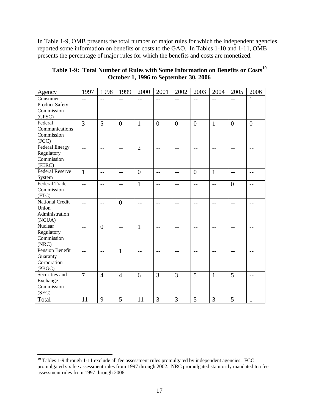<span id="page-21-0"></span>In Table 1-9, OMB presents the total number of major rules for which the independent agencies reported some information on benefits or costs to the GAO. In Tables 1-10 and 1-11, OMB presents the percentage of major rules for which the benefits and costs are monetized.

| Table 1-9: Total Number of Rules with Some Information on Benefits or Costs <sup>19</sup> |
|-------------------------------------------------------------------------------------------|
| <b>October 1, 1996 to September 30, 2006</b>                                              |

| Agency                         | 1997           | 1998           | 1999                     | 2000           | 2001              | 2002           | 2003           | 2004         | 2005             | 2006           |
|--------------------------------|----------------|----------------|--------------------------|----------------|-------------------|----------------|----------------|--------------|------------------|----------------|
| Consumer                       | $-$            | $-$            |                          | $-$            | $-$               | $-$            | $-$            | $-$          | $-$              | $\mathbf{1}$   |
| <b>Product Safety</b>          |                |                |                          |                |                   |                |                |              |                  |                |
| Commission                     |                |                |                          |                |                   |                |                |              |                  |                |
| (CPSC)                         |                |                |                          |                |                   |                |                |              |                  |                |
| Federal                        | 3              | $\overline{5}$ | $\overline{0}$           | $\mathbf{1}$   | $\overline{0}$    | $\overline{0}$ | $\overline{0}$ | $\mathbf{1}$ | $\overline{0}$   | $\overline{0}$ |
| Communications                 |                |                |                          |                |                   |                |                |              |                  |                |
| Commission                     |                |                |                          |                |                   |                |                |              |                  |                |
| (FCC)                          |                |                |                          |                |                   |                |                |              |                  |                |
| <b>Federal Energy</b>          | $-$            | $-$            | $-$                      | $\overline{2}$ | $-$               | --             | $-$            | --           | --               | $-1$           |
| Regulatory                     |                |                |                          |                |                   |                |                |              |                  |                |
| Commission                     |                |                |                          |                |                   |                |                |              |                  |                |
| (FERC)                         |                |                |                          |                |                   |                |                |              |                  |                |
| <b>Federal Reserve</b>         | $\mathbf{1}$   | $-$            | $\overline{\phantom{m}}$ | $\overline{0}$ | $\qquad \qquad -$ | $- -$          | $\overline{0}$ | $\mathbf{1}$ | $-$              | $-$            |
| System<br><b>Federal Trade</b> |                |                |                          |                |                   |                |                |              |                  |                |
| Commission                     | $-$            | $-$            | $-$                      | $\mathbf{1}$   | $-$               | $-$            | --             | $-$          | $\boldsymbol{0}$ | $-$            |
| (FTC)                          |                |                |                          |                |                   |                |                |              |                  |                |
| <b>National Credit</b>         |                |                | $\overline{0}$           |                |                   |                |                |              |                  |                |
| Union                          | $-$            | $-$            |                          | $-$            | $-$               | --             | --             | $-$          | $-$              | $-1$           |
| Administration                 |                |                |                          |                |                   |                |                |              |                  |                |
| (NCUA)                         |                |                |                          |                |                   |                |                |              |                  |                |
| Nuclear                        | $-$            | $\overline{0}$ | $-$                      | $\mathbf{1}$   | $-$               | $-$            | --             | --           | --               | $-$            |
| Regulatory                     |                |                |                          |                |                   |                |                |              |                  |                |
| Commission                     |                |                |                          |                |                   |                |                |              |                  |                |
| (NRC)                          |                |                |                          |                |                   |                |                |              |                  |                |
| Pension Benefit                | $-$            | $-$            | $\mathbf{1}$             | $-$            | --                | $-$            | $-$            | --           | --               | $-1$           |
| Guaranty                       |                |                |                          |                |                   |                |                |              |                  |                |
| Corporation                    |                |                |                          |                |                   |                |                |              |                  |                |
| (PBGC)                         |                |                |                          |                |                   |                |                |              |                  |                |
| Securities and                 | $\overline{7}$ | $\overline{4}$ | $\overline{4}$           | 6              | 3                 | 3              | 5              | $\mathbf{1}$ | 5                | $-$            |
| Exchange                       |                |                |                          |                |                   |                |                |              |                  |                |
| Commission                     |                |                |                          |                |                   |                |                |              |                  |                |
| (SEC)                          |                |                |                          |                |                   |                |                |              |                  |                |
| Total                          | 11             | 9              | 5                        | 11             | 3                 | 3              | 5              | 3            | 5                | $\mathbf{1}$   |

 $\overline{a}$  $19$  Tables 1-9 through 1-11 exclude all fee assessment rules promulgated by independent agencies. FCC promulgated six fee assessment rules from 1997 through 2002. NRC promulgated statutorily mandated ten fee assessment rules from 1997 through 2006.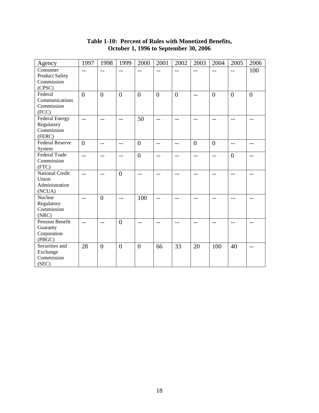| Agency                                                      | 1997           | 1998             | 1999           | 2000           | 2001              | 2002           | 2003           | 2004           | 2005           | 2006           |
|-------------------------------------------------------------|----------------|------------------|----------------|----------------|-------------------|----------------|----------------|----------------|----------------|----------------|
| Consumer<br>Product Safety<br>Commission<br>(CPSC)          | $-$            | $-$              | $=$ $-$        | $=$ $-$        | $-$               | $-$            | $-$            | $-$            | $-$            | 100            |
| Federal<br>Communications<br>Commission<br>(FCC)            | $\overline{0}$ | $\overline{0}$   | $\overline{0}$ | $\overline{0}$ | $\overline{0}$    | $\overline{0}$ | $-$            | $\overline{0}$ | $\overline{0}$ | $\overline{0}$ |
| <b>Federal Energy</b><br>Regulatory<br>Commission<br>(FERC) | $\overline{a}$ | $-$              | $-$            | 50             | $-$               | $-$            | $-$            | $-$            | $-$            | $- -$          |
| <b>Federal Reserve</b><br>System                            | $\overline{0}$ | $-$              | $-$            | $\overline{0}$ | $\qquad \qquad -$ | $-$            | $\overline{0}$ | $\overline{0}$ | $-$            | --             |
| <b>Federal Trade</b><br>Commission<br>(FTC)                 | $\overline{a}$ | $-$              | $-$            | $\overline{0}$ | $-$               | $-$            | $-$            | $-$            | $\overline{0}$ | $-$            |
| <b>National Credit</b><br>Union<br>Administration<br>(NCUA) | $-$            | $-$              | $\overline{0}$ | $-$            | $-$               | $-$            | $-$            | $-$            | $-$            | $-$            |
| Nuclear<br>Regulatory<br>Commission<br>(NRC)                | $-$            | $\overline{0}$   | $-1$           | 100            | --                |                |                | $-1$           | --             |                |
| Pension Benefit<br>Guaranty<br>Corporation<br>(PBGC)        |                | $-$              | $\overline{0}$ |                | --                | --             |                | $-$            | $-$            | --             |
| Securities and<br>Exchange<br>Commission<br>(SEC)           | 28             | $\boldsymbol{0}$ | $\overline{0}$ | $\overline{0}$ | 66                | 33             | 20             | 100            | 40             | $-$            |

# **Table 1-10: Percent of Rules with Monetized Benefits, October 1, 1996 to September 30, 2006**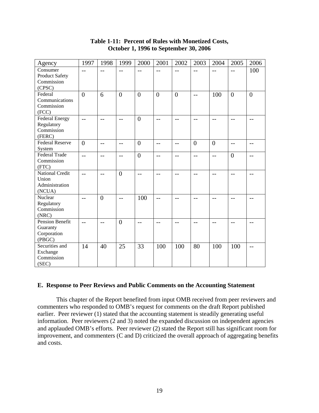| Agency                   | 1997           | 1998           | 1999           | 2000           | 2001           | 2002           | 2003           | 2004           | 2005             | 2006           |
|--------------------------|----------------|----------------|----------------|----------------|----------------|----------------|----------------|----------------|------------------|----------------|
| Consumer                 | $-$            | $-$            | $-$            | $-$            | $-$            | $-$            | $-$            | $-$            | $-$              | 100            |
| Product Safety           |                |                |                |                |                |                |                |                |                  |                |
| Commission               |                |                |                |                |                |                |                |                |                  |                |
| (CPSC)                   |                |                |                |                |                |                |                |                |                  |                |
| Federal                  | $\overline{0}$ | 6              | $\overline{0}$ | $\overline{0}$ | $\overline{0}$ | $\overline{0}$ | $-$            | 100            | $\boldsymbol{0}$ | $\overline{0}$ |
| Communications           |                |                |                |                |                |                |                |                |                  |                |
| Commission               |                |                |                |                |                |                |                |                |                  |                |
| (FCC)                    |                |                |                |                |                |                |                |                |                  |                |
| <b>Federal Energy</b>    | $\overline{a}$ | $-$            | $-$            | $\overline{0}$ | $-$            | $-$            | $-$            | $-$            | $-$              | $-$            |
| Regulatory<br>Commission |                |                |                |                |                |                |                |                |                  |                |
| (FERC)                   |                |                |                |                |                |                |                |                |                  |                |
| <b>Federal Reserve</b>   |                |                |                |                |                |                |                |                |                  |                |
| System                   | $\overline{0}$ | $-$            | $-$            | $\overline{0}$ | $-$            | $-$            | $\overline{0}$ | $\overline{0}$ | $-$              | $-$            |
| <b>Federal Trade</b>     | $-$            |                |                | $\overline{0}$ |                |                |                |                | $\boldsymbol{0}$ |                |
| Commission               |                | $-$            | $-$            |                | $-$            | $-$            | $-$            | $-$            |                  | $-1$           |
| (FTC)                    |                |                |                |                |                |                |                |                |                  |                |
| <b>National Credit</b>   | $\overline{a}$ | $-$            | $\mathbf{0}$   | $-$            | $-$            | $-$            | $-$            | $-$            | $-$              | $-$            |
| Union                    |                |                |                |                |                |                |                |                |                  |                |
| Administration           |                |                |                |                |                |                |                |                |                  |                |
| (NCUA)                   |                |                |                |                |                |                |                |                |                  |                |
| Nuclear                  | $-$            | $\overline{0}$ | $-$            | 100            | $=$ $-$        | $-$            | $-$            | $-1$           | $-$              | --             |
| Regulatory               |                |                |                |                |                |                |                |                |                  |                |
| Commission               |                |                |                |                |                |                |                |                |                  |                |
| (NRC)                    |                |                |                |                |                |                |                |                |                  |                |
| <b>Pension Benefit</b>   | $\overline{a}$ | $-$            | $\overline{0}$ | $-$            | $-$            | $- -$          | $-$            | $-$            | $-$              | $-1$           |
| Guaranty                 |                |                |                |                |                |                |                |                |                  |                |
| Corporation              |                |                |                |                |                |                |                |                |                  |                |
| (PBGC)                   |                |                |                |                |                |                |                |                |                  |                |
| Securities and           | 14             | 40             | 25             | 33             | 100            | 100            | 80             | 100            | 100              | $-$            |
| Exchange                 |                |                |                |                |                |                |                |                |                  |                |
| Commission               |                |                |                |                |                |                |                |                |                  |                |
| (SEC)                    |                |                |                |                |                |                |                |                |                  |                |

# **Table 1-11: Percent of Rules with Monetized Costs, October 1, 1996 to September 30, 2006**

# **E. Response to Peer Reviews and Public Comments on the Accounting Statement**

This chapter of the Report benefited from input OMB received from peer reviewers and commenters who responded to OMB's request for comments on the draft Report published earlier. Peer reviewer (1) stated that the accounting statement is steadily generating useful information. Peer reviewers (2 and 3) noted the expanded discussion on independent agencies and applauded OMB's efforts. Peer reviewer (2) stated the Report still has significant room for improvement, and commenters (C and D) criticized the overall approach of aggregating benefits and costs.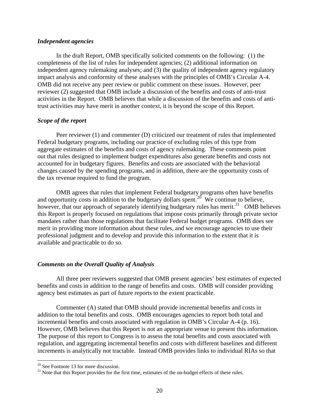# <span id="page-24-0"></span>*Independent agencies*

In the draft Report, OMB specifically solicited comments on the following: (1) the completeness of the list of rules for independent agencies; (2) additional information on independent agency rulemaking analyses; and (3) the quality of independent agency regulatory impact analysis and conformity of these analyses with the principles of OMB's Circular A-4. OMB did not receive any peer review or public comment on these issues. However, peer reviewer (2) suggested that OMB include a discussion of the benefits and costs of anti-trust activities in the Report. OMB believes that while a discussion of the benefits and costs of antitrust activities may have merit in another context, it is beyond the scope of this Report.

# *Scope of the report*

Peer reviewer (1) and commenter (D) criticized our treatment of rules that implemented Federal budgetary programs, including our practice of excluding rules of this type from aggregate estimates of the benefits and costs of agency rulemaking. These comments point out that rules designed to implement budget expenditures also generate benefits and costs not accounted for in budgetary figures. Benefits and costs are associated with the behavioral changes caused by the spending programs, and in addition, there are the opportunity costs of the tax revenue required to fund the program.

OMB agrees that rules that implement Federal budgetary programs often have benefits and opportunity costs in addition to the budgetary dollars spent.<sup>[20](#page-24-0)</sup> We continue to believe, however, that our approach of separately identifying budgetary rules has merit.<sup>[21](#page-24-0)</sup> OMB believes this Report is properly focused on regulations that impose costs primarily through private sector mandates rather than those regulations that facilitate Federal budget programs. OMB does see merit in providing more information about these rules, and we encourage agencies to use their professional judgment and to develop and provide this information to the extent that it is available and practicable to do so.

# *Comments on the Overall Quality of Analysis*

All three peer reviewers suggested that OMB present agencies' best estimates of expected benefits and costs in addition to the range of benefits and costs. OMB will consider providing agency best estimates as part of future reports to the extent practicable.

Commenter (A) stated that OMB should provide incremental benefits and costs in addition to the total benefits and costs. OMB encourages agencies to report both total and incremental benefits and costs associated with regulation in OMB's Circular A-4 (p. 16). However, OMB believes that this Report is not an appropriate venue to present this information. The purpose of this report to Congress is to assess the total benefits and costs associated with regulation, and aggregating incremental benefits and costs with different baselines and different increments is analytically not tractable. Instead OMB provides links to individual RIAs so that

1

<sup>&</sup>lt;sup>20</sup> See Footnote 13 for more discussion.

<sup>&</sup>lt;sup>21</sup> Note that this Report provides for the first time, estimates of the on-budget effects of these rules.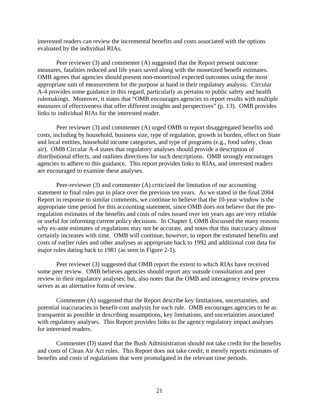interested readers can review the incremental benefits and costs associated with the options evaluated by the individual RIAs.

Peer reviewer (3) and commenter (A) suggested that the Report present outcome measures, fatalities reduced and life years saved along with the monetized benefit estimates. OMB agrees that agencies should present non-monetized expected outcomes using the most appropriate unit of measurement for the purpose at hand in their regulatory analysis. Circular A-4 provides some guidance in this regard, particularly as pertains to public safety and health rulemakings. Moreover, it states that "OMB encourages agencies to report results with multiple measures of effectiveness that offer different insights and perspectives" (p. 13). OMB provides links to individual RIAs for the interested reader.

Peer reviewer (3) and commenter (A) urged OMB to report disaggregated benefits and costs, including by household, business size, type of regulation, growth in burden, effect on State and local entities, household income categories, and type of programs (e.g., food safety, clean air). OMB Circular A-4 states that regulatory analyses should provide a description of distributional effects, and outlines directions for such descriptions. OMB strongly encourages agencies to adhere to this guidance. This report provides links to RIAs, and interested readers are encouraged to examine these analyses.

Peer-reviewer (3) and commenter (A) criticized the limitation of our accounting statement to final rules put in place over the previous ten years. As we stated in the final 2004 Report in response to similar comments, we continue to believe that the 10-year window is the appropriate time period for this accounting statement, since OMB does not believe that the preregulation estimates of the benefits and costs of rules issued over ten years ago are very reliable or useful for informing current policy decisions. In Chapter I, OMB discussed the many reasons why ex-ante estimates of regulations may not be accurate, and notes that this inaccuracy almost certainly increases with time. OMB will continue, however, to report the estimated benefits and costs of earlier rules and other analyses as appropriate back to 1992 and additional cost data for major rules dating back to 1981 (as seen in Figure 2-1).

Peer reviewer (3) suggested that OMB report the extent to which RIAs have received some peer review. OMB believes agencies should report any outside consultation and peer review in their regulatory analyses; but, also notes that the OMB and interagency review process serves as an alternative form of review.

Commenter (A) suggested that the Report describe key limitations, uncertainties, and potential inaccuracies in benefit-cost analysis for each rule. OMB encourages agencies to be as transparent as possible in describing assumptions, key limitations, and uncertainties associated with regulatory analyses. This Report provides links to the agency regulatory impact analyses for interested readers.

Commenter (D) stated that the Bush Administration should not take credit for the benefits and costs of Clean Air Act rules. This Report does not take credit; it merely reports estimates of benefits and costs of regulations that were promulgated in the relevant time periods.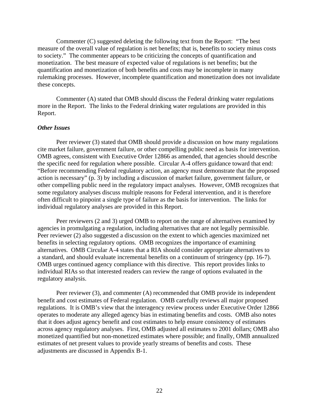Commenter (C) suggested deleting the following text from the Report: "The best measure of the overall value of regulation is net benefits; that is, benefits to society minus costs to society." The commenter appears to be criticizing the concepts of quantification and monetization. The best measure of expected value of regulations is net benefits; but the quantification and monetization of both benefits and costs may be incomplete in many rulemaking processes. However, incomplete quantification and monetization does not invalidate these concepts.

Commenter (A) stated that OMB should discuss the Federal drinking water regulations more in the Report. The links to the Federal drinking water regulations are provided in this Report.

#### *Other Issues*

Peer reviewer (3) stated that OMB should provide a discussion on how many regulations cite market failure, government failure, or other compelling public need as basis for intervention. OMB agrees, consistent with Executive Order 12866 as amended, that agencies should describe the specific need for regulation where possible. Circular A-4 offers guidance toward that end: "Before recommending Federal regulatory action, an agency must demonstrate that the proposed action is necessary" (p. 3) by including a discussion of market failure, government failure, or other compelling public need in the regulatory impact analyses. However, OMB recognizes that some regulatory analyses discuss multiple reasons for Federal intervention, and it is therefore often difficult to pinpoint a single type of failure as the basis for intervention. The links for individual regulatory analyses are provided in this Report.

Peer reviewers (2 and 3) urged OMB to report on the range of alternatives examined by agencies in promulgating a regulation, including alternatives that are not legally permissible. Peer reviewer (2) also suggested a discussion on the extent to which agencies maximized net benefits in selecting regulatory options. OMB recognizes the importance of examining alternatives. OMB Circular A-4 states that a RIA should consider appropriate alternatives to a standard, and should evaluate incremental benefits on a continuum of stringency (pp. 16-7). OMB urges continued agency compliance with this directive. This report provides links to individual RIAs so that interested readers can review the range of options evaluated in the regulatory analysis.

Peer reviewer (3), and commenter (A) recommended that OMB provide its independent benefit and cost estimates of Federal regulation. OMB carefully reviews all major proposed regulations. It is OMB's view that the interagency review process under Executive Order 12866 operates to moderate any alleged agency bias in estimating benefits and costs. OMB also notes that it does adjust agency benefit and cost estimates to help ensure consistency of estimates across agency regulatory analyses. First, OMB adjusted all estimates to 2001 dollars; OMB also monetized quantified but non-monetized estimates where possible; and finally, OMB annualized estimates of net present values to provide yearly streams of benefits and costs. These adjustments are discussed in Appendix B-1.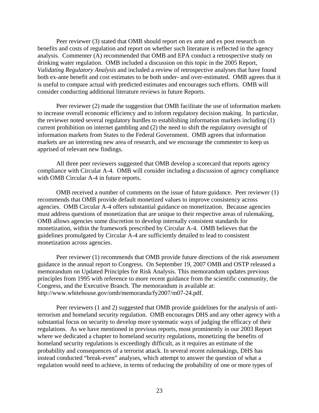Peer reviewer (3) stated that OMB should report on ex ante and ex post research on benefits and costs of regulation and report on whether such literature is reflected in the agency analysis. Commenter (A) recommended that OMB and EPA conduct a retrospective study on drinking water regulation. OMB included a discussion on this topic in the 2005 Report, *Validating Regulatory Analysis* and included a review of retrospective analyses that have found both ex-ante benefit and cost estimates to be both under- and over-estimated. OMB agrees that it is useful to compare actual with predicted estimates and encourages such efforts. OMB will consider conducting additional literature reviews in future Reports.

Peer reviewer (2) made the suggestion that OMB facilitate the use of information markets to increase overall economic efficiency and to inform regulatory decision making. In particular, the reviewer noted several regulatory hurdles to establishing information markets including (1) current prohibition on internet gambling and (2) the need to shift the regulatory oversight of information markets from States to the Federal Government. OMB agrees that information markets are an interesting new area of research, and we encourage the commenter to keep us apprised of relevant new findings.

All three peer reviewers suggested that OMB develop a scorecard that reports agency compliance with Circular A-4. OMB will consider including a discussion of agency compliance with OMB Circular A-4 in future reports.

OMB received a number of comments on the issue of future guidance. Peer reviewer (1) recommends that OMB provide default monetized values to improve consistency across agencies. OMB Circular A-4 offers substantial guidance on monetization. Because agencies must address questions of monetization that are unique to their respective areas of rulemaking, OMB allows agencies some discretion to develop internally consistent standards for monetization, within the framework prescribed by Circular A-4. OMB believes that the guidelines promulgated by Circular A-4 are sufficiently detailed to lead to consistent monetization across agencies.

Peer reviewer (1) recommends that OMB provide future directions of the risk assessment guidance in the annual report to Congress. On September 19, 2007 OMB and OSTP released a memorandum on Updated Principles for Risk Analysis. This memorandum updates previous principles from 1995 with reference to more recent guidance from the scientific community, the Congress, and the Executive Branch. The memorandum is available at: http://www.whitehouse.gov/omb/memoranda/fy2007/m07-24.pdf.

Peer reviewers (1 and 2) suggested that OMB provide guidelines for the analysis of antiterrorism and homeland security regulation. OMB encourages DHS and any other agency with a substantial focus on security to develop more systematic ways of judging the efficacy of their regulations. As we have mentioned in previous reports, most prominently in our 2003 Report where we dedicated a chapter to homeland security regulations, monetizing the benefits of homeland security regulations is exceedingly difficult, as it requires an estimate of the probability and consequences of a terrorist attack. In several recent rulemakings, DHS has instead conducted "break-even" analyses, which attempt to answer the question of what a regulation would need to achieve, in terms of reducing the probability of one or more types of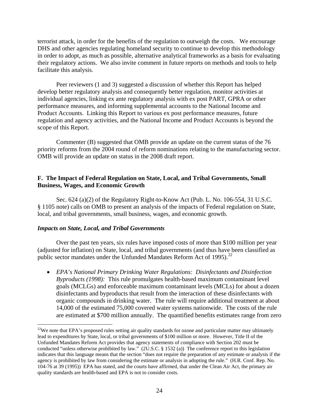<span id="page-28-0"></span>terrorist attack, in order for the benefits of the regulation to outweigh the costs. We encourage DHS and other agencies regulating homeland security to continue to develop this methodology in order to adopt, as much as possible, alternative analytical frameworks as a basis for evaluating their regulatory actions. We also invite comment in future reports on methods and tools to help facilitate this analysis.

Peer reviewers (1 and 3) suggested a discussion of whether this Report has helped develop better regulatory analysis and consequently better regulation, monitor activities at individual agencies, linking ex ante regulatory analysis with ex post PART, GPRA or other performance measures, and informing supplemental accounts to the National Income and Product Accounts. Linking this Report to various ex post performance measures, future regulation and agency activities, and the National Income and Product Accounts is beyond the scope of this Report.

 Commenter (B) suggested that OMB provide an update on the current status of the 76 priority reforms from the 2004 round of reform nominations relating to the manufacturing sector. OMB will provide an update on status in the 2008 draft report.

# **F. The Impact of Federal Regulation on State, Local, and Tribal Governments, Small Business, Wages, and Economic Growth**

Sec. 624 (a)(2) of the Regulatory Right-to-Know Act (Pub. L. No. 106-554, 31 U.S.C. § 1105 note) calls on OMB to present an analysis of the impacts of Federal regulation on State, local, and tribal governments, small business, wages, and economic growth.

# *Impacts on State, Local, and Tribal Governments*

 $\overline{a}$ 

Over the past ten years, six rules have imposed costs of more than \$100 million per year (adjusted for inflation) on State, local, and tribal governments (and thus have been classified as public sector mandates under the Unfunded Mandates Reform Act of 1995).<sup>[22](#page-28-0)</sup>

• *EPA's National Primary Drinking Water Regulations: Disinfectants and Disinfection Byproducts (1998):* This rule promulgates health-based maximum contaminant level goals (MCLGs) and enforceable maximum contaminant levels (MCLs) for about a dozen disinfectants and byproducts that result from the interaction of these disinfectants with organic compounds in drinking water. The rule will require additional treatment at about 14,000 of the estimated 75,000 covered water systems nationwide. The costs of the rule are estimated at \$700 million annually. The quantified benefits estimates range from zero

 $22$ We note that EPA's proposed rules setting air quality standards for ozone and particulate matter may ultimately lead to expenditures by State, local, or tribal governments of \$100 million or more. However, Title II of the Unfunded Mandates Reform Act provides that agency statements of compliance with Section 202 must be conducted "unless otherwise prohibited by law." (2U.S.C. § 1532 (a)) The conference report to this legislation indicates that this language means that the section "does not require the preparation of any estimate or analysis if the agency is prohibited by law from considering the estimate or analysis in adopting the rule." (H.R. Conf. Rep. No. 104-76 at 39 (1995)) EPA has stated, and the courts have affirmed, that under the Clean Air Act, the primary air quality standards are health-based and EPA is not to consider costs.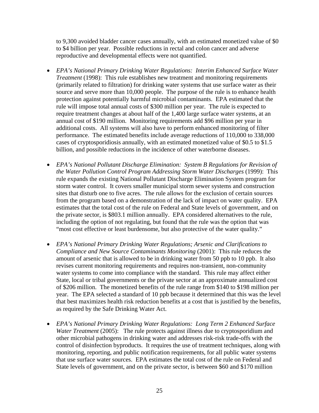to 9,300 avoided bladder cancer cases annually, with an estimated monetized value of \$0 to \$4 billion per year. Possible reductions in rectal and colon cancer and adverse reproductive and developmental effects were not quantified.

- *EPA's National Primary Drinking Water Regulations: Interim Enhanced Surface Water Treatment* (1998): This rule establishes new treatment and monitoring requirements (primarily related to filtration) for drinking water systems that use surface water as their source and serve more than 10,000 people. The purpose of the rule is to enhance health protection against potentially harmful microbial contaminants. EPA estimated that the rule will impose total annual costs of \$300 million per year. The rule is expected to require treatment changes at about half of the 1,400 large surface water systems, at an annual cost of \$190 million. Monitoring requirements add \$96 million per year in additional costs. All systems will also have to perform enhanced monitoring of filter performance. The estimated benefits include average reductions of 110,000 to 338,000 cases of cryptosporidiosis annually, with an estimated monetized value of \$0.5 to \$1.5 billion, and possible reductions in the incidence of other waterborne diseases.
- *EPA's National Pollutant Discharge Elimination: System B Regulations for Revision of the Water Pollution Control Program Addressing Storm Water Discharges* (1999): This rule expands the existing National Pollutant Discharge Elimination System program for storm water control. It covers smaller municipal storm sewer systems and construction sites that disturb one to five acres. The rule allows for the exclusion of certain sources from the program based on a demonstration of the lack of impact on water quality. EPA estimates that the total cost of the rule on Federal and State levels of government, and on the private sector, is \$803.1 million annually. EPA considered alternatives to the rule, including the option of not regulating, but found that the rule was the option that was "most cost effective or least burdensome, but also protective of the water quality."
- *EPA's National Primary Drinking Water Regulations; Arsenic and Clarifications to Compliance and New Source Contaminants Monitoring* (2001): This rule reduces the amount of arsenic that is allowed to be in drinking water from 50 ppb to 10 ppb. It also revises current monitoring requirements and requires non-transient, non-community water systems to come into compliance with the standard. This rule may affect either State, local or tribal governments or the private sector at an approximate annualized cost of \$206 million. The monetized benefits of the rule range from \$140 to \$198 million per year. The EPA selected a standard of 10 ppb because it determined that this was the level that best maximizes health risk reduction benefits at a cost that is justified by the benefits, as required by the Safe Drinking Water Act.
- *EPA's National Primary Drinking Water Regulations: Long Term 2 Enhanced Surface Water Treatment* (2005): The rule protects against illness due to cryptosporidium and other microbial pathogens in drinking water and addresses risk-risk trade-offs with the control of disinfection byproducts. It requires the use of treatment techniques, along with monitoring, reporting, and public notification requirements, for all public water systems that use surface water sources. EPA estimates the total cost of the rule on Federal and State levels of government, and on the private sector, is between \$60 and \$170 million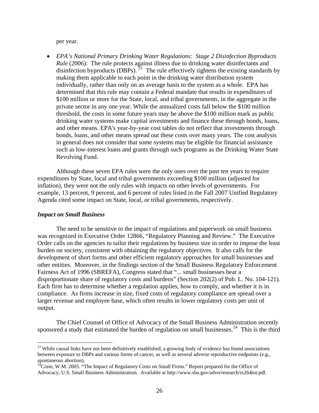<span id="page-30-0"></span>per year.

• *EPA's National Primary Drinking Water Regulations: Stage 2 Disinfection Byproducts Rule* (2006): The rule protects against illness due to drinking water disinfectants and disinfection byproducts (DBPs).<sup>[23](#page-30-0)</sup> The rule effectively tightens the existing standards by making them applicable to each point in the drinking water distribution system individually, rather than only on an average basis to the system as a whole. EPA has determined that this rule may contain a Federal mandate that results in expenditures of \$100 million or more for the State, local, and tribal governments, in the aggregate in the private sector in any one year. While the annualized costs fall below the \$100 million threshold, the costs in some future years may be above the \$100 million mark as public drinking water systems make capital investments and finance these through bonds, loans, and other means. EPA's year-by-year cost tables do not reflect that investments through bonds, loans, and other means spread out these costs over many years. The cost analysis in general does not consider that some systems may be eligible for financial assistance such as low-interest loans and grants through such programs as the Drinking Water State Revolving Fund.

Although these seven EPA rules were the only ones over the past ten years to require expenditures by State, local and tribal governments exceeding \$100 million (adjusted for inflation), they were not the only rules with impacts on other levels of governments. For example, 13 percent, 9 percent, and 6 percent of rules listed in the Fall 2007 Unified Regulatory Agenda cited some impact on State, local, or tribal governments, respectively.

#### *Impact on Small Business*

1

The need to be sensitive to the impact of regulations and paperwork on small business was recognized in Executive Order 12866, "Regulatory Planning and Review." The Executive Order calls on the agencies to tailor their regulations by business size in order to impose the least burden on society, consistent with obtaining the regulatory objectives. It also calls for the development of short forms and other efficient regulatory approaches for small businesses and other entities. Moreover, in the findings section of the Small Business Regulatory Enforcement Fairness Act of 1996 (SBREFA), Congress stated that "... small businesses bear a disproportionate share of regulatory costs and burdens" (Section 202(2) of Pub. L. No. 104-121). Each firm has to determine whether a regulation applies, how to comply, and whether it is in compliance. As firms increase in size, fixed costs of regulatory compliance are spread over a larger revenue and employee base, which often results in lower regulatory costs per unit of output.

The Chief Counsel of Office of Advocacy of the Small Business Administration recently sponsored a study that estimated the burden of regulation on small businesses.<sup>[24](#page-30-0)</sup> This is the third

 $23$  While causal links have not been definitively established, a growing body of evidence has found associations between exposure to DBPs and various forms of cancer, as well as several adverse reproductive endpoints (e.g., spontaneous abortion).

 $2^{24}$ Crain, W.M. 2005. "The Impact of Regulatory Costs on Small Firms." Report prepared for the Office of Advocacy, U.S. Small Business Administration. Available at http://www.sba.gov/advo/research/rs264tot.pdf.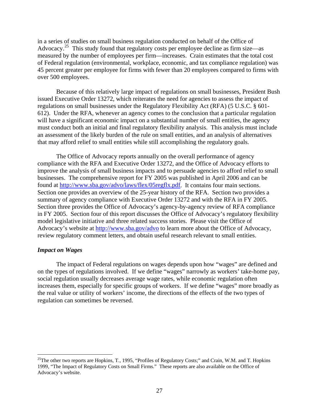<span id="page-31-0"></span>in a series of studies on small business regulation conducted on behalf of the Office of Advocacy.<sup>[25](#page-31-0)</sup> This study found that regulatory costs per employee decline as firm size—as measured by the number of employees per firm—increases. Crain estimates that the total cost of Federal regulation (environmental, workplace, economic, and tax compliance regulation) was 45 percent greater per employee for firms with fewer than 20 employees compared to firms with over 500 employees.

Because of this relatively large impact of regulations on small businesses, President Bush issued Executive Order 13272, which reiterates the need for agencies to assess the impact of regulations on small businesses under the Regulatory Flexibility Act (RFA) (5 U.S.C. § 601- 612). Under the RFA, whenever an agency comes to the conclusion that a particular regulation will have a significant economic impact on a substantial number of small entities, the agency must conduct both an initial and final regulatory flexibility analysis. This analysis must include an assessment of the likely burden of the rule on small entities, and an analysis of alternatives that may afford relief to small entities while still accomplishing the regulatory goals.

The Office of Advocacy reports annually on the overall performance of agency compliance with the RFA and Executive Order 13272, and the Office of Advocacy efforts to improve the analysis of small business impacts and to persuade agencies to afford relief to small businesses. The comprehensive report for FY 2005 was published in April 2006 and can be found at <http://www.sba.gov/advo/laws/flex/05regflx.pdf>. It contains four main sections. Section one provides an overview of the 25-year history of the RFA. Section two provides a summary of agency compliance with Executive Order 13272 and with the RFA in FY 2005. Section three provides the Office of Advocacy's agency-by-agency review of RFA compliance in FY 2005. Section four of this report discusses the Office of Advocacy's regulatory flexibility model legislative initiative and three related success stories. Please visit the Office of Advocacy's website at <http://www.sba.gov/advo>to learn more about the Office of Advocacy, review regulatory comment letters, and obtain useful research relevant to small entities.

#### *Impact on Wages*

 $\overline{a}$ 

The impact of Federal regulations on wages depends upon how "wages" are defined and on the types of regulations involved. If we define "wages" narrowly as workers' take-home pay, social regulation usually decreases average wage rates, while economic regulation often increases them, especially for specific groups of workers. If we define "wages" more broadly as the real value or utility of workers' income, the directions of the effects of the two types of regulation can sometimes be reversed.

<sup>&</sup>lt;sup>25</sup>The other two reports are Hopkins, T., 1995, "Profiles of Regulatory Costs;" and Crain, W.M. and T. Hopkins 1999, "The Impact of Regulatory Costs on Small Firms." These reports are also available on the Office of Advocacy's website.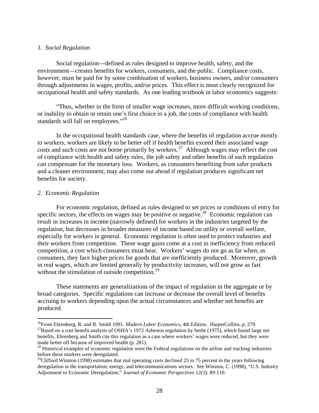# <span id="page-32-0"></span>*1. Social Regulation*

Social regulation—defined as rules designed to improve health, safety, and the environment—creates benefits for workers, consumers, and the public. Compliance costs, however, must be paid for by some combination of workers, business owners, and/or consumers through adjustments in wages, profits, and/or prices. This effect is most clearly recognized for occupational health and safety standards. As one leading textbook in labor economics suggests:

"Thus, whether in the form of smaller wage increases, more difficult working conditions, or inability to obtain or retain one's first choice in a job, the costs of compliance with health standards will fall on employees."<sup>[26](#page-32-0)</sup>

In the occupational health standards case, where the benefits of regulation accrue mostly to workers, workers are likely to be better off if health benefits exceed their associated wage costs and such costs are not borne primarily by workers.<sup>[27](#page-32-0)</sup> Although wages may reflect the cost of compliance with health and safety rules, the job safety and other benefits of such regulation can compensate for the monetary loss. Workers, as consumers benefiting from safer products and a cleaner environment, may also come out ahead if regulation produces significant net benefits for society.

# *2. Economic Regulation*

 $\overline{a}$ 

For economic regulation, defined as rules designed to set prices or conditions of entry for specific sectors, the effects on wages may be positive or negative.<sup>[28](#page-32-0)</sup> Economic regulation can result in increases in income (narrowly defined) for workers in the industries targeted by the regulation, but decreases in broader measures of income based on utility or overall welfare, especially for workers in general. Economic regulation is often used to protect industries and their workers from competition. These wage gains come at a cost in inefficiency from reduced competition, a cost which consumers must bear. Workers' wages do not go as far when, as consumers, they face higher prices for goods that are inefficiently produced. Moreover, growth in real wages, which are limited generally by productivity increases, will not grow as fast without the stimulation of outside competition.<sup>[29](#page-32-0)</sup>

These statements are generalizations of the impact of regulation in the aggregate or by broad categories. Specific regulations can increase or decrease the overall level of benefits accruing to workers depending upon the actual circumstances and whether net benefits are produced.

<sup>&</sup>lt;sup>26</sup>From Ehrenberg, R. and R. Smith 1991. *Modern Labor Economics*, 4th Edition. HarperCollins, p. 279.<br><sup>27</sup>Based on a cost benefit analysis of OSHA's 1972 Asbestos regulation by Settle (1975), which found large net benefits, Ehrenberg and Smith cite this regulation as a case where workers' wages were reduced, but they were made better off because of improved health (p. 281).

<sup>&</sup>lt;sup>28</sup> Historical examples of economic regulation were the Federal regulations on the airline and trucking industries before these markets were deregulated.

 $^{29}$ Clifford Winston (1998) estimates that real operating costs declined 25 to 75 percent in the years following deregulation in the transportation, energy, and telecommunications sectors. See Winston, C. (1998), "U.S. Industry Adjustment to Economic Deregulation," *Journal of Economic Perspectives* 12(3): 89-110.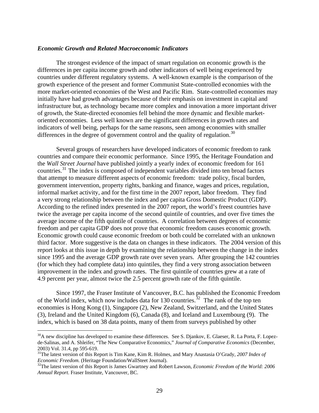#### <span id="page-33-0"></span>*Economic Growth and Related Macroeconomic Indicators*

The strongest evidence of the impact of smart regulation on economic growth is the differences in per capita income growth and other indicators of well being experienced by countries under different regulatory systems. A well-known example is the comparison of the growth experience of the present and former Communist State-controlled economies with the more market-oriented economies of the West and Pacific Rim. State-controlled economies may initially have had growth advantages because of their emphasis on investment in capital and infrastructure but, as technology became more complex and innovation a more important driver of growth, the State-directed economies fell behind the more dynamic and flexible marketoriented economies. Less well known are the significant differences in growth rates and indicators of well being, perhaps for the same reasons, seen among economies with smaller differences in the degree of government control and the quality of regulation.<sup>[30](#page-33-0)</sup>

Several groups of researchers have developed indicators of economic freedom to rank countries and compare their economic performance. Since 1995, the Heritage Foundation and the *Wall Street Journal* have published jointly a yearly index of economic freedom for 161 countries.<sup>[31](#page-33-0)</sup> The index is composed of independent variables divided into ten broad factors that attempt to measure different aspects of economic freedom: trade policy, fiscal burden, government intervention, property rights, banking and finance, wages and prices, regulation, informal market activity, and for the first time in the 2007 report, labor freedom. They find a very strong relationship between the index and per capita Gross Domestic Product (GDP). According to the refined index presented in the 2007 report, the world's freest countries have twice the average per capita income of the second quintile of countries, and over five times the average income of the fifth quintile of countries. A correlation between degrees of economic freedom and per capita GDP does not prove that economic freedom causes economic growth. Economic growth could cause economic freedom or both could be correlated with an unknown third factor. More suggestive is the data on changes in these indicators. The 2004 version of this report looks at this issue in depth by examining the relationship between the change in the index since 1995 and the average GDP growth rate over seven years. After grouping the 142 countries (for which they had complete data) into quintiles, they find a very strong association between improvement in the index and growth rates. The first quintile of countries grew at a rate of 4.9 percent per year, almost twice the 2.5 percent growth rate of the fifth quintile.

Since 1997, the Fraser Institute of Vancouver, B.C. has published the Economic Freedom of the World index, which now includes data for  $130$  countries.<sup>[32](#page-33-0)</sup> The rank of the top ten economies is Hong Kong (1), Singapore (2), New Zealand, Switzerland, and the United States (3), Ireland and the United Kingdom (6), Canada (8), and Iceland and Luxembourg (9). The index, which is based on 38 data points, many of them from surveys published by other

 $\overline{a}$ 

<sup>&</sup>lt;sup>30</sup>A new discipline has developed to examine these differences. See S. Djankov, E. Glaeser, R. La Porta, F. Lopezde-Salinas, and A. Shleifer, "The New Comparative Economics," *Journal of Comparative Economics* (December, 2003) Vol. 31.4, pp 595-619.

<sup>31</sup>The latest version of this Report is Tim Kane, Kim R. Holmes, and Mary Anastasia O'Grady, *2007 Index of Economic Freedom.* (Heritage Foundation/WallSteet Journal). <sup>32</sup>The latest version of this Report is James Gwartney and Robert Lawson, *Economic Freedom of the World: 2006* 

*Annual Report*. Fraser Institute, Vancouver, BC.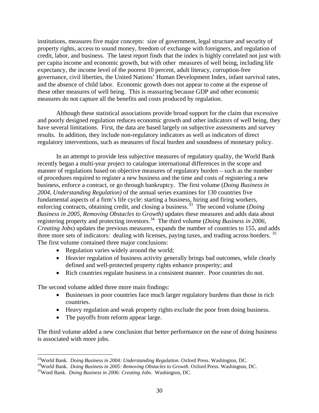<span id="page-34-0"></span>institutions, measures five major concepts: size of government, legal structure and security of property rights, access to sound money, freedom of exchange with foreigners, and regulation of credit, labor, and business. The latest report finds that the index is highly correlated not just with per capita income and economic growth, but with other measures of well being, including life expectancy, the income level of the poorest 10 percent, adult literacy, corruption-free governance, civil liberties, the United Nations' Human Development Index, infant survival rates, and the absence of child labor. Economic growth does not appear to come at the expense of these other measures of well being. This is reassuring because GDP and other economic measures do not capture all the benefits and costs produced by regulation.

Although these statistical associations provide broad support for the claim that excessive and poorly designed regulation reduces economic growth and other indicators of well being, they have several limitations. First, the data are based largely on subjective assessments and survey results. In addition, they include non-regulatory indicators as well as indicators of direct regulatory interventions, such as measures of fiscal burden and soundness of monetary policy.

In an attempt to provide less subjective measures of regulatory quality, the World Bank recently began a multi-year project to catalogue international differences in the scope and manner of regulations based on objective measures of regulatory burden – such as the number of procedures required to register a new business and the time and costs of registering a new business, enforce a contract, or go through bankruptcy. The first volume (*Doing Business in 2004, Understanding Regulation)* of the annual series examines for 130 countries five fundamental aspects of a firm's life cycle: starting a business, hiring and firing workers, enforcing contracts, obtaining credit, and closing a business.<sup>[33](#page-34-0)</sup> The second volume (*Doing Business in 2005, Removing Obstacles to Growth)* updates these measures and adds data about registering property and protecting investors.[34](#page-34-0) The third volume (*Doing Business in 2006, Creating Jobs*) updates the previous measures, expands the number of countries to 155, and adds three more sets of indicators: dealing with licenses, paying taxes, and trading across borders.<sup>[35](#page-34-0)</sup> The first volume contained three major conclusions:

- Regulation varies widely around the world;
- Heavier regulation of business activity generally brings bad outcomes, while clearly defined and well-protected property rights enhance prosperity; and
- Rich countries regulate business in a consistent manner. Poor countries do not.

The second volume added three more main findings:

 $\overline{a}$ 

- Businesses in poor countries face much larger regulatory burdens than those in rich countries.
- Heavy regulation and weak property rights exclude the poor from doing business.
- The payoffs from reform appear large.

The third volume added a new conclusion that better performance on the ease of doing business is associated with more jobs.

<sup>&</sup>lt;sup>33</sup>World Bank. *Doing Business in 2004: Understanding Regulation*. Oxford Press. Washington, DC.<br><sup>34</sup>World Bank. *Doing Business in 2005: Removing Obstacles to Growth*. Oxford Press. Washington, DC.<br><sup>35</sup>Word Bank. *Doing*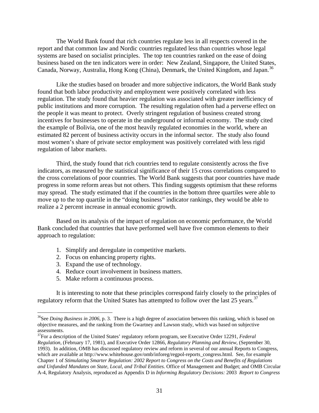<span id="page-35-0"></span>The World Bank found that rich countries regulate less in all respects covered in the report and that common law and Nordic countries regulated less than countries whose legal systems are based on socialist principles. The top ten countries ranked on the ease of doing business based on the ten indicators were in order: New Zealand, Singapore, the United States, Canada, Norway, Australia, Hong Kong (China), Denmark, the United Kingdom, and Japan.<sup>[36](#page-35-0)</sup>

Like the studies based on broader and more subjective indicators, the World Bank study found that both labor productivity and employment were positively correlated with less regulation. The study found that heavier regulation was associated with greater inefficiency of public institutions and more corruption. The resulting regulation often had a perverse effect on the people it was meant to protect. Overly stringent regulation of business created strong incentives for businesses to operate in the underground or informal economy. The study cited the example of Bolivia, one of the most heavily regulated economies in the world, where an estimated 82 percent of business activity occurs in the informal sector. The study also found most women's share of private sector employment was positively correlated with less rigid regulation of labor markets.

Third, the study found that rich countries tend to regulate consistently across the five indicators, as measured by the statistical significance of their 15 cross correlations compared to the cross correlations of poor countries. The World Bank suggests that poor countries have made progress in some reform areas but not others. This finding suggests optimism that these reforms may spread. The study estimated that if the countries in the bottom three quartiles were able to move up to the top quartile in the "doing business" indicator rankings, they would be able to realize a 2 percent increase in annual economic growth.

Based on its analysis of the impact of regulation on economic performance, the World Bank concluded that countries that have performed well have five common elements to their approach to regulation:

- 1. Simplify and deregulate in competitive markets.
- 2. Focus on enhancing property rights.
- 3. Expand the use of technology.

 $\overline{a}$ 

- 4. Reduce court involvement in business matters.
- 5. Make reform a continuous process.

 It is interesting to note that these principles correspond fairly closely to the principles of regulatory reform that the United States has attempted to follow over the last 25 years.<sup>[37](#page-35-0)</sup>

<sup>&</sup>lt;sup>36</sup>See *Doing Business in 2006*, p. 3. There is a high degree of association between this ranking, which is based on objective measures, and the ranking from the Gwartney and Lawson study, which was based on subjective assessments.

<sup>37</sup>For a description of the United States' regulatory reform program, see Executive Order 12291, *Federal Regulation*, (February 17, 1981), and Executive Order 12866, *Regulatory Planning and Review*, (September 30, 1993). In addition, OMB has discussed regulatory review and reform in several of our annual Reports to Congress, which are available at http://www.whitehouse.gov/omb/inforeg/regpol-reports\_congress.html. See, for example Chapter 1 of *Stimulating Smarter Regulation: 2002 Report to Congress on the Costs and Benefits of Regulations and Unfunded Mandates on State, Local, and Tribal Entities*. Office of Management and Budget; and OMB Circular A-4, Regulatory Analysis, reproduced as Appendix D in *Informing Regulatory Decisions:* 2003 *Report to Congress*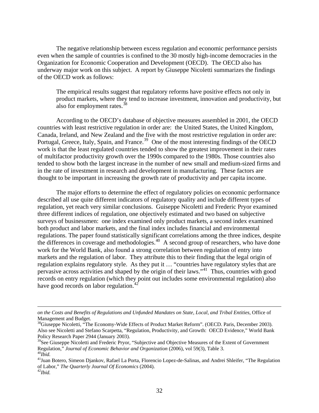<span id="page-36-0"></span>The negative relationship between excess regulation and economic performance persists even when the sample of countries is confined to the 30 mostly high-income democracies in the Organization for Economic Cooperation and Development (OECD). The OECD also has underway major work on this subject. A report by Giuseppe Nicoletti summarizes the findings of the OECD work as follows:

The empirical results suggest that regulatory reforms have positive effects not only in product markets, where they tend to increase investment, innovation and productivity, but also for employment rates.<sup>[38](#page-36-0)</sup>

According to the OECD's database of objective measures assembled in 2001, the OECD countries with least restrictive regulation in order are: the United States, the United Kingdom, Canada, Ireland, and New Zealand and the five with the most restrictive regulation in order are: Portugal, Greece, Italy, Spain, and France.<sup>[39](#page-36-0)</sup> One of the most interesting findings of the OECD work is that the least regulated countries tended to show the greatest improvement in their rates of multifactor productivity growth over the 1990s compared to the 1980s. Those countries also tended to show both the largest increase in the number of new small and medium-sized firms and in the rate of investment in research and development in manufacturing. These factors are thought to be important in increasing the growth rate of productivity and per capita income.

The major efforts to determine the effect of regulatory policies on economic performance described all use quite different indicators of regulatory quality and include different types of regulation, yet reach very similar conclusions. Guiseppe Nicoletti and Frederic Pryor examined three different indices of regulation, one objectively estimated and two based on subjective surveys of businessmen: one index examined only product markets, a second index examined both product and labor markets, and the final index includes financial and environmental regulations. The paper found statistically significant correlations among the three indices, despite the differences in coverage and methodologies.<sup>[40](#page-36-0)</sup> A second group of researchers, who have done work for the World Bank, also found a strong correlation between regulation of entry into markets and the regulation of labor. They attribute this to their finding that the legal origin of regulation explains regulatory style. As they put it … "countries have regulatory styles that are pervasive across activities and shaped by the origin of their laws."[41](#page-36-0) Thus, countries with good records on entry regulation (which they point out includes some environmental regulation) also have good records on labor regulation.<sup>4</sup>

*on the Costs and Benefits of Regulations and Unfunded Mandates on State, Local, and Tribal Entities,* Office of Management and Budget.

<sup>&</sup>lt;sup>38</sup>Giuseppe Nicoletti, "The Economy-Wide Effects of Product Market Reform". (OECD. Paris, December 2003). Also see Nicoletti and Stefano Scarpetta, "Regulation, Productivity, and Growth: OECD Evidence," World Bank Policy Research Paper 2944 (January 2003).

<sup>&</sup>lt;sup>39</sup>See Giuseppe Nicoletti and Frederic Pryor, "Subjective and Objective Measures of the Extent of Government Regulation," *Journal of Economic Behavior and Organization* (2006), vol 59(3), Table 3. 40*Ibid.*

<sup>41</sup>Juan Botero, Simeon Djankov, Rafael La Porta, Florencio Lopez-de-Salinas, and Andrei Shleifer, "The Regulation of Labor," *The Quarterly Journal Of Economics* (2004). 42*Ibid.*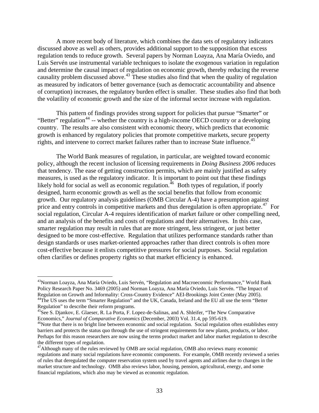<span id="page-37-0"></span>A more recent body of literature, which combines the data sets of regulatory indicators discussed above as well as others, provides additional support to the supposition that excess regulation tends to reduce growth. Several papers by Norman Loayza, Ana María Oviedo, and Luis Servén use instrumental variable techniques to isolate the exogenous variation in regulation and determine the causal impact of regulation on economic growth, thereby reducing the reverse causality problem discussed above.[43](#page-37-0) These studies also find that when the quality of regulation as measured by indicators of better governance (such as democratic accountability and absence of corruption) increases, the regulatory burden effect is smaller. These studies also find that both the volatility of economic growth and the size of the informal sector increase with regulation.

This pattern of findings provides strong support for policies that pursue "Smarter" or "Better" regulation<sup>[44](#page-37-0)</sup> -- whether the country is a high-income OECD country or a developing country. The results are also consistent with economic theory, which predicts that economic growth is enhanced by regulatory policies that promote competitive markets, secure property rights, and intervene to correct market failures rather than to increase State influence.<sup>[45](#page-37-0)</sup>

The World Bank measures of regulation, in particular, are weighted toward economic policy, although the recent inclusion of licensing requirements in *Doing Business 2006* reduces that tendency. The ease of getting construction permits, which are mainly justified as safety measures, is used as the regulatory indicator. It is important to point out that these findings likely hold for social as well as economic regulation.<sup>[46](#page-37-0)</sup> Both types of regulation, if poorly designed, harm economic growth as well as the social benefits that follow from economic growth. Our regulatory analysis guidelines (OMB Circular A-4) have a presumption against price and entry controls in competitive markets and thus deregulation is often appropriate.<sup>[47](#page-37-0)</sup> For social regulation, Circular A-4 requires identification of market failure or other compelling need, and an analysis of the benefits and costs of regulations and their alternatives. In this case, smarter regulation may result in rules that are more stringent, less stringent, or just better designed to be more cost-effective. Regulation that utilizes performance standards rather than design standards or uses market-oriented approaches rather than direct controls is often more cost-effective because it enlists competitive pressures for social purposes. Social regulation often clarifies or defines property rights so that market efficiency is enhanced.

1

<sup>&</sup>lt;sup>43</sup>Norman Loayza, Ana María Oviedo, Luis Servén, "Regulation and Macroeconmic Performance," World Bank Policy Research Paper No. 3469 (2005) and Norman Loayza, Ana María Oviedo, Luis Servén. "The Impact of Regulation on Growth and Informality: Cross-Country Evidence" AEI-Brookings Joint Center (May 2005). 44The US uses the term "Smarter Regulation" and the UK, Canada, Ireland and the EU all use the term "Better Regulation" to describe their reform programs.

<sup>&</sup>lt;sup>45</sup>See S. Djankov, E. Glaeser, R. La Porta, F. Lopez-de-Salinas, and A. Shleifer, "The New Comparative Economics," *Journal of Comparative Economics* (December, 2003) Vol. 31.4, pp 595-619.

<sup>&</sup>lt;sup>46</sup>Note that there is no bright line between economic and social regulation. Social regulation often establishes entry barriers and protects the status quo through the use of stringent requirements for new plants, products, or labor. Perhaps for this reason researchers are now using the terms product market and labor market regulation to describe the different types of regulation.

<sup>&</sup>lt;sup>47</sup>Although many of the rules reviewed by OMB are social regulation, OMB also reviews many economic regulations and many social regulations have economic components. For example, OMB recently reviewed a series of rules that deregulated the computer reservation system used by travel agents and airlines due to changes in the market structure and technology. OMB also reviews labor, housing, pension, agricultural, energy, and some financial regulations, which also may be viewed as economic regulation.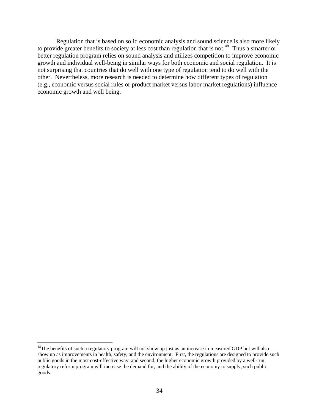<span id="page-38-0"></span>Regulation that is based on solid economic analysis and sound science is also more likely to provide greater benefits to society at less cost than regulation that is not.<sup>[48](#page-38-0)</sup> Thus a smarter or better regulation program relies on sound analysis and utilizes competition to improve economic growth and individual well-being in similar ways for both economic and social regulation. It is not surprising that countries that do well with one type of regulation tend to do well with the other. Nevertheless, more research is needed to determine how different types of regulation (e.g., economic versus social rules or product market versus labor market regulations) influence economic growth and well being.

<sup>&</sup>lt;sup>48</sup>The benefits of such a regulatory program will not show up just as an increase in measured GDP but will also show up as improvements in health, safety, and the environment. First, the regulations are designed to provide such public goods in the most cost-effective way, and second, the higher economic growth provided by a well-run regulatory reform program will increase the demand for, and the ability of the economy to supply, such public goods.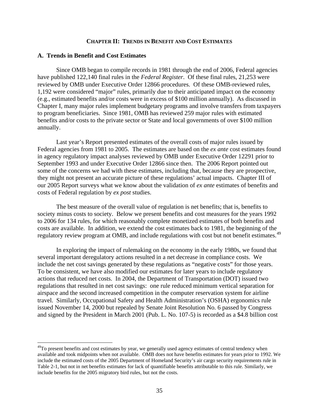#### **CHAPTER II: TRENDS IN BENEFIT AND COST ESTIMATES**

#### <span id="page-39-0"></span>**A. Trends in Benefit and Cost Estimates**

 $\overline{a}$ 

Since OMB began to compile records in 1981 through the end of 2006, Federal agencies have published 122,140 final rules in the *Federal Register*. Of these final rules, 21,253 were reviewed by OMB under Executive Order 12866 procedures. Of these OMB-reviewed rules, 1,192 were considered "major" rules, primarily due to their anticipated impact on the economy (e.g., estimated benefits and/or costs were in excess of \$100 million annually). As discussed in Chapter I, many major rules implement budgetary programs and involve transfers from taxpayers to program beneficiaries. Since 1981, OMB has reviewed 259 major rules with estimated benefits and/or costs to the private sector or State and local governments of over \$100 million annually.

Last year's Report presented estimates of the overall costs of major rules issued by Federal agencies from 1981 to 2005. The estimates are based on the *ex ante* cost estimates found in agency regulatory impact analyses reviewed by OMB under Executive Order 12291 prior to September 1993 and under Executive Order 12866 since then. The 2006 Report pointed out some of the concerns we had with these estimates, including that, because they are prospective, they might not present an accurate picture of these regulations' actual impacts. Chapter III of our 2005 Report surveys what we know about the validation of *ex ante* estimates of benefits and costs of Federal regulation by *ex post* studies.

The best measure of the overall value of regulation is net benefits; that is, benefits to society minus costs to society. Below we present benefits and cost measures for the years 1992 to 2006 for 134 rules, for which reasonably complete monetized estimates of both benefits and costs are available. In addition, we extend the cost estimates back to 1981, the beginning of the regulatory review program at OMB, and include regulations with cost but not benefit estimates.<sup>[49](#page-39-0)</sup>

In exploring the impact of rulemaking on the economy in the early 1980s, we found that several important deregulatory actions resulted in a net decrease in compliance costs. We include the net cost savings generated by these regulations as "negative costs" for those years. To be consistent, we have also modified our estimates for later years to include regulatory actions that reduced net costs. In 2004, the Department of Transportation (DOT) issued two regulations that resulted in net cost savings: one rule reduced minimum vertical separation for airspace and the second increased competition in the computer reservation system for airline travel. Similarly, Occupational Safety and Health Administration's (OSHA) ergonomics rule issued November 14, 2000 but repealed by Senate Joint Resolution No. 6 passed by Congress and signed by the President in March 2001 (Pub. L. No. 107-5) is recorded as a \$4.8 billion cost

<sup>&</sup>lt;sup>49</sup>To present benefits and cost estimates by year, we generally used agency estimates of central tendency when available and took midpoints when not available. OMB does not have benefits estimates for years prior to 1992. We include the estimated costs of the 2005 Department of Homeland Security's air cargo security requirements rule in Table 2-1, but not in net benefits estimates for lack of quantifiable benefits attributable to this rule. Similarly, we include benefits for the 2005 migratory bird rules, but not the costs.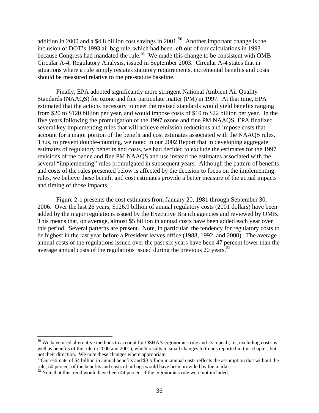<span id="page-40-0"></span>addition in 2000 and a \$4.8 billion cost savings in 2001.<sup>[50](#page-40-0)</sup> Another important change is the inclusion of DOT's 1993 air bag rule, which had been left out of our calculations in 1993 because Congress had mandated the rule.<sup>[51](#page-40-0)</sup> We made this change to be consistent with OMB Circular A-4, Regulatory Analysis, issued in September 2003. Circular A-4 states that in situations where a rule simply restates statutory requirements, incremental benefits and costs should be measured relative to the pre-statute baseline.

Finally, EPA adopted significantly more stringent National Ambient Air Quality Standards (NAAQS) for ozone and fine particulate matter (PM) in 1997. At that time, EPA estimated that the actions necessary to meet the revised standards would yield benefits ranging from \$20 to \$120 billion per year, and would impose costs of \$10 to \$22 billion per year. In the five years following the promulgation of the 1997 ozone and fine PM NAAQS, EPA finalized several key implementing rules that will achieve emission reductions and impose costs that account for a major portion of the benefit and cost estimates associated with the NAAQS rules. Thus, to prevent double-counting, we noted in our 2002 Report that in developing aggregate estimates of regulatory benefits and costs, we had decided to exclude the estimates for the 1997 revisions of the ozone and fine PM NAAQS and use instead the estimates associated with the several "implementing" rules promulgated in subsequent years. Although the pattern of benefits and costs of the rules presented below is affected by the decision to focus on the implementing rules, we believe these benefit and cost estimates provide a better measure of the actual impacts and timing of those impacts.

Figure 2-1 presents the cost estimates from January 20, 1981 through September 30, 2006. Over the last 26 years, \$126.9 billion of annual regulatory costs (2001 dollars) have been added by the major regulations issued by the Executive Branch agencies and reviewed by OMB. This means that, on average, almost \$5 billion in annual costs have been added each year over this period. Several patterns are present. Note, in particular, the tendency for regulatory costs to be highest in the last year before a President leaves office (1988, 1992, and 2000). The average annual costs of the regulations issued over the past six years have been 47 percent lower than the average annual costs of the regulations issued during the previous 20 years.<sup>[52](#page-40-0)</sup>

<sup>&</sup>lt;sup>50</sup> We have used alternative methods to account for OSHA's ergonomics rule and its repeal (i.e., excluding costs as well as benefits of the rule in 2000 and 2001), which results in small changes to trends reported in this chapter, but not their direction. We note these changes where appropriate.

 $51$ Our estimate of \$4 billion in annual benefits and  $\overline{$3}$  billion in annual costs reflects the assumption that without the rule, 50 percent of the benefits and costs of airbags would have been provided by the market.

 $52$  Note that this trend would have been 44 percent if the ergonomics rule were not included.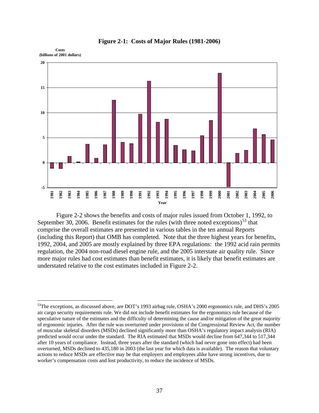<span id="page-41-0"></span>

**Figure 2-1: Costs of Major Rules (1981-2006)** 

Figure 2-2 shows the benefits and costs of major rules issued from October 1, 1992, to September 30, 2006. Benefit estimates for the rules (with three noted exceptions)<sup>[53](#page-41-0)</sup> that comprise the overall estimates are presented in various tables in the ten annual Reports (including this Report) that OMB has completed. Note that the three highest years for benefits, 1992, 2004, and 2005 are mostly explained by three EPA regulations: the 1992 acid rain permits regulation, the 2004 non-road diesel engine rule, and the 2005 interstate air quality rule. Since more major rules had cost estimates than benefit estimates, it is likely that benefit estimates are understated relative to the cost estimates included in Figure 2-2.

1

<sup>&</sup>lt;sup>53</sup>The exceptions, as discussed above, are DOT's 1993 airbag rule, OSHA's 2000 ergonomics rule, and DHS's 2005 air cargo security requirements rule. We did not include benefit estimates for the ergonomics rule because of the speculative nature of the estimates and the difficulty of determining the cause and/or mitigation of the great majority of ergonomic injuries. After the rule was overturned under provisions of the Congressional Review Act, the number of muscular skeletal disorders (MSDs) declined significantly more than OSHA's regulatory impact analysis (RIA) predicted would occur under the standard. The RIA estimated that MSDs would decline from 647,344 to 517,344 after 10 years of compliance. Instead, three years after the standard (which had never gone into effect) had been overturned, MSDs declined to 435,180 in 2003 (the last year for which data is available). The reason that voluntary actions to reduce MSDs are effective may be that employers and employees alike have strong incentives, due to worker's compensation costs and lost productivity, to reduce the incidence of MSDs.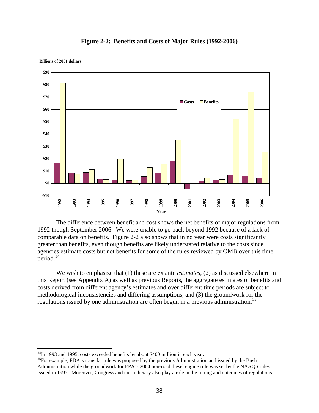

#### **Figure 2-2: Benefits and Costs of Major Rules (1992-2006)**

<span id="page-42-0"></span>**Billions of 2001 dollars** 

<u>.</u>

The difference between benefit and cost shows the net benefits of major regulations from 1992 though September 2006. We were unable to go back beyond 1992 because of a lack of comparable data on benefits. Figure 2-2 also shows that in no year were costs significantly greater than benefits, even though benefits are likely understated relative to the costs since agencies estimate costs but not benefits for some of the rules reviewed by OMB over this time period.<sup>[54](#page-42-0)</sup>

We wish to emphasize that (1) these are ex ante *estimates*, (2) as discussed elsewhere in this Report (see Appendix A) as well as previous Reports, the aggregate estimates of benefits and costs derived from different agency's estimates and over different time periods are subject to methodological inconsistencies and differing assumptions, and (3) the groundwork for the regulations issued by one administration are often begun in a previous administration.<sup>[55](#page-42-0)</sup>

<sup>&</sup>lt;sup>54</sup>In 1993 and 1995, costs exceeded benefits by about \$400 million in each year.

<sup>&</sup>lt;sup>55</sup>For example, FDA's trans fat rule was proposed by the previous Administration and issued by the Bush Administration while the groundwork for EPA's 2004 non-road diesel engine rule was set by the NAAQS rules issued in 1997. Moreover, Congress and the Judiciary also play a role in the timing and outcomes of regulations.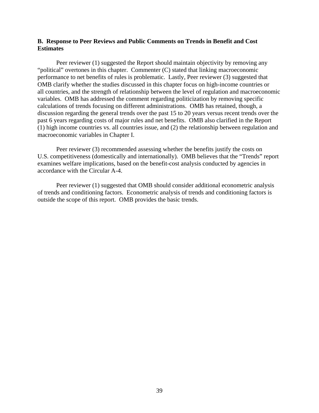#### **B. Response to Peer Reviews and Public Comments on Trends in Benefit and Cost Estimates**

Peer reviewer (1) suggested the Report should maintain objectivity by removing any "political" overtones in this chapter. Commenter (C) stated that linking macroeconomic performance to net benefits of rules is problematic. Lastly, Peer reviewer (3) suggested that OMB clarify whether the studies discussed in this chapter focus on high-income countries or all countries, and the strength of relationship between the level of regulation and macroeconomic variables. OMB has addressed the comment regarding politicization by removing specific calculations of trends focusing on different administrations. OMB has retained, though, a discussion regarding the general trends over the past 15 to 20 years versus recent trends over the past 6 years regarding costs of major rules and net benefits. OMB also clarified in the Report (1) high income countries vs. all countries issue, and (2) the relationship between regulation and macroeconomic variables in Chapter I.

Peer reviewer (3) recommended assessing whether the benefits justify the costs on U.S. competitiveness (domestically and internationally). OMB believes that the "Trends" report examines welfare implications, based on the benefit-cost analysis conducted by agencies in accordance with the Circular A-4.

Peer reviewer (1) suggested that OMB should consider additional econometric analysis of trends and conditioning factors. Econometric analysis of trends and conditioning factors is outside the scope of this report. OMB provides the basic trends.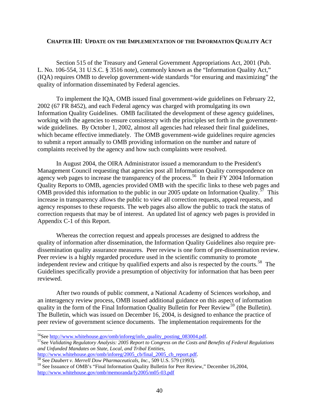#### <span id="page-44-0"></span>**CHAPTER III: UPDATE ON THE IMPLEMENTATION OF THE INFORMATION QUALITY ACT**

Section 515 of the Treasury and General Government Appropriations Act, 2001 (Pub. L. No. 106-554, 31 U.S.C. § 3516 note), commonly known as the "Information Quality Act," (IQA) requires OMB to develop government-wide standards "for ensuring and maximizing" the quality of information disseminated by Federal agencies.

To implement the IQA, OMB issued final government-wide guidelines on February 22, 2002 (67 FR 8452), and each Federal agency was charged with promulgating its own Information Quality Guidelines. OMB facilitated the development of these agency guidelines, working with the agencies to ensure consistency with the principles set forth in the governmentwide guidelines. By October 1, 2002, almost all agencies had released their final guidelines, which became effective immediately. The OMB government-wide guidelines require agencies to submit a report annually to OMB providing information on the number and nature of complaints received by the agency and how such complaints were resolved.

In August 2004, the OIRA Administrator issued a memorandum to the President's Management Council requesting that agencies post all Information Quality correspondence on agency web pages to increase the transparency of the process.<sup>[56](#page-44-0)</sup> In their FY 2004 Information Quality Reports to OMB, agencies provided OMB with the specific links to these web pages and OMB provided this information to the public in our 2005 update on Information Quality.<sup>[57](#page-44-0)</sup> This increase in transparency allows the public to view all correction requests, appeal requests, and agency responses to these requests. The web pages also allow the public to track the status of correction requests that may be of interest. An updated list of agency web pages is provided in Appendix C-1 of this Report.

Whereas the correction request and appeals processes are designed to address the quality of information after dissemination, the Information Quality Guidelines also require predissemination quality assurance measures. Peer review is one form of pre-dissemination review. Peer review is a highly regarded procedure used in the scientific community to promote independent review and critique by qualified experts and also is respected by the courts.<sup>[58](#page-44-0)</sup> The Guidelines specifically provide a presumption of objectivity for information that has been peer reviewed.

After two rounds of public comment, a National Academy of Sciences workshop, and an interagency review process, OMB issued additional guidance on this aspect of information quality in the form of the Final Information Quality Bulletin for Peer Review<sup>[59](#page-44-0)</sup> (the Bulletin). The Bulletin, which was issued on December 16, 2004, is designed to enhance the practice of peer review of government science documents. The implementation requirements for the

[http://www.whitehouse.gov/omb/inforeg/2005\\_cb/final\\_2005\\_cb\\_report.pdf.](http://www.whitehouse.gov/omb/inforeg/2005_cb/final_2005_cb_report.pdf) 58 See *Daubert v. Merrell Dow Pharmaceuticals, Inc.*, 509 U.S. 579 (1993).

<sup>&</sup>lt;sup>56</sup>See http://www.whitehouse.gov/omb/inforeg/info quality posting 083004.pdf.

<sup>&</sup>lt;sup>57</sup>See *Validating Regulatory Analysis: 2005 Report to Congress on the Costs and Benefits of Federal Regulations and Unfunded Mandates on State, Local, and Tribal Entities,*

<sup>59</sup> See Issuance of OMB's "Final Information Quality Bulletin for Peer Review," December 16,2004, <http://www.whitehouse.gov/omb/memoranda/fy2005/m05-03.pdf>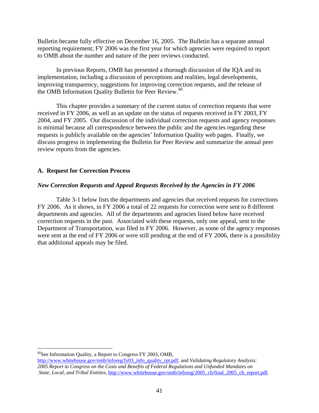<span id="page-45-0"></span>Bulletin became fully effective on December 16, 2005. The Bulletin has a separate annual reporting requirement; FY 2006 was the first year for which agencies were required to report to OMB about the number and nature of the peer reviews conducted.

In previous Reports, OMB has presented a thorough discussion of the IQA and its implementation, including a discussion of perceptions and realities, legal developments, improving transparency, suggestions for improving correction requests, and the release of the OMB Information Quality Bulletin for Peer Review.<sup>[60](#page-45-0)</sup>

This chapter provides a summary of the current status of correction requests that were received in FY 2006, as well as an update on the status of requests received in FY 2003, FY 2004, and FY 2005. Our discussion of the individual correction requests and agency responses is minimal because all correspondence between the public and the agencies regarding these requests is publicly available on the agencies' Information Quality web pages. Finally, we discuss progress in implementing the Bulletin for Peer Review and summarize the annual peer review reports from the agencies.

### **A. Request for Correction Process**

### *New Correction Requests and Appeal Requests Received by the Agencies in FY 2006*

Table 3-1 below lists the departments and agencies that received requests for corrections FY 2006. As it shows, in FY 2006 a total of 22 requests for correction were sent to 8 different departments and agencies. All of the departments and agencies listed below have received correction requests in the past. Associated with these requests, only one appeal, sent to the Department of Transportation, was filed in FY 2006. However, as some of the agency responses were sent at the end of FY 2006 or were still pending at the end of FY 2006, there is a possibility that additional appeals may be filed.

 $^{60}$ See Information Quality, a Report to Congress FY 2003, OMB,

[http://www.whitehouse.gov/omb/inforeg/fy03\\_info\\_quality\\_rpt.pdf](http://www.whitehouse.gov/omb/inforeg/fy03_info_quality_rpt.pdf), and *Validating Regulatory Analysis: 2005 Report to Congress on the Costs and Benefits of Federal Regulations and Unfunded Mandates on State, Local, and Tribal Entities*, [http://www.whitehouse.gov/omb/inforeg/2005\\_cb/final\\_2005\\_cb\\_report.pdf.](http://www.whitehouse.gov/omb/inforeg/2005_cb/final_2005_cb_report.pdf)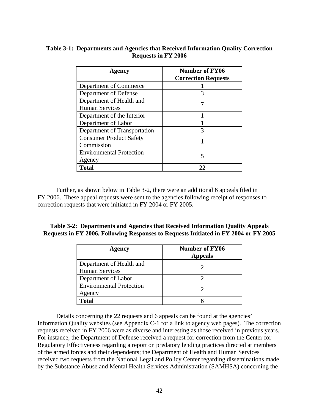# **Table 3-1: Departments and Agencies that Received Information Quality Correction Requests in FY 2006**

| <b>Agency</b>                   | Number of FY06<br><b>Correction Requests</b> |  |  |
|---------------------------------|----------------------------------------------|--|--|
| Department of Commerce          |                                              |  |  |
| Department of Defense           | 3                                            |  |  |
| Department of Health and        |                                              |  |  |
| <b>Human Services</b>           |                                              |  |  |
| Department of the Interior      |                                              |  |  |
| Department of Labor             |                                              |  |  |
| Department of Transportation    |                                              |  |  |
| <b>Consumer Product Safety</b>  |                                              |  |  |
| Commission                      |                                              |  |  |
| <b>Environmental Protection</b> |                                              |  |  |
| Agency                          |                                              |  |  |
| Total                           | 22                                           |  |  |

Further, as shown below in Table 3-2, there were an additional 6 appeals filed in FY 2006. These appeal requests were sent to the agencies following receipt of responses to correction requests that were initiated in FY 2004 or FY 2005.

# **Table 3-2: Departments and Agencies that Received Information Quality Appeals Requests in FY 2006, Following Responses to Requests Initiated in FY 2004 or FY 2005**

| <b>Agency</b>                                     | <b>Number of FY06</b><br><b>Appeals</b> |
|---------------------------------------------------|-----------------------------------------|
| Department of Health and<br><b>Human Services</b> |                                         |
| Department of Labor                               |                                         |
| <b>Environmental Protection</b><br>Agency         |                                         |
| Total                                             |                                         |

Details concerning the 22 requests and 6 appeals can be found at the agencies' Information Quality websites (see Appendix C-1 for a link to agency web pages). The correction requests received in FY 2006 were as diverse and interesting as those received in previous years. For instance, the Department of Defense received a request for correction from the Center for Regulatory Effectiveness regarding a report on predatory lending practices directed at members of the armed forces and their dependents; the Department of Health and Human Services received two requests from the National Legal and Policy Center regarding disseminations made by the Substance Abuse and Mental Health Services Administration (SAMHSA) concerning the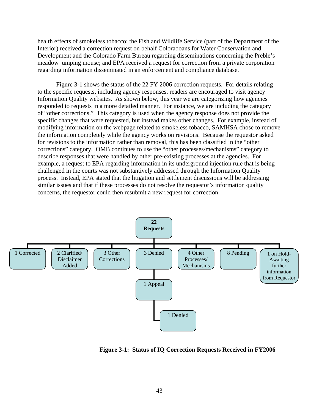health effects of smokeless tobacco; the Fish and Wildlife Service (part of the Department of the Interior) received a correction request on behalf Coloradoans for Water Conservation and Development and the Colorado Farm Bureau regarding disseminations concerning the Preble's meadow jumping mouse; and EPA received a request for correction from a private corporation regarding information disseminated in an enforcement and compliance database.

Figure 3-1 shows the status of the 22 FY 2006 correction requests. For details relating to the specific requests, including agency responses, readers are encouraged to visit agency Information Quality websites. As shown below, this year we are categorizing how agencies responded to requests in a more detailed manner. For instance, we are including the category of "other corrections." This category is used when the agency response does not provide the specific changes that were requested, but instead makes other changes. For example, instead of modifying information on the webpage related to smokeless tobacco, SAMHSA chose to remove the information completely while the agency works on revisions. Because the requestor asked for revisions to the information rather than removal, this has been classified in the "other corrections" category. OMB continues to use the "other processes/mechanisms" category to describe responses that were handled by other pre-existing processes at the agencies. For example, a request to EPA regarding information in its underground injection rule that is being challenged in the courts was not substantively addressed through the Information Quality process. Instead, EPA stated that the litigation and settlement discussions will be addressing similar issues and that if these processes do not resolve the requestor's information quality concerns, the requestor could then resubmit a new request for correction.



 **Figure 3-1: Status of IQ Correction Requests Received in FY2006**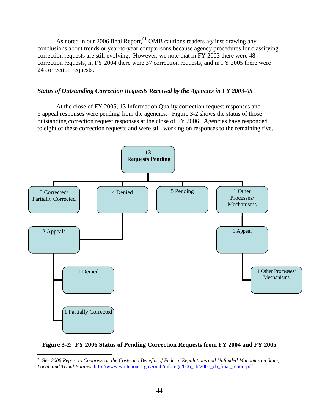<span id="page-48-0"></span>As noted in our 2006 final Report,<sup>[61](#page-48-0)</sup> OMB cautions readers against drawing any conclusions about trends or year-to-year comparisons because agency procedures for classifying correction requests are still evolving. However, we note that in FY 2003 there were 48 correction requests, in FY 2004 there were 37 correction requests, and in FY 2005 there were 24 correction requests.

#### *Status of Outstanding Correction Requests Received by the Agencies in FY 2003-05*

 At the close of FY 2005, 13 Information Quality correction request responses and 6 appeal responses were pending from the agencies. Figure 3-2 shows the status of those outstanding correction request responses at the close of FY 2006. Agencies have responded to eight of these correction requests and were still working on responses to the remaining five.



### **Figure 3-2: FY 2006 Status of Pending Correction Requests from FY 2004 and FY 2005**

 $\overline{a}$ 

.

<sup>61</sup> See *2006 Report to Congress on the Costs and Benefits of Federal Regulations and Unfunded Mandates on State, Local, and Tribal Entities*, [http://www.whitehouse.gov/omb/inforeg/2006\\_cb/2006\\_cb\\_final\\_report.pdf](http://www.whitehouse.gov/omb/inforeg/2006_cb/2006_cb_final_report.pdf).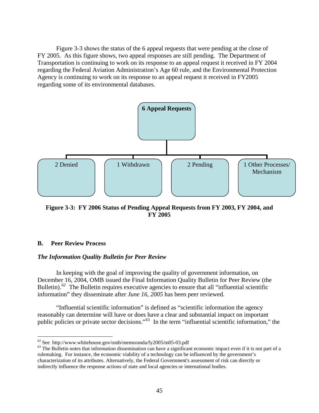<span id="page-49-0"></span> Figure 3-3 shows the status of the 6 appeal requests that were pending at the close of FY 2005. As this figure shows, two appeal responses are still pending. The Department of Transportation is continuing to work on its response to an appeal request it received in FY 2004 regarding the Federal Aviation Administration's Age 60 rule, and the Environmental Protection Agency is continuing to work on its response to an appeal request it received in FY2005 regarding some of its environmental databases.



**Figure 3-3: FY 2006 Status of Pending Appeal Requests from FY 2003, FY 2004, and FY 2005** 

#### **B. Peer Review Process**

#### *The Information Quality Bulletin for Peer Review*

In keeping with the goal of improving the quality of government information, on December 16, 2004, OMB issued the Final Information Quality Bulletin for Peer Review (the Bulletin).<sup>[62](#page-49-0)</sup> The Bulletin requires executive agencies to ensure that all "influential scientific information" they disseminate after *June 16, 2005* has been peer reviewed.

"Influential scientific information" is defined as "scientific information the agency reasonably can determine will have or does have a clear and substantial impact on important public policies or private sector decisions."[63](#page-49-0) In the term "influential scientific information," the

 $62$  See http://www.whitehouse.gov/omb/memoranda/fy2005/m05-03.pdf

 $63$  The Bulletin notes that information dissemination can have a significant economic impact even if it is not part of a rulemaking. For instance, the economic viability of a technology can be influenced by the government's characterization of its attributes. Alternatively, the Federal Government's assessment of risk can directly or indirectly influence the response actions of state and local agencies or international bodies.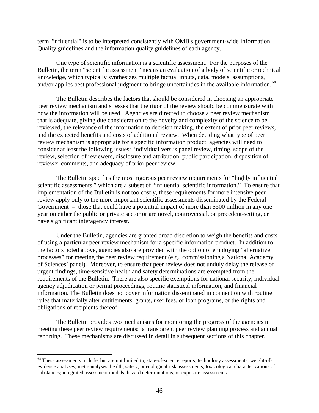<span id="page-50-0"></span>term "influential" is to be interpreted consistently with OMB's government-wide Information Quality guidelines and the information quality guidelines of each agency.

One type of scientific information is a scientific assessment. For the purposes of the Bulletin, the term "scientific assessment" means an evaluation of a body of scientific or technical knowledge, which typically synthesizes multiple factual inputs, data, models, assumptions, and/or applies best professional judgment to bridge uncertainties in the available information.<sup>[64](#page-50-0)</sup>

The Bulletin describes the factors that should be considered in choosing an appropriate peer review mechanism and stresses that the rigor of the review should be commensurate with how the information will be used. Agencies are directed to choose a peer review mechanism that is adequate, giving due consideration to the novelty and complexity of the science to be reviewed, the relevance of the information to decision making, the extent of prior peer reviews, and the expected benefits and costs of additional review. When deciding what type of peer review mechanism is appropriate for a specific information product, agencies will need to consider at least the following issues: individual versus panel review, timing, scope of the review, selection of reviewers, disclosure and attribution, public participation, disposition of reviewer comments, and adequacy of prior peer review.

The Bulletin specifies the most rigorous peer review requirements for "highly influential scientific assessments," which are a subset of "influential scientific information." To ensure that implementation of the Bulletin is not too costly, these requirements for more intensive peer review apply only to the more important scientific assessments disseminated by the Federal Government – those that could have a potential impact of more than \$500 million in any one year on either the public or private sector or are novel, controversial, or precedent-setting, or have significant interagency interest.

Under the Bulletin, agencies are granted broad discretion to weigh the benefits and costs of using a particular peer review mechanism for a specific information product. In addition to the factors noted above, agencies also are provided with the option of employing "alternative processes" for meeting the peer review requirement (e.g., commissioning a National Academy of Sciences' panel). Moreover, to ensure that peer review does not unduly delay the release of urgent findings, time-sensitive health and safety determinations are exempted from the requirements of the Bulletin. There are also specific exemptions for national security, individual agency adjudication or permit proceedings, routine statistical information, and financial information. The Bulletin does not cover information disseminated in connection with routine rules that materially alter entitlements, grants, user fees, or loan programs, or the rights and obligations of recipients thereof.

The Bulletin provides two mechanisms for monitoring the progress of the agencies in meeting these peer review requirements: a transparent peer review planning process and annual reporting. These mechanisms are discussed in detail in subsequent sections of this chapter.

1

<sup>&</sup>lt;sup>64</sup> These assessments include, but are not limited to, state-of-science reports; technology assessments; weight-ofevidence analyses; meta-analyses; health, safety, or ecological risk assessments; toxicological characterizations of substances; integrated assessment models; hazard determinations; or exposure assessments.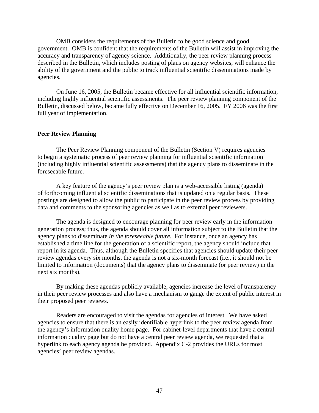OMB considers the requirements of the Bulletin to be good science and good government. OMB is confident that the requirements of the Bulletin will assist in improving the accuracy and transparency of agency science. Additionally, the peer review planning process described in the Bulletin, which includes posting of plans on agency websites, will enhance the ability of the government and the public to track influential scientific disseminations made by agencies.

On June 16, 2005, the Bulletin became effective for all influential scientific information, including highly influential scientific assessments. The peer review planning component of the Bulletin, discussed below, became fully effective on December 16, 2005. FY 2006 was the first full year of implementation.

#### **Peer Review Planning**

The Peer Review Planning component of the Bulletin (Section V) requires agencies to begin a systematic process of peer review planning for influential scientific information (including highly influential scientific assessments) that the agency plans to disseminate in the foreseeable future.

A key feature of the agency's peer review plan is a web-accessible listing (agenda) of forthcoming influential scientific disseminations that is updated on a regular basis. These postings are designed to allow the public to participate in the peer review process by providing data and comments to the sponsoring agencies as well as to external peer reviewers.

The agenda is designed to encourage planning for peer review early in the information generation process; thus, the agenda should cover all information subject to the Bulletin that the agency plans to disseminate *in the foreseeable future.* For instance, once an agency has established a time line for the generation of a scientific report, the agency should include that report in its agenda. Thus, although the Bulletin specifies that agencies should update their peer review agendas every six months, the agenda is not a six-month forecast (i.e., it should not be limited to information (documents) that the agency plans to disseminate (or peer review) in the next six months).

By making these agendas publicly available, agencies increase the level of transparency in their peer review processes and also have a mechanism to gauge the extent of public interest in their proposed peer reviews.

Readers are encouraged to visit the agendas for agencies of interest. We have asked agencies to ensure that there is an easily identifiable hyperlink to the peer review agenda from the agency's information quality home page. For cabinet-level departments that have a central information quality page but do not have a central peer review agenda, we requested that a hyperlink to each agency agenda be provided. Appendix C-2 provides the URLs for most agencies' peer review agendas.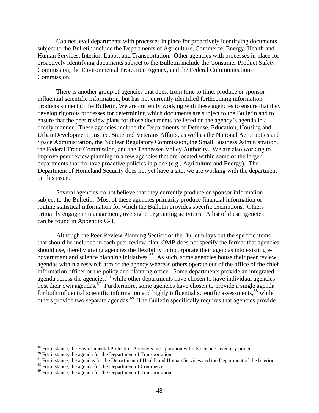<span id="page-52-0"></span>Cabinet level departments with processes in place for proactively identifying documents subject to the Bulletin include the Departments of Agriculture, Commerce, Energy, Health and Human Services, Interior, Labor, and Transportation. Other agencies with processes in place for proactively identifying documents subject to the Bulletin include the Consumer Product Safety Commission, the Environmental Protection Agency, and the Federal Communications Commission.

There is another group of agencies that does, from time to time, produce or sponsor influential scientific information, but has not currently identified forthcoming information products subject to the Bulletin. We are currently working with these agencies to ensure that they develop rigorous processes for determining which documents are subject to the Bulletin and to ensure that the peer review plans for those documents are listed on the agency's agenda in a timely manner. These agencies include the Departments of Defense, Education, Housing and Urban Development, Justice, State and Veterans Affairs, as well as the National Aeronautics and Space Administration, the Nuclear Regulatory Commission, the Small Business Administration, the Federal Trade Commission, and the Tennessee Valley Authority. We are also working to improve peer review planning in a few agencies that are located within some of the larger departments that do have proactive policies in place (e.g., Agriculture and Energy). The Department of Homeland Security does not yet have a site; we are working with the department on this issue.

Several agencies do not believe that they currently produce or sponsor information subject to the Bulletin. Most of these agencies primarily produce financial information or routine statistical information for which the Bulletin provides specific exemptions. Others primarily engage in management, oversight, or granting activities. A list of these agencies can be found in Appendix C-3.

Although the Peer Review Planning Section of the Bulletin lays out the specific items that should be included in each peer review plan, OMB does not specify the format that agencies should use, thereby giving agencies the flexibility to incorporate their agendas into existing e-government and science planning initiatives.<sup>[65](#page-52-0)</sup> As such, some agencies house their peer review agendas within a research arm of the agency whereas others operate out of the office of the chief information officer or the policy and planning office. Some departments provide an integrated agenda across the agencies,  $\frac{66}{6}$  $\frac{66}{6}$  $\frac{66}{6}$  while other departments have chosen to have individual agencies host their own agendas.<sup>[67](#page-52-0)</sup> Furthermore, some agencies have chosen to provide a single agenda for both influential scientific information and highly influential scientific assessments,<sup>[68](#page-52-0)</sup> while others provide two separate agendas.<sup>[69](#page-52-0)</sup> The Bulletin specifically requires that agencies provide

<sup>&</sup>lt;sup>65</sup> For instance, the Environmental Protection Agency's incorporation with its science inventory project<br><sup>66</sup> For instance, the agenda for the Department of Transportation<br><sup>67</sup> For instance, the agendas for the Departmen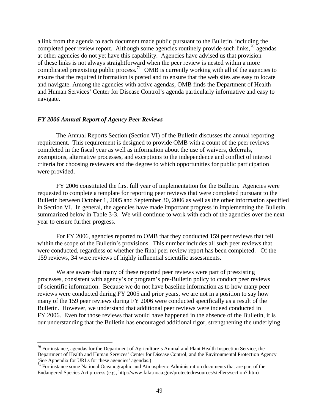<span id="page-53-0"></span>a link from the agenda to each document made public pursuant to the Bulletin, including the completed peer review report. Although some agencies routinely provide such links,  $\frac{70}{2}$  $\frac{70}{2}$  $\frac{70}{2}$  agendas at other agencies do not yet have this capability. Agencies have advised us that provision of these links is not always straightforward when the peer review is nested within a more complicated preexisting public process.<sup>[71](#page-53-0)</sup> OMB is currently working with all of the agencies to ensure that the required information is posted and to ensure that the web sites are easy to locate and navigate. Among the agencies with active agendas, OMB finds the Department of Health and Human Services' Center for Disease Control's agenda particularly informative and easy to navigate.

#### *FY 2006 Annual Report of Agency Peer Reviews*

 $\overline{a}$ 

The Annual Reports Section (Section VI) of the Bulletin discusses the annual reporting requirement. This requirement is designed to provide OMB with a count of the peer reviews completed in the fiscal year as well as information about the use of waivers, deferrals, exemptions, alternative processes, and exceptions to the independence and conflict of interest criteria for choosing reviewers and the degree to which opportunities for public participation were provided.

FY 2006 constituted the first full year of implementation for the Bulletin. Agencies were requested to complete a template for reporting peer reviews that were completed pursuant to the Bulletin between October 1, 2005 and September 30, 2006 as well as the other information specified in Section VI. In general, the agencies have made important progress in implementing the Bulletin, summarized below in Table 3-3. We will continue to work with each of the agencies over the next year to ensure further progress.

For FY 2006, agencies reported to OMB that they conducted 159 peer reviews that fell within the scope of the Bulletin's provisions. This number includes all such peer reviews that were conducted, regardless of whether the final peer review report has been completed. Of the 159 reviews, 34 were reviews of highly influential scientific assessments.

We are aware that many of these reported peer reviews were part of preexisting processes, consistent with agency's or program's pre-Bulletin policy to conduct peer reviews of scientific information. Because we do not have baseline information as to how many peer reviews were conducted during FY 2005 and prior years, we are not in a position to say how many of the 159 peer reviews during FY 2006 were conducted specifically as a result of the Bulletin. However, we understand that additional peer reviews were indeed conducted in FY 2006. Even for those reviews that would have happened in the absence of the Bulletin, it is our understanding that the Bulletin has encouraged additional rigor, strengthening the underlying

 $70$  For instance, agendas for the Department of Agriculture's Animal and Plant Health Inspection Service, the Department of Health and Human Services' Center for Disease Control, and the Environmental Protection Agency (See Appendix for URLs for these agencies' agendas.)

 $71$  For instance some National Oceanographic and Atmospheric Administration documents that are part of the Endangered Species Act process (e.g., http://www.fakr.noaa.gov/protectedresources/stellers/section7.htm)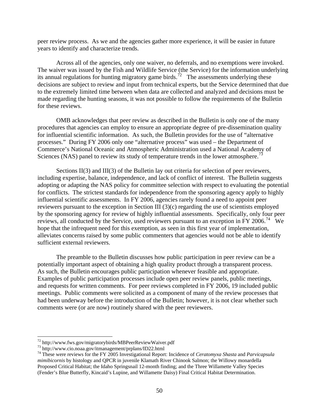<span id="page-54-0"></span>peer review process. As we and the agencies gather more experience, it will be easier in future years to identify and characterize trends.

Across all of the agencies, only one waiver, no deferrals, and no exemptions were invoked. The waiver was issued by the Fish and Wildlife Service (the Service) for the information underlying its annual regulations for hunting migratory game birds.<sup>[72](#page-54-0)</sup> The assessments underlying these decisions are subject to review and input from technical experts, but the Service determined that due to the extremely limited time between when data are collected and analyzed and decisions must be made regarding the hunting seasons, it was not possible to follow the requirements of the Bulletin for these reviews.

OMB acknowledges that peer review as described in the Bulletin is only one of the many procedures that agencies can employ to ensure an appropriate degree of pre-dissemination quality for influential scientific information. As such, the Bulletin provides for the use of "alternative processes." During FY 2006 only one "alternative process" was used – the Department of Commerce's National Oceanic and Atmospheric Administration used a National Academy of Sciences (NAS) panel to review its study of temperature trends in the lower atmosphere.<sup>[73](#page-54-0)</sup>

Sections II(3) and III(3) of the Bulletin lay out criteria for selection of peer reviewers, including expertise, balance, independence, and lack of conflict of interest. The Bulletin suggests adopting or adapting the NAS policy for committee selection with respect to evaluating the potential for conflicts. The strictest standards for independence from the sponsoring agency apply to highly influential scientific assessments. In FY 2006, agencies rarely found a need to appoint peer reviewers pursuant to the exception in Section III (3)(c) regarding the use of scientists employed by the sponsoring agency for review of highly influential assessments. Specifically, only four peer reviews, all conducted by the Service, used reviewers pursuant to an exception in FY 2006.<sup>[74](#page-54-0)</sup> We hope that the infrequent need for this exemption, as seen in this first year of implementation, alleviates concerns raised by some public commenters that agencies would not be able to identify sufficient external reviewers.

The preamble to the Bulletin discusses how public participation in peer review can be a potentially important aspect of obtaining a high quality product through a transparent process. As such, the Bulletin encourages public participation whenever feasible and appropriate. Examples of public participation processes include open peer review panels, public meetings, and requests for written comments. For peer reviews completed in FY 2006, 19 included public meetings. Public comments were solicited as a component of many of the review processes that had been underway before the introduction of the Bulletin; however, it is not clear whether such comments were (or are now) routinely shared with the peer reviewers.

 $^{72}$  http://www.fws.gov/migratorybirds/MBPeerReviewWaiver.pdf

 $^{73}$  http://www.cio.noaa.gov/itmanagement/prplans/ID22.html<br> $^{74}$  These were reviews for the FY 2005 Investigational Report: Incidence of *Ceratomyxa Shasta* and *Parvicapsula mimibicornis* by histology and QPCR in juvenile Klamath River Chinook Salmon; the Willowy monardella Proposed Critical Habitat; the Idaho Springsnail 12-month finding; and the Three Willamette Valley Species (Fender's Blue Butterfly, Kincaid's Lupine, and Willamette Daisy) Final Critical Habitat Determination.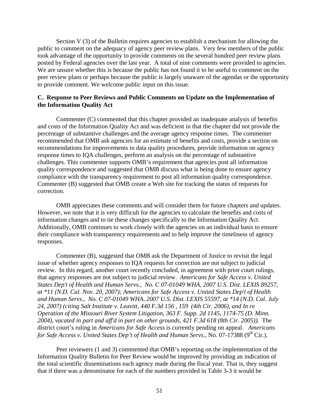Section V (3) of the Bulletin requires agencies to establish a mechanism for allowing the public to comment on the adequacy of agency peer review plans. Very few members of the public took advantage of the opportunity to provide comments on the several hundred peer review plans posted by Federal agencies over the last year. A total of nine comments were provided to agencies. We are unsure whether this is because the public has not found it to be useful to comment on the peer review plans or perhaps because the public is largely unaware of the agendas or the opportunity to provide comment. We welcome public input on this issue.

### **C. Response to Peer Reviews and Public Comments on Update on the Implementation of the Information Quality Act**

Commenter (C) commented that this chapter provided an inadequate analysis of benefits and costs of the Information Quality Act and was deficient in that the chapter did not provide the percentage of substantive challenges and the average agency response times. The commenter recommended that OMB ask agencies for an estimate of benefits and costs, provide a section on recommendations for improvements in data quality procedures, provide information on agency response times to IQA challenges, perform an analysis on the percentage of substantive challenges. This commenter supports OMB's requirement that agencies post all information quality correspondence and suggested that OMB discuss what is being done to ensure agency compliance with the transparency requirement to post all information quality correspondence. Commenter (B) suggested that OMB create a Web site for tracking the status of requests for correction.

OMB appreciates these comments and will consider them for future chapters and updates. However, we note that it is very difficult for the agencies to calculate the benefits and costs of information changes and to tie these changes specifically to the Information Quality Act. Additionally, OMB continues to work closely with the agencies on an individual basis to ensure their compliance with transparency requirements and to help improve the timeliness of agency responses.

Commenter (B), suggested that OMB ask the Department of Justice to revisit the legal issue of whether agency responses to IQA requests for correction are not subject to judicial review. In this regard, another court recently concluded, in agreement with prior court rulings, that agency responses are not subject to judicial review. *Americans for Safe Access v. United States Dep't of Health and Human Servs., No. C 07-01049 WHA, 2007 U.S. Dist. LEXIS 89257, at \*11 (N.D. Cal. Nov. 20, 2007); Americans for Safe Access v. United States Dep't of Health and Human Servs., No. C 07-01049 WHA, 2007 U.S. Dist. LEXIS 55597, at \*14 (N.D. Cal. July 24, 2007) (citing Salt Institute v. Leavitt, 440 F.3d 156 , 159 (4th Cir. 2006), and In re Operation of the Missouri River System Litigation, 363 F. Supp. 2d 1145, 1174-75 (D. Minn. 2004), vacated in part and aff'd in part on other grounds, 421 F.3d 618 (8th Cir. 2005)).* The district court's ruling in *Americans for Safe Access* is currently pending on appeal. *Americans*  for Safe Access v. United States Dep't of Health and Human Servs., No. 07-17388 (9<sup>th</sup> Cir.).

Peer reviewers (1 and 3) commented that OMB's reporting on the implementation of the Information Quality Bulletin for Peer Review would be improved by providing an indication of the total scientific disseminations each agency made during the fiscal year. That is, they suggest that if there was a denominator for each of the numbers provided in Table 3-3 it would be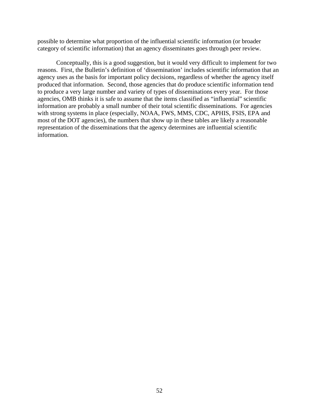possible to determine what proportion of the influential scientific information (or broader category of scientific information) that an agency disseminates goes through peer review.

Conceptually, this is a good suggestion, but it would very difficult to implement for two reasons. First, the Bulletin's definition of 'dissemination' includes scientific information that an agency uses as the basis for important policy decisions, regardless of whether the agency itself produced that information. Second, those agencies that do produce scientific information tend to produce a very large number and variety of types of disseminations every year. For those agencies, OMB thinks it is safe to assume that the items classified as "influential" scientific information are probably a small number of their total scientific disseminations. For agencies with strong systems in place (especially, NOAA, FWS, MMS, CDC, APHIS, FSIS, EPA and most of the DOT agencies), the numbers that show up in these tables are likely a reasonable representation of the disseminations that the agency determines are influential scientific information.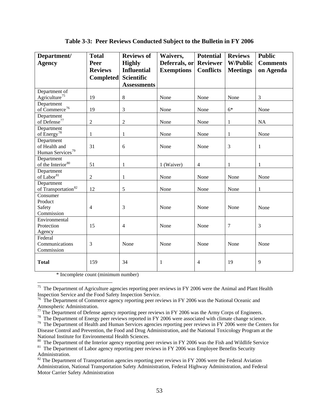<span id="page-57-0"></span>

| Department/                     | <b>Total</b>     | <b>Reviews of</b>  | Waivers,          | <b>Potential</b> | <b>Reviews</b>  | <b>Public</b>   |
|---------------------------------|------------------|--------------------|-------------------|------------------|-----------------|-----------------|
| <b>Agency</b>                   | Peer             | <b>Highly</b>      | Deferrals, or     | <b>Reviewer</b>  | <b>W/Public</b> | <b>Comments</b> |
|                                 | <b>Reviews</b>   | <b>Influential</b> | <b>Exemptions</b> | <b>Conflicts</b> | <b>Meetings</b> | on Agenda       |
|                                 | <b>Completed</b> | Scientific         |                   |                  |                 |                 |
|                                 |                  | <b>Assessments</b> |                   |                  |                 |                 |
| Department of                   |                  |                    |                   |                  |                 |                 |
| Agriculture <sup>75</sup>       | 19               | 8                  | None              | None             | None            | 3               |
| Department                      |                  |                    |                   |                  |                 |                 |
| of Commerce <sup>76</sup>       | 19               | 3                  | None              | None             | $6*$            | None            |
| Department                      |                  |                    |                   |                  |                 |                 |
| of Defense $^{77}$              | $\sqrt{2}$       | $\overline{2}$     | None              | None             | $\mathbf{1}$    | <b>NA</b>       |
| Department                      |                  |                    |                   |                  |                 |                 |
| of Energy <sup>78</sup>         | $\mathbf{1}$     | 1                  | None              | None             | $\mathbf{1}$    | None            |
| Department                      |                  |                    |                   |                  |                 |                 |
| of Health and                   | 31               | 6                  | None              | None             | 3               | $\mathbf{1}$    |
| Human Services <sup>79</sup>    |                  |                    |                   |                  |                 |                 |
| Department                      |                  |                    |                   |                  |                 |                 |
| of the Interior <sup>80</sup>   | 51               | 1                  | 1 (Waiver)        | $\overline{4}$   | $\mathbf{1}$    | $\mathbf{1}$    |
| Department                      |                  |                    |                   |                  |                 |                 |
| of Labor <sup>81</sup>          | $\overline{2}$   | 1                  | None              | None             | None            | None            |
| Department                      |                  |                    |                   |                  |                 |                 |
| of Transportation <sup>82</sup> | 12               | 5                  | None              | None             | None            | 1               |
| Consumer                        |                  |                    |                   |                  |                 |                 |
| Product                         |                  |                    |                   |                  |                 |                 |
| Safety                          | $\overline{4}$   | 3                  | None              | None             | None            | None            |
| Commission                      |                  |                    |                   |                  |                 |                 |
| Environmental                   |                  |                    |                   |                  |                 |                 |
| Protection                      | 15               | $\overline{4}$     | None              | None             | 7               | 3               |
| Agency                          |                  |                    |                   |                  |                 |                 |
| Federal                         |                  |                    |                   |                  |                 |                 |
| Communications                  | 3                | None               | None              | None             | None            | None            |
| Commission                      |                  |                    |                   |                  |                 |                 |
| <b>Total</b>                    | 159              | 34                 | 1                 | 4                | 19              | 9               |

# **Table 3-3: Peer Reviews Conducted Subject to the Bulletin in FY 2006**

\* Incomplete count (minimum number)

<sup>&</sup>lt;sup>75</sup> The Department of Agriculture agencies reporting peer reviews in FY 2006 were the Animal and Plant Health Inspection Service and the Food Safety Inspection Service.<br><sup>76</sup> The Department of Commerce agency reporting peer reviews in FY 2006 was the National Oceanic and

Atmospheric Administration.

 $77$  The Department of Defense agency reporting peer reviews in FY 2006 was the Army Corps of Engineers.

<sup>&</sup>lt;sup>78</sup> The Department of Energy peer reviews reported in FY 2006 were associated with climate change science.<br><sup>79</sup> The Department of Health and Human Services agencies reporting peer reviews in FY 2006 were the Centers for Disease Control and Prevention, the Food and Drug Administration, and the National Toxicology Program at the National Institute for Environmental Health Sciences.<br><sup>80</sup> The Department of the Interior agency reporting peer reviews in FY 2006 was the Fish and Wildlife Service

<sup>&</sup>lt;sup>81</sup> The Department of Labor agency reporting peer reviews in FY 2006 was Employee Benefits Security Administration.

 $82$  The Department of Transportation agencies reporting peer reviews in FY 2006 were the Federal Aviation Administration, National Transportation Safety Administration, Federal Highway Administration, and Federal Motor Carrier Safety Administration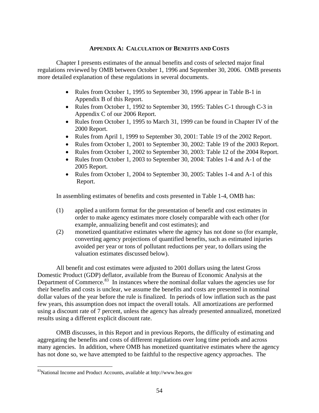### **APPENDIX A: CALCULATION OF BENEFITS AND COSTS**

<span id="page-58-0"></span>Chapter I presents estimates of the annual benefits and costs of selected major final regulations reviewed by OMB between October 1, 1996 and September 30, 2006. OMB presents more detailed explanation of these regulations in several documents.

- Rules from October 1, 1995 to September 30, 1996 appear in Table B-1 in Appendix B of this Report.
- Rules from October 1, 1992 to September 30, 1995: Tables C-1 through C-3 in Appendix C of our 2006 Report.
- Rules from October 1, 1995 to March 31, 1999 can be found in Chapter IV of the 2000 Report.
- Rules from April 1, 1999 to September 30, 2001: Table 19 of the 2002 Report.
- Rules from October 1, 2001 to September 30, 2002: Table 19 of the 2003 Report.
- Rules from October 1, 2002 to September 30, 2003: Table 12 of the 2004 Report.
- Rules from October 1, 2003 to September 30, 2004: Tables 1-4 and A-1 of the 2005 Report.
- Rules from October 1, 2004 to September 30, 2005: Tables 1-4 and A-1 of this Report.

In assembling estimates of benefits and costs presented in Table 1-4, OMB has:

- (1) applied a uniform format for the presentation of benefit and cost estimates in order to make agency estimates more closely comparable with each other (for example, annualizing benefit and cost estimates); and
- (2) monetized quantitative estimates where the agency has not done so (for example, converting agency projections of quantified benefits, such as estimated injuries avoided per year or tons of pollutant reductions per year, to dollars using the valuation estimates discussed below).

All benefit and cost estimates were adjusted to 2001 dollars using the latest Gross Domestic Product (GDP) deflator, available from the Bureau of Economic Analysis at the Department of Commerce. $83$  In instances where the nominal dollar values the agencies use for their benefits and costs is unclear, we assume the benefits and costs are presented in nominal dollar values of the year before the rule is finalized. In periods of low inflation such as the past few years, this assumption does not impact the overall totals. All amortizations are performed using a discount rate of 7 percent, unless the agency has already presented annualized, monetized results using a different explicit discount rate.

 OMB discusses, in this Report and in previous Reports, the difficulty of estimating and aggregating the benefits and costs of different regulations over long time periods and across many agencies. In addition, where OMB has monetized quantitative estimates where the agency has not done so, we have attempted to be faithful to the respective agency approaches. The

<sup>83</sup>National Income and Product Accounts, available at http://www.bea.gov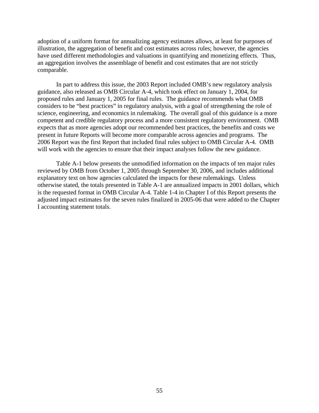adoption of a uniform format for annualizing agency estimates allows, at least for purposes of illustration, the aggregation of benefit and cost estimates across rules; however, the agencies have used different methodologies and valuations in quantifying and monetizing effects. Thus, an aggregation involves the assemblage of benefit and cost estimates that are not strictly comparable.

 In part to address this issue, the 2003 Report included OMB's new regulatory analysis guidance, also released as OMB Circular A-4, which took effect on January 1, 2004, for proposed rules and January 1, 2005 for final rules. The guidance recommends what OMB considers to be "best practices" in regulatory analysis, with a goal of strengthening the role of science, engineering, and economics in rulemaking. The overall goal of this guidance is a more competent and credible regulatory process and a more consistent regulatory environment. OMB expects that as more agencies adopt our recommended best practices, the benefits and costs we present in future Reports will become more comparable across agencies and programs. The 2006 Report was the first Report that included final rules subject to OMB Circular A-4. OMB will work with the agencies to ensure that their impact analyses follow the new guidance.

 Table A-1 below presents the unmodified information on the impacts of ten major rules reviewed by OMB from October 1, 2005 through September 30, 2006, and includes additional explanatory text on how agencies calculated the impacts for these rulemakings. Unless otherwise stated, the totals presented in Table A-1 are annualized impacts in 2001 dollars, which is the requested format in OMB Circular A-4. Table 1-4 in Chapter I of this Report presents the adjusted impact estimates for the seven rules finalized in 2005-06 that were added to the Chapter I accounting statement totals.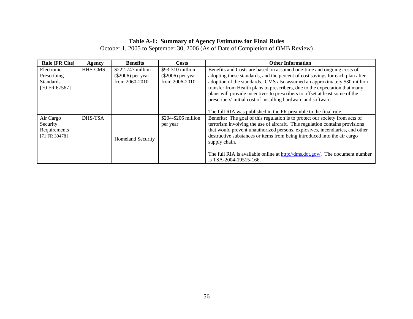### **Table A-1: Summary of Agency Estimates for Final Rules**

October 1, 2005 to September 30, 2006 (As of Date of Completion of OMB Review)

| <b>Rule [FR Cite]</b>                                          | Agency         | <b>Benefits</b>                                                 | Costs                                                          | <b>Other Information</b>                                                                                                                                                                                                                                                                                                                                                                                                                                            |
|----------------------------------------------------------------|----------------|-----------------------------------------------------------------|----------------------------------------------------------------|---------------------------------------------------------------------------------------------------------------------------------------------------------------------------------------------------------------------------------------------------------------------------------------------------------------------------------------------------------------------------------------------------------------------------------------------------------------------|
| Electronic<br>Prescribing<br><b>Standards</b><br>[70 FR 67567] | <b>HHS-CMS</b> | $$222-747$ million<br>$(\$2006)$ per year<br>from $2060 - 2010$ | $$93-310$ million<br>$(\$2006)$ per year<br>from $2006 - 2010$ | Benefits and Costs are based on assumed one-time and ongoing costs of<br>adopting these standards, and the percent of cost savings for each plan after<br>adoption of the standards. CMS also assumed an approximately \$30 million<br>transfer from Health plans to prescribers, due to the expectation that many<br>plans will provide incentives to prescribers to offset at least some of the<br>prescribers' initial cost of installing hardware and software. |
|                                                                |                |                                                                 |                                                                | The full RIA was published in the FR preamble to the final rule.                                                                                                                                                                                                                                                                                                                                                                                                    |
| Air Cargo<br>Security<br>Requirements<br>[71 FR 30478]         | DHS-TSA        | <b>Homeland Security</b>                                        | \$204-\$206 million<br>per year                                | Benefits: The goal of this regulation is to protect our society from acts of<br>terrorism involving the use of aircraft. This regulation contains provisions<br>that would prevent unauthorized persons, explosives, incendiaries, and other<br>destructive substances or items from being introduced into the air cargo<br>supply chain.<br>The full RIA is available online at http://dms.dot.gov/. The document number<br>is TSA-2004-19515-166.                 |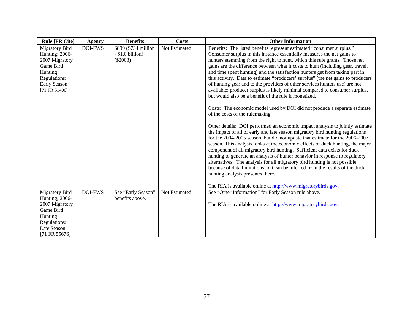| <b>Rule [FR Cite]</b>                                                                                                                       | <b>Agency</b>  | <b>Benefits</b>                                          | <b>Costs</b>  | <b>Other Information</b>                                                                                                                                                                                                                                                                                                                                                                                                                                                                                                                                                                                                                                                                                                                                                                                                                                                                                                                                                                                                                                                                                                                                                                                                                                                                                                                                                                                                                                                                                                                                                                       |
|---------------------------------------------------------------------------------------------------------------------------------------------|----------------|----------------------------------------------------------|---------------|------------------------------------------------------------------------------------------------------------------------------------------------------------------------------------------------------------------------------------------------------------------------------------------------------------------------------------------------------------------------------------------------------------------------------------------------------------------------------------------------------------------------------------------------------------------------------------------------------------------------------------------------------------------------------------------------------------------------------------------------------------------------------------------------------------------------------------------------------------------------------------------------------------------------------------------------------------------------------------------------------------------------------------------------------------------------------------------------------------------------------------------------------------------------------------------------------------------------------------------------------------------------------------------------------------------------------------------------------------------------------------------------------------------------------------------------------------------------------------------------------------------------------------------------------------------------------------------------|
| <b>Migratory Bird</b><br>Hunting; 2006-<br>2007 Migratory<br>Game Bird<br>Hunting<br>Regulations:<br>Early Season<br>$[71$ FR 51406]        | <b>DOI-FWS</b> | \$899 (\$734 million<br>$-$ \$1.0 billion)<br>$(\$2003)$ | Not Estimated | Benefits: The listed benefits represent estimated "consumer surplus."<br>Consumer surplus in this instance essentially measures the net gains to<br>hunters stemming from the right to hunt, which this rule grants. Those net<br>gains are the difference between what it costs to hunt (including gear, travel,<br>and time spent hunting) and the satisfaction hunters get from taking part in<br>this activity. Data to estimate "producers' surplus" (the net gains to producers<br>of hunting gear and to the providers of other services hunters use) are not<br>available; producer surplus is likely minimal compared to consumer surplus,<br>but would also be a benefit of the rule if monetized.<br>Costs: The economic model used by DOI did not produce a separate estimate<br>of the costs of the rulemaking.<br>Other details: DOI performed an economic impact analysis to jointly estimate<br>the impact of all of early and late season migratory bird hunting regulations<br>for the 2004-2005 season, but did not update that estimate for the 2006-2007<br>season. This analysis looks at the economic effects of duck hunting, the major<br>component of all migratory bird hunting. Sufficient data exists for duck<br>hunting to generate an analysis of hunter behavior in response to regulatory<br>alternatives. The analysis for all migratory bird hunting is not possible<br>because of data limitations, but can be inferred from the results of the duck<br>hunting analysis presented here.<br>The RIA is available online at http://www.migratorybirds.gov. |
| <b>Migratory Bird</b><br><b>Hunting</b> ; 2006-<br>2007 Migratory<br>Game Bird<br>Hunting<br>Regulations:<br>Late Season<br>$[71$ FR 55676] | <b>DOI-FWS</b> | See "Early Season"<br>benefits above.                    | Not Estimated | See "Other Information" for Early Season rule above.<br>The RIA is available online at http://www.migratorybirds.gov.                                                                                                                                                                                                                                                                                                                                                                                                                                                                                                                                                                                                                                                                                                                                                                                                                                                                                                                                                                                                                                                                                                                                                                                                                                                                                                                                                                                                                                                                          |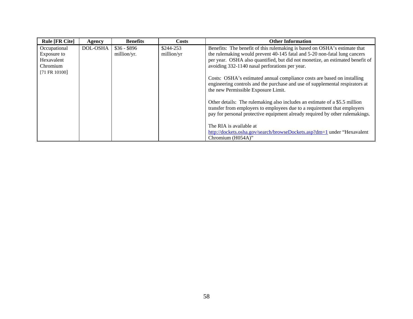| <b>Rule [FR Cite]</b> | Agency   | <b>Benefits</b> | Costs      | <b>Other Information</b>                                                                                                                                                                                                               |
|-----------------------|----------|-----------------|------------|----------------------------------------------------------------------------------------------------------------------------------------------------------------------------------------------------------------------------------------|
| Occupational          | DOL-OSHA | $$36 - $896$    | \$244-253  | Benefits: The benefit of this rulemaking is based on OSHA's estimate that                                                                                                                                                              |
| Exposure to           |          | million/yr.     | million/yr | the rulemaking would prevent 40-145 fatal and 5-20 non-fatal lung cancers                                                                                                                                                              |
| Hexavalent            |          |                 |            | per year. OSHA also quantified, but did not monetize, an estimated benefit of                                                                                                                                                          |
| Chromium              |          |                 |            | avoiding 332-1140 nasal perforations per year.                                                                                                                                                                                         |
| $[71$ FR $10100]$     |          |                 |            |                                                                                                                                                                                                                                        |
|                       |          |                 |            | Costs: OSHA's estimated annual compliance costs are based on installing<br>engineering controls and the purchase and use of supplemental respirators at<br>the new Permissible Exposure Limit.                                         |
|                       |          |                 |            | Other details: The rulemaking also includes an estimate of a \$5.5 million<br>transfer from employers to employees due to a requirement that employers<br>pay for personal protective equipment already required by other rulemakings. |
|                       |          |                 |            | The RIA is available at                                                                                                                                                                                                                |
|                       |          |                 |            | http://dockets.osha.gov/search/browseDockets.asp?dm=1 under "Hexavalent"                                                                                                                                                               |
|                       |          |                 |            | Chromium (H054A)"                                                                                                                                                                                                                      |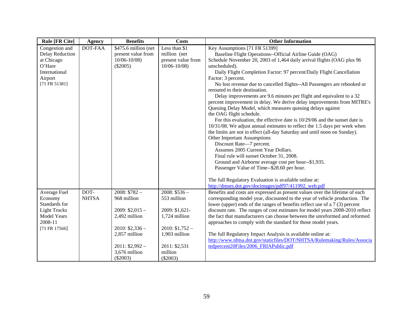| <b>Rule [FR Cite]</b>  | <b>Agency</b>  | <b>Benefits</b>      | <b>Costs</b>       | <b>Other Information</b>                                                                                   |
|------------------------|----------------|----------------------|--------------------|------------------------------------------------------------------------------------------------------------|
| Congestion and         | <b>DOT-FAA</b> | \$475.6 million (net | Less than \$1      | Key Assumptions [71 FR 51399]                                                                              |
| <b>Delay Reduction</b> |                | present value from   | million (net       | Baseline Flight Operations--Official Airline Guide (OAG)                                                   |
| at Chicago             |                | $10/06 - 10/08$      | present value from | Schedule November 20, 2003 of 1,464 daily arrival flights (OAG plus 96                                     |
| O'Hare                 |                | $(\$2005)$           | $10/06 - 10/08$    | unscheduled).                                                                                              |
| International          |                |                      |                    | Daily Flight Completion Factor: 97 percent/Daily Flight Cancellation                                       |
| Airport                |                |                      |                    | Factor: 3 percent.                                                                                         |
| [71 FR 51381]          |                |                      |                    | No lost revenue due to cancelled flights--All Passengers are rebooked or<br>rerouted to their destination. |
|                        |                |                      |                    | Delay improvements are 9.6 minutes per flight and equivalent to a 32                                       |
|                        |                |                      |                    | percent improvement in delay. We derive delay improvements from MITRE's                                    |
|                        |                |                      |                    | Queuing Delay Model, which measures queuing delays against                                                 |
|                        |                |                      |                    | the OAG flight schedule.                                                                                   |
|                        |                |                      |                    | For this evaluation, the effective date is 10/29/06 and the sunset date is                                 |
|                        |                |                      |                    | 10/31/08. We adjust annual estimates to reflect the 1.5 days per week when                                 |
|                        |                |                      |                    | the limits are not in effect (all-day Saturday and until noon on Sunday).                                  |
|                        |                |                      |                    | Other Important Assumptions                                                                                |
|                        |                |                      |                    | Discount Rate-7 percent.                                                                                   |
|                        |                |                      |                    | Assumes 2005 Current Year Dollars.                                                                         |
|                        |                |                      |                    | Final rule will sunset October 31, 2008.                                                                   |
|                        |                |                      |                    | Ground and Airborne average cost per hour--\$1,935.                                                        |
|                        |                |                      |                    | Passenger Value of Time--\$28.60 per hour.                                                                 |
|                        |                |                      |                    | The full Regulatory Evaluation is available online at:                                                     |
|                        |                |                      |                    | http://dmses.dot.gov/docimages/pdf97/411992 web.pdf                                                        |
| Average Fuel           | DOT-           | $2008: $782 -$       | $2008: $536 -$     | Benefits and costs are expressed as present values over the lifetime of each                               |
| Economy                | <b>NHTSA</b>   | 968 million          | 553 million        | corresponding model year, discounted to the year of vehicle production. The                                |
| Standards for          |                |                      |                    | lower (upper) ends of the ranges of benefits reflect use of a 7 (3) percent                                |
| <b>Light Trucks</b>    |                | $2009: $2,015-$      | 2009: \$1,621-     | discount rate. The ranges of cost estimates for model years 2008-2010 reflect                              |
| Model Years            |                | 2,492 million        | 1,724 million      | the fact that manufacturers can choose between the unreformed and reformed                                 |
| 2008-11                |                |                      |                    | approaches to comply with the standard for those model years.                                              |
| [71 FR 17566]          |                | $2010: $2,336-$      | $2010: $1,752-$    |                                                                                                            |
|                        |                | 2,857 million        | 1,903 million      | The full Regulatory Impact Analysis is available online at:                                                |
|                        |                |                      |                    | http://www.nhtsa.dot.gov/staticfiles/DOT/NHTSA/Rulemaking/Rules/Associa                                    |
|                        |                | $2011: $2,992-$      | 2011: \$2,531      | tedpercent20Files/2006_FRIAPublic.pdf                                                                      |
|                        |                | 3,676 million        | million            |                                                                                                            |
|                        |                | $(\$2003)$           | $(\$2003)$         |                                                                                                            |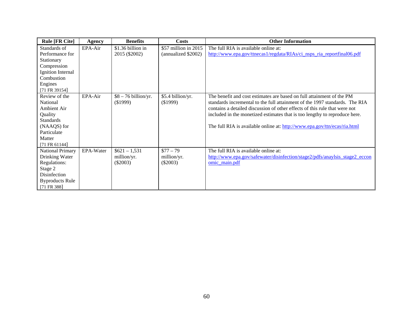| <b>Rule [FR Cite]</b>  | Agency    | <b>Benefits</b>       | Costs                 | <b>Other Information</b>                                                    |
|------------------------|-----------|-----------------------|-----------------------|-----------------------------------------------------------------------------|
| Standards of           | EPA-Air   | \$1.36 billion in     | $$57$ million in 2015 | The full RIA is available online at:                                        |
| Performance for        |           | 2015 (\$2002)         | (annualized \$2002)   | http://www.epa.gov/ttnecas1/regdata/RIAs/ci nsps ria reportfinal06.pdf      |
| Stationary             |           |                       |                       |                                                                             |
| Compression            |           |                       |                       |                                                                             |
| Ignition Internal      |           |                       |                       |                                                                             |
| Combustion             |           |                       |                       |                                                                             |
| Engines                |           |                       |                       |                                                                             |
| [71 FR 39154]          |           |                       |                       |                                                                             |
| Review of the          | EPA-Air   | $$8 - 76$ billion/yr. | \$5.4 billion/yr.     | The benefit and cost estimates are based on full attainment of the PM       |
| National               |           | (\$1999)              | (\$1999)              | standards incremental to the full attainment of the 1997 standards. The RIA |
| Ambient Air            |           |                       |                       | contains a detailed discussion of other effects of this rule that were not  |
| Quality                |           |                       |                       | included in the monetized estimates that is too lengthy to reproduce here.  |
| <b>Standards</b>       |           |                       |                       |                                                                             |
| (NAAQS) for            |           |                       |                       | The full RIA is available online at: http://www.epa.gov/ttn/ecas/ria.html   |
| Particulate            |           |                       |                       |                                                                             |
| Matter                 |           |                       |                       |                                                                             |
| $[71$ FR 61144]        |           |                       |                       |                                                                             |
| National Primary       | EPA-Water | $$621 - 1,531$        | $$77 - 79$            | The full RIA is available online at:                                        |
| Drinking Water         |           | million/yr.           | million/yr.           | http://www.epa.gov/safewater/disinfection/stage2/pdfs/anaylsis_stage2_eccon |
| Regulations:           |           | $(\$2003)$            | $(\$2003)$            | omic main.pdf                                                               |
| Stage 2                |           |                       |                       |                                                                             |
| <b>Disinfection</b>    |           |                       |                       |                                                                             |
| <b>Byproducts Rule</b> |           |                       |                       |                                                                             |
| $[71$ FR 388]          |           |                       |                       |                                                                             |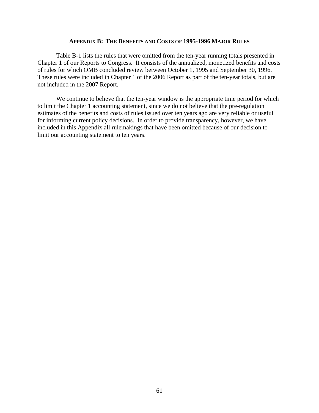#### **APPENDIX B: THE BENEFITS AND COSTS OF 1995-1996 MAJOR RULES**

Table B-1 lists the rules that were omitted from the ten-year running totals presented in Chapter 1 of our Reports to Congress. It consists of the annualized, monetized benefits and costs of rules for which OMB concluded review between October 1, 1995 and September 30, 1996. These rules were included in Chapter 1 of the 2006 Report as part of the ten-year totals, but are not included in the 2007 Report.

We continue to believe that the ten-year window is the appropriate time period for which to limit the Chapter 1 accounting statement, since we do not believe that the pre-regulation estimates of the benefits and costs of rules issued over ten years ago are very reliable or useful for informing current policy decisions. In order to provide transparency, however, we have included in this Appendix all rulemakings that have been omitted because of our decision to limit our accounting statement to ten years.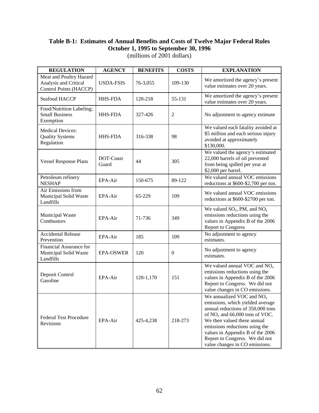# **Table B-1: Estimates of Annual Benefits and Costs of Twelve Major Federal Rules October 1, 1995 to September 30, 1996**

| <b>REGULATION</b>                                                          | <b>AGENCY</b>      | <b>BENEFITS</b> | <b>COSTS</b>     | <b>EXPLANATION</b>                                                                                                                                                                                                                                                                                                |
|----------------------------------------------------------------------------|--------------------|-----------------|------------------|-------------------------------------------------------------------------------------------------------------------------------------------------------------------------------------------------------------------------------------------------------------------------------------------------------------------|
| Meat and Poultry Hazard<br>Analysis and Critical<br>Control Points (HACCP) | <b>USDA-FSIS</b>   | 76-3,055        | 109-130          | We amortized the agency's present<br>value estimates over 20 years.                                                                                                                                                                                                                                               |
| Seafood HACCP                                                              | <b>HHS-FDA</b>     | 120-218         | 55-131           | We amortized the agency's present<br>value estimates over 20 years.                                                                                                                                                                                                                                               |
| Food/Nutrition Labeling;<br><b>Small Business</b><br>Exemption             | <b>HHS-FDA</b>     | 327-426         | 2                | No adjustment to agency estimate                                                                                                                                                                                                                                                                                  |
| <b>Medical Devices:</b><br><b>Quality Systems</b><br>Regulation            | <b>HHS-FDA</b>     | 316-338         | 98               | We valued each fatality avoided at<br>\$5 million and each serious injury<br>avoided at approximately<br>\$130,000.                                                                                                                                                                                               |
| <b>Vessel Response Plans</b>                                               | DOT-Coast<br>Guard | 44              | 305              | We valued the agency's estimated<br>22,000 barrels of oil prevented<br>from being spilled per year at<br>\$2,000 per barrel.                                                                                                                                                                                      |
| Petroleum refinery<br><b>NESHAP</b>                                        | EPA-Air            | 150-675         | 89-122           | We valued annual VOC emissions<br>reductions at \$600-\$2,700 per ton.                                                                                                                                                                                                                                            |
| Air Emissions from<br>Municipal Solid Waste<br>Landfills                   | EPA-Air            | 65-229          | 109              | We valued annual VOC emissions<br>reductions at \$600-\$2700 per ton.                                                                                                                                                                                                                                             |
| <b>Municipal Waste</b><br>Combustors                                       | EPA-Air            | 71-736          | 349              | We valued $SO_2$ , PM, and $NO_x$<br>emissions reductions using the<br>values in Appendix B of the 2006<br><b>Report to Congress</b>                                                                                                                                                                              |
| <b>Accidental Release</b><br>Prevention                                    | EPA-Air            | 185             | 109              | No adjustment to agency<br>estimates.                                                                                                                                                                                                                                                                             |
| Financial Assurance for<br>Municipal Solid Waste<br>Landfills              | <b>EPA-OSWER</b>   | 120             | $\boldsymbol{0}$ | No adjustment to agency<br>estimates.                                                                                                                                                                                                                                                                             |
| Deposit Control<br>Gasoline                                                | EPA-Air            | 120-1,170       | 151              | We valued annual VOC and $NOx$<br>emissions reductions using the<br>values in Appendix B of the 2006<br>Report to Congress. We did not<br>value changes in CO emissions.                                                                                                                                          |
| <b>Federal Test Procedure</b><br>Revisions                                 | EPA-Air            | 425-4,238       | 218-273          | We annualized VOC and $NOx$<br>emissions, which yielded average<br>annual reductions of 350,000 tons<br>of $NOx$ and 66,000 tons of VOC.<br>We then valued these annual<br>emissions reductions using the<br>values in Appendix B of the 2006<br>Report to Congress. We did not<br>value changes in CO emissions. |

(millions of 2001 dollars)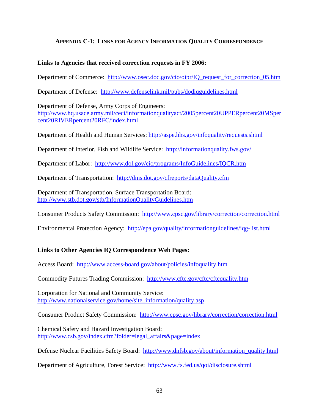# **APPENDIX C-1: LINKS FOR AGENCY INFORMATION QUALITY CORRESPONDENCE**

## **Links to Agencies that received correction requests in FY 2006:**

Department of Commerce: [http://www.osec.doc.gov/cio/oipr/IQ\\_request\\_for\\_correction\\_05.htm](http://www.osec.doc.gov/cio/oipr/IQ_request_for_correction_05.htm) 

Department of Defense: <http://www.defenselink.mil/pubs/dodiqguidelines.html>

Department of Defense, Army Corps of Engineers: [http://www.hq.usace.army.mil/ceci/informationqualityact/2005percent20UPPERpercent20MSper](http://www.hq.usace.army.mil/ceci/informationqualityact/2005%20UPPER%20MS%20RIVER%20RFC/index.html) [cent20RIVERpercent20RFC/index.html](http://www.hq.usace.army.mil/ceci/informationqualityact/2005%20UPPER%20MS%20RIVER%20RFC/index.html) 

Department of Health and Human Services:<http://aspe.hhs.gov/infoquality/requests.shtml>

Department of Interior, Fish and Wildlife Service: <http://informationquality.fws.gov/>

Department of Labor: <http://www.dol.gov/cio/programs/InfoGuidelines/IQCR.htm>

Department of Transportation: <http://dms.dot.gov/cfreports/dataQuality.cfm>

Department of Transportation, Surface Transportation Board: <http://www.stb.dot.gov/stb/InformationQualityGuidelines.htm>

Consumer Products Safety Commission: <http://www.cpsc.gov/library/correction/correction.html>

Environmental Protection Agency: <http://epa.gov/quality/informationguidelines/iqg-list.html>

# **Links to Other Agencies IQ Correspondence Web Pages:**

Access Board: <http://www.access-board.gov/about/policies/infoquality.htm>

Commodity Futures Trading Commission: <http://www.cftc.gov/cftc/cftcquality.htm>

Corporation for National and Community Service: [http://www.nationalservice.gov/home/site\\_information/quality.asp](http://www.nationalservice.gov/home/site_information/quality.asp) 

Consumer Product Safety Commission: <http://www.cpsc.gov/library/correction/correction.html>

Chemical Safety and Hazard Investigation Board: [http://www.csb.gov/index.cfm?folder=legal\\_affairs&page=index](http://www.csb.gov/index.cfm?folder=legal_affairs&page=index)

Defense Nuclear Facilities Safety Board: [http://www.dnfsb.gov/about/information\\_quality.html](http://www.dnfsb.gov/about/information_quality.html)

Department of Agriculture, Forest Service: <http://www.fs.fed.us/qoi/disclosure.shtml>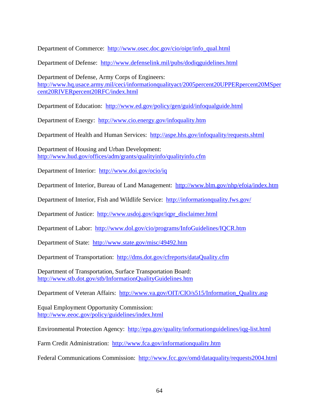Department of Commerce: [http://www.osec.doc.gov/cio/oipr/info\\_qual.html](http://www.osec.doc.gov/cio/oipr/info_qual.html)

Department of Defense: <http://www.defenselink.mil/pubs/dodiqguidelines.html>

Department of Defense, Army Corps of Engineers: [http://www.hq.usace.army.mil/ceci/informationqualityact/2005percent20UPPERpercent20MSper](http://www.hq.usace.army.mil/ceci/informationqualityact/2005%20UPPER%20MS%20RIVER%20RFC/index.html) [cent20RIVERpercent20RFC/index.html](http://www.hq.usace.army.mil/ceci/informationqualityact/2005%20UPPER%20MS%20RIVER%20RFC/index.html)

Department of Education: <http://www.ed.gov/policy/gen/guid/infoqualguide.html>

Department of Energy: <http://www.cio.energy.gov/infoquality.htm>

Department of Health and Human Services: <http://aspe.hhs.gov/infoquality/requests.shtml>

Department of Housing and Urban Development: <http://www.hud.gov/offices/adm/grants/qualityinfo/qualityinfo.cfm>

Department of Interior: http://www.doi.gov/ocio/iq

Department of Interior, Bureau of Land Management: <http://www.blm.gov/nhp/efoia/index.htm>

Department of Interior, Fish and Wildlife Service: <http://informationquality.fws.gov/>

Department of Justice: [http://www.usdoj.gov/iqpr/iqpr\\_disclaimer.html](http://www.usdoj.gov/iqpr/iqpr_disclaimer.html) 

Department of Labor: <http://www.dol.gov/cio/programs/InfoGuidelines/IQCR.htm>

Department of State: <http://www.state.gov/misc/49492.htm>

Department of Transportation: <http://dms.dot.gov/cfreports/dataQuality.cfm>

Department of Transportation, Surface Transportation Board: <http://www.stb.dot.gov/stb/InformationQualityGuidelines.htm>

Department of Veteran Affairs: [http://www.va.gov/OIT/CIO/s515/Information\\_Quality.asp](http://www.va.gov/OIT/CIO/s515/Information_Quality.asp) 

Equal Employment Opportunity Commission: <http://www.eeoc.gov/policy/guidelines/index.html>

Environmental Protection Agency: <http://epa.gov/quality/informationguidelines/iqg-list.html>

Farm Credit Administration: <http://www.fca.gov/informationquality.htm>

Federal Communications Commission: <http://www.fcc.gov/omd/dataquality/requests2004.html>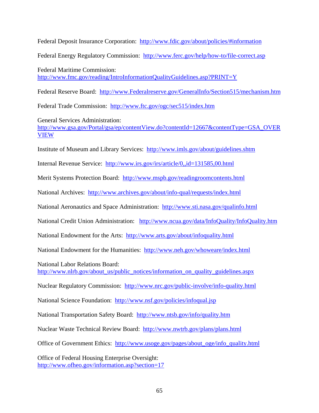Federal Deposit Insurance Corporation: <http://www.fdic.gov/about/policies/#information>

Federal Energy Regulatory Commission: <http://www.ferc.gov/help/how-to/file-correct.asp>

Federal Maritime Commission: <http://www.fmc.gov/reading/IntroInformationQualityGuidelines.asp?PRINT=Y>

Federal Reserve Board: http://www.Federalreserve.gov/GeneralInfo/Section515/mechanism.htm

Federal Trade Commission: <http://www.ftc.gov/ogc/sec515/index.htm>

General Services Administration: [http://www.gsa.gov/Portal/gsa/ep/contentView.do?contentId=12667&contentType=GSA\\_OVER](http://www.gsa.gov/Portal/gsa/ep/contentView.do?contentId=12667&contentType=GSA_OVERVIEW) **[VIEW](http://www.gsa.gov/Portal/gsa/ep/contentView.do?contentId=12667&contentType=GSA_OVERVIEW)** 

Institute of Museum and Library Services: <http://www.imls.gov/about/guidelines.shtm>

Internal Revenue Service: <http://www.irs.gov/irs/article/0,,id=131585,00.html>

Merit Systems Protection Board: <http://www.mspb.gov/readingroomcontents.html>

National Archives: <http://www.archives.gov/about/info-qual/requests/index.html>

National Aeronautics and Space Administration: <http://www.sti.nasa.gov/qualinfo.html>

National Credit Union Administration: <http://www.ncua.gov/data/InfoQuality/InfoQuality.htm>

National Endowment for the Arts: <http://www.arts.gov/about/infoquality.html>

National Endowment for the Humanities: <http://www.neh.gov/whoweare/index.html>

National Labor Relations Board:

[http://www.nlrb.gov/about\\_us/public\\_notices/information\\_on\\_quality\\_guidelines.aspx](http://www.nlrb.gov/about_us/public_notices/information_on_quality_guidelines.aspx) 

Nuclear Regulatory Commission: <http://www.nrc.gov/public-involve/info-quality.html>

National Science Foundation: <http://www.nsf.gov/policies/infoqual.jsp>

National Transportation Safety Board: <http://www.ntsb.gov/info/quality.htm>

Nuclear Waste Technical Review Board: <http://www.nwtrb.gov/plans/plans.html>

Office of Government Ethics: [http://www.usoge.gov/pages/about\\_oge/info\\_quality.html](http://www.usoge.gov/pages/about_oge/info_quality.html)

Office of Federal Housing Enterprise Oversight: <http://www.ofheo.gov/information.asp?section=17>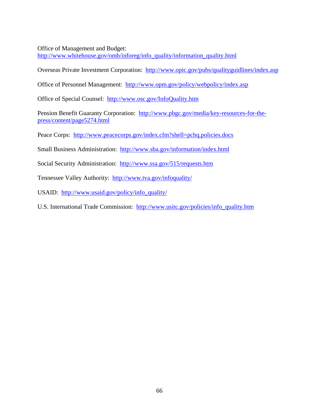Office of Management and Budget:

[http://www.whitehouse.gov/omb/inforeg/info\\_quality/information\\_quality.html](http://www.whitehouse.gov/omb/inforeg/info_quality/information_quality.html)

Overseas Private Investment Corporation: <http://www.opic.gov/pubs/qualityguidlines/index.asp>

Office of Personnel Management: <http://www.opm.gov/policy/webpolicy/index.asp>

Office of Special Counsel: <http://www.osc.gov/InfoQuality.htm>

Pension Benefit Guaranty Corporation: [http://www.pbgc.gov/media/key-resources-for-the](http://www.pbgc.gov/media/key-resources-for-the-press/content/page5274.html)[press/content/page5274.html](http://www.pbgc.gov/media/key-resources-for-the-press/content/page5274.html)

Peace Corps: <http://www.peacecorps.gov/index.cfm?shell=pchq.policies.docs>

Small Business Administration: <http://www.sba.gov/information/index.html>

Social Security Administration: <http://www.ssa.gov/515/requests.htm>

Tennessee Valley Authority: <http://www.tva.gov/infoquality/>

USAID: [http://www.usaid.gov/policy/info\\_quality/](http://www.usaid.gov/policy/info_quality/) 

U.S. International Trade Commission: [http://www.usitc.gov/policies/info\\_quality.htm](http://www.usitc.gov/policies/info_quality.htm)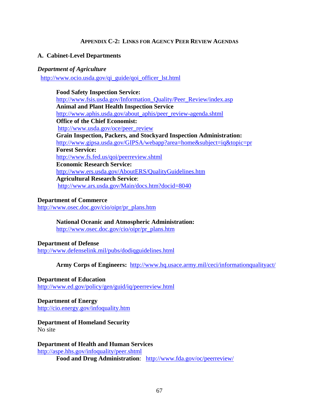### **APPENDIX C-2: LINKS FOR AGENCY PEER REVIEW AGENDAS**

### **A. Cabinet-Level Departments**

### *Department of Agriculture*

[http://www.ocio.usda.gov/qi\\_guide/qoi\\_officer\\_lst.html](http://www.ocio.usda.gov/qi_guide/qoi_officer_lst.html)

**Food Safety Inspection Service:**  [http://www.fsis.usda.gov/Information\\_Quality/Peer\\_Review/index.asp](http://www.fsis.usda.gov/Information_Quality/Peer_Review/index.asp) **Animal and Plant Health Inspection Service**  [http://www.aphis.usda.gov/about\\_aphis/peer\\_review-agenda.shtml](http://www.aphis.usda.gov/about_aphis/peer_review-agenda.shtml) **Office of the Chief Economist:**  [http://www.usda.gov/oce/peer\\_review](http://www.usda.gov/oce/peer_review) **Grain Inspection, Packers, and Stockyard Inspection Administration:**  <http://www.gipsa.usda.gov/GIPSA/webapp?area=home&subject=iq&topic=pr> **Forest Service:**  <http://www.fs.fed.us/qoi/peerreview.shtml> **Economic Research Service:**  <http://www.ers.usda.gov/AboutERS/QualityGuidelines.htm> **Agricultural Research Service**: <http://www.ars.usda.gov/Main/docs.htm?docid=8040>

#### **Department of Commerce**

[http://www.osec.doc.gov/cio/oipr/pr\\_plans.htm](http://www.osec.doc.gov/cio/oipr/pr_plans.htm)

### **National Oceanic and Atmospheric Administration:**

[http://www.osec.doc.gov/cio/oipr/pr\\_plans.htm](http://www.osec.doc.gov/cio/oipr/pr_plans.htm)

### **Department of Defense**

[http://www.defenselink.mil/pubs/dodiqguidelines.html](javascript:ol()

**Army Corps of Engineers:** [http://www.hq.usace.army.mil/ceci/informationqualityact/](javascript:ol()

### **Department of Education**

<http://www.ed.gov/policy/gen/guid/iq/peerreview.html>

# **Department of Energy**

<http://cio.energy.gov/infoquality.htm>

# **Department of Homeland Security**

No site

# **Department of Health and Human Services**

<http://aspe.hhs.gov/infoquality/peer.shtml>

**Food and Drug Administration**: <http://www.fda.gov/oc/peerreview/>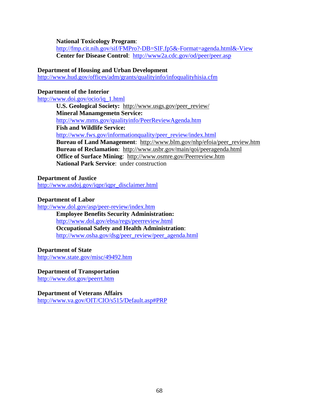**National Toxicology Program**:

<http://fmp.cit.nih.gov/sif/FMPro?-DB=SIF.fp5&-Format=agenda.html&-View> **Center for Disease Control**: <http://www2a.cdc.gov/od/peer/peer.asp>

## **Department of Housing and Urban Development**

<http://www.hud.gov/offices/adm/grants/qualityinfo/infoqualityhisia.cfm>

## **Department of the Interior**

[http://www.doi.gov/ocio/iq\\_1.html](http://www.doi.gov/ocio/iq_1.html)

 **U.S. Geological Society:** [http://www.usgs.gov/peer\\_review/](http://www.usgs.gov/peer_review/) **Mineral Manamgemetn Service:** <http://www.mms.gov/qualityinfo/PeerReviewAgenda.htm> **Fish and Wildlife Service:**  [http://www.fws.gov/informationquality/peer\\_review/index.html](http://www.fws.gov/informationquality/peer_review/index.html) **Bureau of Land Management**: [http://www.blm.gov/nhp/efoia/peer\\_review.htm](http://www.blm.gov/nhp/efoia/peer_review.htm) **Bureau of Reclamation**: <http://www.usbr.gov/main/qoi/peeragenda.html> **Office of Surface Mining**: <http://www.osmre.gov/Peerreview.htm> **National Park Service**: under construction

## **Department of Justice**

[http://www.usdoj.gov/iqpr/iqpr\\_disclaimer.html](http://www.usdoj.gov/iqpr/iqpr_disclaimer.html)

## **Department of Labor**

<http://www.dol.gov/asp/peer-review/index.htm>

**Employee Benefits Security Administration:**  <http://www.dol.gov/ebsa/regs/peerreview.html> **Occupational Safety and Health Administration**: [http://www.osha.gov/dsg/peer\\_review/peer\\_agenda.html](http://www.osha.gov/dsg/peer_review/peer_agenda.html)

## **Department of State**

<http://www.state.gov/misc/49492.htm>

## **Department of Transportation**

<http://www.dot.gov/peerrt.htm>

## **Department of Veterans Affairs**

<http://www.va.gov/OIT/CIO/s515/Default.asp#PRP>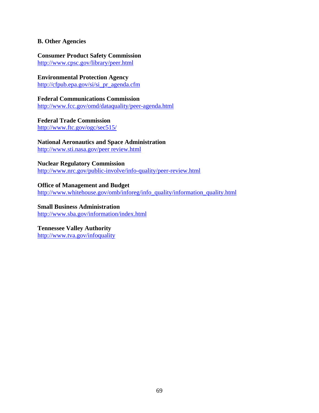## **B. Other Agencies**

# **Consumer Product Safety Commission**

<http://www.cpsc.gov/library/peer.html>

**Environmental Protection Agency**

[http://cfpub.epa.gov/si/si\\_pr\\_agenda.cfm](http://cfpub.epa.gov/si/si_pr_agenda.cfm)

**Federal Communications Commission**  <http://www.fcc.gov/omd/dataquality/peer-agenda.html>

## **Federal Trade Commission**

<http://www.ftc.gov/ogc/sec515/>

## **National Aeronautics and Space Administration**

[http://www.sti.nasa.gov/peer review.html](http://www.sti.nasa.gov/peer%20review.html)

## **Nuclear Regulatory Commission**

<http://www.nrc.gov/public-involve/info-quality/peer-review.html>

## **Office of Management and Budget**

[http://www.whitehouse.gov/omb/inforeg/info\\_quality/information\\_quality.html](http://www.whitehouse.gov/omb/inforeg/info_quality/information_quality.html)

## **Small Business Administration**

<http://www.sba.gov/information/index.html>

## **Tennessee Valley Authority**

<http://www.tva.gov/infoquality>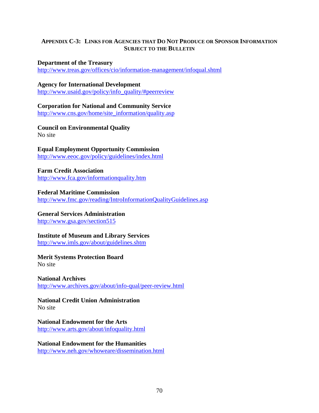## **APPENDIX C-3: LINKS FOR AGENCIES THAT DO NOT PRODUCE OR SPONSOR INFORMATION SUBJECT TO THE BULLETIN**

## **Department of the Treasury**

<http://www.treas.gov/offices/cio/information-management/infoqual.shtml>

## **Agency for International Development**

[http://www.usaid.gov/policy/info\\_quality/#peerreview](http://www.usaid.gov/policy/info_quality/#peerreview)

## **Corporation for National and Community Service**

[http://www.cns.gov/home/site\\_information/quality.asp](http://www.cns.gov/home/site_information/quality.asp)

## **Council on Environmental Quality**  No site

# **Equal Employment Opportunity Commission**

<http://www.eeoc.gov/policy/guidelines/index.html>

## **Farm Credit Association**  <http://www.fca.gov/informationquality.htm>

## **Federal Maritime Commission**  <http://www.fmc.gov/reading/IntroInformationQualityGuidelines.asp>

## **General Services Administration**

<http://www.gsa.gov/section515>

## **Institute of Museum and Library Services**

<http://www.imls.gov/about/guidelines.shtm>

## **Merit Systems Protection Board**

No site

## **National Archives**  <http://www.archives.gov/about/info-qual/peer-review.html>

## **National Credit Union Administration**  No site

## **National Endowment for the Arts**

<http://www.arts.gov/about/infoquality.html>

## **National Endowment for the Humanities**

<http://www.neh.gov/whoweare/dissemination.html>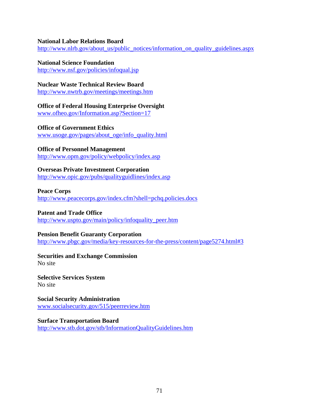## **National Labor Relations Board**

[http://www.nlrb.gov/about\\_us/public\\_notices/information\\_on\\_quality\\_guidelines.aspx](http://www.nlrb.gov/about_us/public_notices/information_on_quality_guidelines.aspx)

## **National Science Foundation**

<http://www.nsf.gov/policies/infoqual.jsp>

## **Nuclear Waste Technical Review Board**

<http://www.nwtrb.gov/meetings/meetings.htm>

## **Office of Federal Housing Enterprise Oversight**

[www.ofheo.gov/Information.asp?Section=17](http://www.ofheo.gov/Information.asp?Section=17)

## **Office of Government Ethics**

[www.usoge.gov/pages/about\\_oge/info\\_quality.html](http://www.usoge.gov/pages/about_oge/info_quality.html)

## **Office of Personnel Management**

<http://www.opm.gov/policy/webpolicy/index.asp>

## **Overseas Private Investment Corporation**

<http://www.opic.gov/pubs/qualityguidlines/index.asp>

## **Peace Corps**

<http://www.peacecorps.gov/index.cfm?shell=pchq.policies.docs>

## **Patent and Trade Office**

[http://www.uspto.gov/main/policy/infoquality\\_peer.htm](http://www.uspto.gov/main/policy/infoquality_peer.htm)

## **Pension Benefit Guaranty Corporation**

<http://www.pbgc.gov/media/key-resources-for-the-press/content/page5274.html#3>

#### **Securities and Exchange Commission**  No site

**Selective Services System**  No site

## **Social Security Administration**  [www.socialsecurity.gov/515/peerreview.htm](http://www.socialsecurity.gov/515/peerreview.htm)

## **Surface Transportation Board**

<http://www.stb.dot.gov/stb/InformationQualityGuidelines.htm>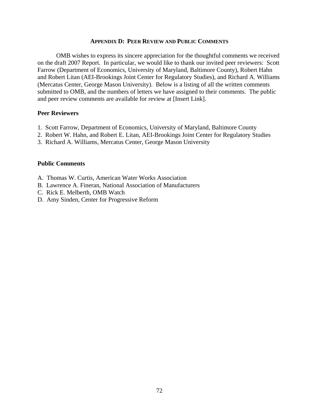#### **APPENDIX D: PEER REVIEW AND PUBLIC COMMENTS**

OMB wishes to express its sincere appreciation for the thoughtful comments we received on the draft 2007 Report. In particular, we would like to thank our invited peer reviewers: Scott Farrow (Department of Economics, University of Maryland, Baltimore County), Robert Hahn and Robert Litan (AEI-Brookings Joint Center for Regulatory Studies), and Richard A. Williams (Mercatus Center, George Mason University). Below is a listing of all the written comments submitted to OMB, and the numbers of letters we have assigned to their comments. The public and peer review comments are available for review at [Insert Link].

#### **Peer Reviewers**

- 1. Scott Farrow, Department of Economics, University of Maryland, Baltimore County
- 2. Robert W. Hahn, and Robert E. Litan, AEI-Brookings Joint Center for Regulatory Studies
- 3. Richard A. Williams, Mercatus Center, George Mason University

#### **Public Comments**

- A. Thomas W. Curtis, American Water Works Association
- B. Lawrence A. Fineran, National Association of Manufacturers
- C. Rick E. Melberth, OMB Watch
- D. Amy Sinden, Center for Progressive Reform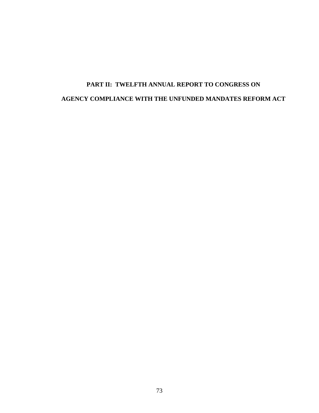# **PART II: TWELFTH ANNUAL REPORT TO CONGRESS ON AGENCY COMPLIANCE WITH THE UNFUNDED MANDATES REFORM ACT**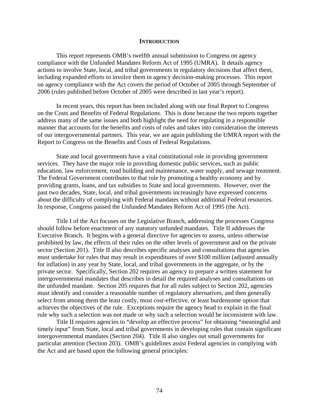#### **INTRODUCTION**

This report represents OMB's twelfth annual submission to Congress on agency compliance with the Unfunded Mandates Reform Act of 1995 (UMRA). It details agency actions to involve State, local, and tribal governments in regulatory decisions that affect them, including expanded efforts to involve them in agency decision-making processes. This report on agency compliance with the Act covers the period of October of 2005 through September of 2006 (rules published before October of 2005 were described in last year's report).

 In recent years, this report has been included along with our final Report to Congress on the Costs and Benefits of Federal Regulations. This is done because the two reports together address many of the same issues and both highlight the need for regulating in a responsible manner that accounts for the benefits and costs of rules and takes into consideration the interests of our intergovernmental partners. This year, we are again publishing the UMRA report with the Report to Congress on the Benefits and Costs of Federal Regulations.

 State and local governments have a vital constitutional role in providing government services. They have the major role in providing domestic public services, such as public education, law enforcement, road building and maintenance, water supply, and sewage treatment. The Federal Government contributes to that role by promoting a healthy economy and by providing grants, loans, and tax subsidies to State and local governments. However, over the past two decades, State, local, and tribal governments increasingly have expressed concerns about the difficulty of complying with Federal mandates without additional Federal resources. In response, Congress passed the Unfunded Mandates Reform Act of 1995 (the Act).

 Title I of the Act focuses on the Legislative Branch, addressing the processes Congress should follow before enactment of any statutory unfunded mandates. Title II addresses the Executive Branch. It begins with a general directive for agencies to assess, unless otherwise prohibited by law, the effects of their rules on the other levels of government and on the private sector (Section 201). Title II also describes specific analyses and consultations that agencies must undertake for rules that may result in expenditures of over \$100 million (adjusted annually for inflation) in any year by State, local, and tribal governments in the aggregate, or by the private sector. Specifically, Section 202 requires an agency to prepare a written statement for intergovernmental mandates that describes in detail the required analyses and consultations on the unfunded mandate. Section 205 requires that for all rules subject to Section 202, agencies must identify and consider a reasonable number of regulatory alternatives, and then generally select from among them the least costly, most cost-effective, or least burdensome option that achieves the objectives of the rule. Exceptions require the agency head to explain in the final rule why such a selection was not made or why such a selection would be inconsistent with law.

 Title II requires agencies to "develop an effective process" for obtaining "meaningful and timely input" from State, local and tribal governments in developing rules that contain significant intergovernmental mandates (Section 204). Title II also singles out small governments for particular attention (Section 203). OMB's guidelines assist Federal agencies in complying with the Act and are based upon the following general principles: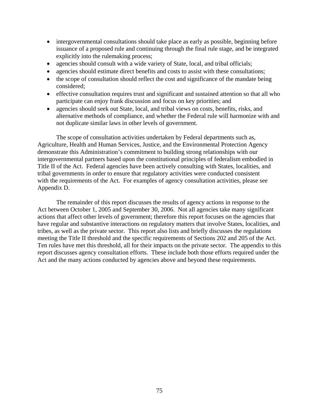- intergovernmental consultations should take place as early as possible, beginning before issuance of a proposed rule and continuing through the final rule stage, and be integrated explicitly into the rulemaking process;
- agencies should consult with a wide variety of State, local, and tribal officials;
- agencies should estimate direct benefits and costs to assist with these consultations;
- the scope of consultation should reflect the cost and significance of the mandate being considered;
- effective consultation requires trust and significant and sustained attention so that all who participate can enjoy frank discussion and focus on key priorities; and
- agencies should seek out State, local, and tribal views on costs, benefits, risks, and alternative methods of compliance, and whether the Federal rule will harmonize with and not duplicate similar laws in other levels of government.

 The scope of consultation activities undertaken by Federal departments such as, Agriculture, Health and Human Services, Justice, and the Environmental Protection Agency demonstrate this Administration's commitment to building strong relationships with our intergovernmental partners based upon the constitutional principles of federalism embodied in Title II of the Act. Federal agencies have been actively consulting with States, localities, and tribal governments in order to ensure that regulatory activities were conducted consistent with the requirements of the Act. For examples of agency consultation activities, please see Appendix D.

 The remainder of this report discusses the results of agency actions in response to the Act between October 1, 2005 and September 30, 2006. Not all agencies take many significant actions that affect other levels of government; therefore this report focuses on the agencies that have regular and substantive interactions on regulatory matters that involve States, localities, and tribes, as well as the private sector. This report also lists and briefly discusses the regulations meeting the Title II threshold and the specific requirements of Sections 202 and 205 of the Act. Ten rules have met this threshold, all for their impacts on the private sector. The appendix to this report discusses agency consultation efforts. These include both those efforts required under the Act and the many actions conducted by agencies above and beyond these requirements.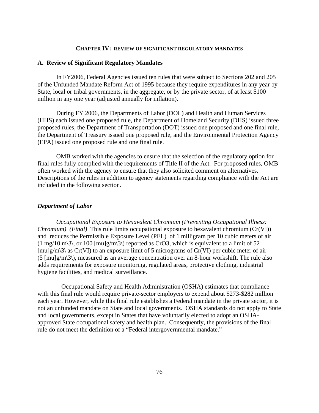#### **CHAPTER IV: REVIEW OF SIGNIFICANT REGULATORY MANDATES**

#### **A. Review of Significant Regulatory Mandates**

In FY2006, Federal Agencies issued ten rules that were subject to Sections 202 and 205 of the Unfunded Mandate Reform Act of 1995 because they require expenditures in any year by State, local or tribal governments, in the aggregate, or by the private sector, of at least \$100 million in any one year (adjusted annually for inflation).

During FY 2006, the Departments of Labor (DOL) and Health and Human Services (HHS) each issued one proposed rule, the Department of Homeland Security (DHS) issued three proposed rules, the Department of Transportation (DOT) issued one proposed and one final rule, the Department of Treasury issued one proposed rule, and the Environmental Protection Agency (EPA) issued one proposed rule and one final rule.

OMB worked with the agencies to ensure that the selection of the regulatory option for final rules fully complied with the requirements of Title II of the Act. For proposed rules, OMB often worked with the agency to ensure that they also solicited comment on alternatives. Descriptions of the rules in addition to agency statements regarding compliance with the Act are included in the following section.

#### *Department of Labor*

*Occupational Exposure to Hexavalent Chromium (Preventing Occupational Illness: Chromium) (Final)* This rule limits occupational exposure to hexavalent chromium (Cr(VI)) and reduces the Permissible Exposure Level (PEL) of 1 milligram per 10 cubic meters of air  $(1 \text{ mg}/10 \text{ m}\cdot3)$ , or 100 [mu]g/m $\cdot3$ ) reported as CrO3, which is equivalent to a limit of 52  $[mu]g/m\$ <sup>3</sup> as Cr(VI) to an exposure limit of 5 micrograms of Cr(VI) per cubic meter of air  $(5 \text{ [mulg/m]}3)$ , measured as an average concentration over an 8-hour workshift. The rule also adds requirements for exposure monitoring, regulated areas, protective clothing, industrial hygiene facilities, and medical surveillance.

 Occupational Safety and Health Administration (OSHA) estimates that compliance with this final rule would require private-sector employers to expend about \$273-\$282 million each year. However, while this final rule establishes a Federal mandate in the private sector, it is not an unfunded mandate on State and local governments. OSHA standards do not apply to State and local governments, except in States that have voluntarily elected to adopt an OSHAapproved State occupational safety and health plan. Consequently, the provisions of the final rule do not meet the definition of a "Federal intergovernmental mandate."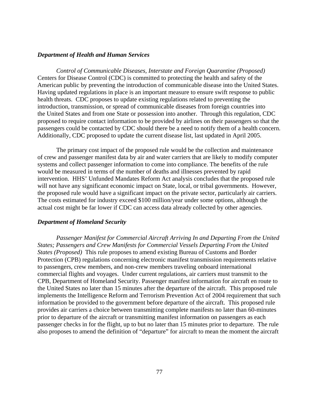#### *Department of Health and Human Services*

*Control of Communicable Diseases, Interstate and Foreign Quarantine (Proposed)*  Centers for Disease Control (CDC) is committed to protecting the health and safety of the American public by preventing the introduction of communicable disease into the United States. Having updated regulations in place is an important measure to ensure swift response to public health threats. CDC proposes to update existing regulations related to preventing the introduction, transmission, or spread of communicable diseases from foreign countries into the United States and from one State or possession into another. Through this regulation, CDC proposed to require contact information to be provided by airlines on their passengers so that the passengers could be contacted by CDC should there be a need to notify them of a health concern. Additionally, CDC proposed to update the current disease list, last updated in April 2005.

The primary cost impact of the proposed rule would be the collection and maintenance of crew and passenger manifest data by air and water carriers that are likely to modify computer systems and collect passenger information to come into compliance. The benefits of the rule would be measured in terms of the number of deaths and illnesses prevented by rapid intervention. HHS' Unfunded Mandates Reform Act analysis concludes that the proposed rule will not have any significant economic impact on State, local, or tribal governments. However, the proposed rule would have a significant impact on the private sector, particularly air carriers. The costs estimated for industry exceed \$100 million/year under some options, although the actual cost might be far lower if CDC can access data already collected by other agencies.

#### *Department of Homeland Security*

*Passenger Manifest for Commercial Aircraft Arriving In and Departing From the United States; Passengers and Crew Manifests for Commercial Vessels Departing From the United States (Proposed)* This rule proposes to amend existing Bureau of Customs and Border Protection (CPB) regulations concerning electronic manifest transmission requirements relative to passengers, crew members, and non-crew members traveling onboard international commercial flights and voyages. Under current regulations, air carriers must transmit to the CPB, Department of Homeland Security. Passenger manifest information for aircraft en route to the United States no later than 15 minutes after the departure of the aircraft. This proposed rule implements the Intelligence Reform and Terrorism Prevention Act of 2004 requirement that such information be provided to the government before departure of the aircraft. This proposed rule provides air carriers a choice between transmitting complete manifests no later than 60-minutes prior to departure of the aircraft or transmitting manifest information on passengers as each passenger checks in for the flight, up to but no later than 15 minutes prior to departure. The rule also proposes to amend the definition of "departure" for aircraft to mean the moment the aircraft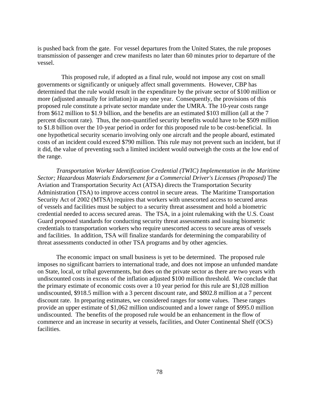is pushed back from the gate. For vessel departures from the United States, the rule proposes transmission of passenger and crew manifests no later than 60 minutes prior to departure of the vessel.

 This proposed rule, if adopted as a final rule, would not impose any cost on small governments or significantly or uniquely affect small governments. However, CBP has determined that the rule would result in the expenditure by the private sector of \$100 million or more (adjusted annually for inflation) in any one year. Consequently, the provisions of this proposed rule constitute a private sector mandate under the UMRA. The 10-year costs range from \$612 million to \$1.9 billion, and the benefits are an estimated \$103 million (all at the 7 percent discount rate). Thus, the non-quantified security benefits would have to be \$509 million to \$1.8 billion over the 10-year period in order for this proposed rule to be cost-beneficial. In one hypothetical security scenario involving only one aircraft and the people aboard, estimated costs of an incident could exceed \$790 million. This rule may not prevent such an incident, but if it did, the value of preventing such a limited incident would outweigh the costs at the low end of the range.

*Transportation Worker Identification Credential (TWIC) Implementation in the Maritime Sector; Hazardous Materials Endorsement for a Commercial Driver's Licenses (Proposed)* The Aviation and Transportation Security Act (ATSA) directs the Transportation Security Administration (TSA) to improve access control in secure areas. The Maritime Transportation Security Act of 2002 (MTSA) requires that workers with unescorted access to secured areas of vessels and facilities must be subject to a security threat assessment and hold a biometric credential needed to access secured areas. The TSA, in a joint rulemaking with the U.S. Coast Guard proposed standards for conducting security threat assessments and issuing biometric credentials to transportation workers who require unescorted access to secure areas of vessels and facilities. In addition, TSA will finalize standards for determining the comparability of threat assessments conducted in other TSA programs and by other agencies.

The economic impact on small business is yet to be determined. The proposed rule imposes no significant barriers to international trade, and does not impose an unfunded mandate on State, local, or tribal governments, but does on the private sector as there are two years with undiscounted costs in excess of the inflation adjusted \$100 million threshold. We conclude that the primary estimate of economic costs over a 10 year period for this rule are \$1,028 million undiscounted, \$918.5 million with a 3 percent discount rate, and \$802.8 million at a 7 percent discount rate. In preparing estimates, we considered ranges for some values. These ranges provide an upper estimate of \$1,062 million undiscounted and a lower range of \$995.0 million undiscounted. The benefits of the proposed rule would be an enhancement in the flow of commerce and an increase in security at vessels, facilities, and Outer Continental Shelf (OCS) facilities.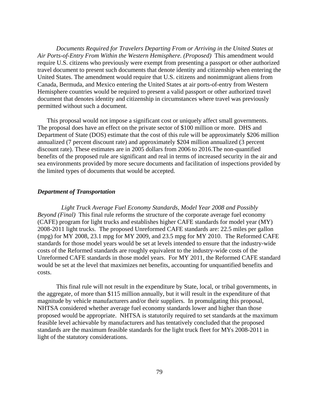*Documents Required for Travelers Departing From or Arriving in the United States at Air Ports-of-Entry From Within the Western Hemisphere. (Proposed)* This amendment would require U.S. citizens who previously were exempt from presenting a passport or other authorized travel document to present such documents that denote identity and citizenship when entering the United States. The amendment would require that U.S. citizens and nonimmigrant aliens from Canada, Bermuda, and Mexico entering the United States at air ports-of-entry from Western Hemisphere countries would be required to present a valid passport or other authorized travel document that denotes identity and citizenship in circumstances where travel was previously permitted without such a document.

This proposal would not impose a significant cost or uniquely affect small governments. The proposal does have an effect on the private sector of \$100 million or more. DHS and Department of State (DOS) estimate that the cost of this rule will be approximately \$206 million annualized (7 percent discount rate) and approximately \$204 million annualized (3 percent discount rate). These estimates are in 2005 dollars from 2006 to 2016.The non-quantified benefits of the proposed rule are significant and real in terms of increased security in the air and sea environments provided by more secure documents and facilitation of inspections provided by the limited types of documents that would be accepted.

#### *Department of Transportation*

 *Light Truck Average Fuel Economy Standards, Model Year 2008 and Possibly Beyond (Final)* This final rule reforms the structure of the corporate average fuel economy (CAFE) program for light trucks and establishes higher CAFE standards for model year (MY) 2008-2011 light trucks. The proposed Unreformed CAFE standards are: 22.5 miles per gallon (mpg) for MY 2008, 23.1 mpg for MY 2009, and 23.5 mpg for MY 2010. The Reformed CAFE standards for those model years would be set at levels intended to ensure that the industry-wide costs of the Reformed standards are roughly equivalent to the industry-wide costs of the Unreformed CAFE standards in those model years. For MY 2011, the Reformed CAFE standard would be set at the level that maximizes net benefits, accounting for unquantified benefits and costs.

This final rule will not result in the expenditure by State, local, or tribal governments, in the aggregate, of more than \$115 million annually, but it will result in the expenditure of that magnitude by vehicle manufacturers and/or their suppliers. In promulgating this proposal, NHTSA considered whether average fuel economy standards lower and higher than those proposed would be appropriate. NHTSA is statutorily required to set standards at the maximum feasible level achievable by manufacturers and has tentatively concluded that the proposed standards are the maximum feasible standards for the light truck fleet for MYs 2008-2011 in light of the statutory considerations.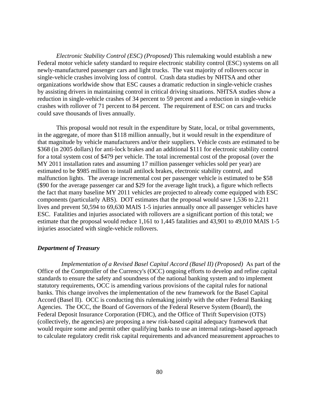*Electronic Stability Control (ESC) (Proposed)* This rulemaking would establish a new Federal motor vehicle safety standard to require electronic stability control (ESC) systems on all newly-manufactured passenger cars and light trucks. The vast majority of rollovers occur in single-vehicle crashes involving loss of control. Crash data studies by NHTSA and other organizations worldwide show that ESC causes a dramatic reduction in single-vehicle crashes by assisting drivers in maintaining control in critical driving situations. NHTSA studies show a reduction in single-vehicle crashes of 34 percent to 59 percent and a reduction in single-vehicle crashes with rollover of 71 percent to 84 percent. The requirement of ESC on cars and trucks could save thousands of lives annually.

This proposal would not result in the expenditure by State, local, or tribal governments, in the aggregate, of more than \$118 million annually, but it would result in the expenditure of that magnitude by vehicle manufacturers and/or their suppliers. Vehicle costs are estimated to be \$368 (in 2005 dollars) for anti-lock brakes and an additional \$111 for electronic stability control for a total system cost of \$479 per vehicle. The total incremental cost of the proposal (over the MY 2011 installation rates and assuming 17 million passenger vehicles sold per year) are estimated to be \$985 million to install antilock brakes, electronic stability control, and malfunction lights. The average incremental cost per passenger vehicle is estimated to be \$58 (\$90 for the average passenger car and \$29 for the average light truck), a figure which reflects the fact that many baseline MY 2011 vehicles are projected to already come equipped with ESC components (particularly ABS). DOT estimates that the proposal would save 1,536 to 2,211 lives and prevent 50,594 to 69,630 MAIS 1-5 injuries annually once all passenger vehicles have ESC. Fatalities and injuries associated with rollovers are a significant portion of this total; we estimate that the proposal would reduce 1,161 to 1,445 fatalities and 43,901 to 49,010 MAIS 1-5 injuries associated with single-vehicle rollovers.

#### *Department of Treasury*

*Implementation of a Revised Basel Capital Accord (Basel II) (Proposed)* As part of the Office of the Comptroller of the Currency's (OCC) ongoing efforts to develop and refine capital standards to ensure the safety and soundness of the national banking system and to implement statutory requirements, OCC is amending various provisions of the capital rules for national banks. This change involves the implementation of the new framework for the Basel Capital Accord (Basel II). OCC is conducting this rulemaking jointly with the other Federal Banking Agencies. The OCC, the Board of Governors of the Federal Reserve System (Board), the Federal Deposit Insurance Corporation (FDIC), and the Office of Thrift Supervision (OTS) (collectively, the agencies) are proposing a new risk-based capital adequacy framework that would require some and permit other qualifying banks to use an internal ratings-based approach to calculate regulatory credit risk capital requirements and advanced measurement approaches to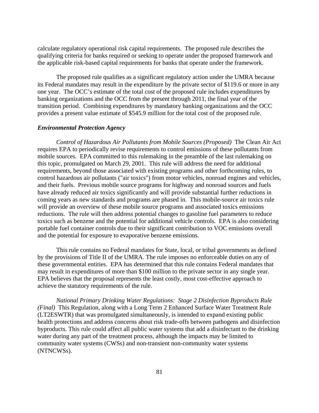calculate regulatory operational risk capital requirements. The proposed rule describes the qualifying criteria for banks required or seeking to operate under the proposed framework and the applicable risk-based capital requirements for banks that operate under the framework.

The proposed rule qualifies as a significant regulatory action under the UMRA because its Federal mandates may result in the expenditure by the private sector of \$119.6 or more in any one year. The OCC's estimate of the total cost of the proposed rule includes expenditures by banking organizations and the OCC from the present through 2011, the final year of the transition period. Combining expenditures by mandatory banking organizations and the OCC provides a present value estimate of \$545.9 million for the total cost of the proposed rule.

#### *Environmental Protection Agency*

*Control of Hazardous Air Pollutants from Mobile Sources (Proposed)* The Clean Air Act requires EPA to periodically revise requirements to control emissions of these pollutants from mobile sources. EPA committed to this rulemaking in the preamble of the last rulemaking on this topic, promulgated on March 29, 2001. This rule will address the need for additional requirements, beyond those associated with existing programs and other forthcoming rules, to control hazardous air pollutants ("air toxics") from motor vehicles, nonroad engines and vehicles, and their fuels. Previous mobile source programs for highway and nonroad sources and fuels have already reduced air toxics significantly and will provide substantial further reductions in coming years as new standards and programs are phased in. This mobile-source air toxics rule will provide an overview of these mobile source programs and associated toxics emissions reductions. The rule will then address potential changes to gasoline fuel parameters to reduce toxics such as benzene and the potential for additional vehicle controls. EPA is also considering portable fuel container controls due to their significant contribution to VOC emissions overall and the potential for exposure to evaporative benzene emissions.

This rule contains no Federal mandates for State, local, or tribal governments as defined by the provisions of Title II of the UMRA. The rule imposes no enforceable duties on any of these governmental entities. EPA has determined that this rule contains Federal mandates that may result in expenditures of more than \$100 million to the private sector in any single year. EPA believes that the proposal represents the least costly, most cost-effective approach to achieve the statutory requirements of the rule.

*National Primary Drinking Water Regulations: Stage 2 Disinfection Byproducts Rule (Final)* This Regulation, along with a Long Term 2 Enhanced Surface Water Treatment Rule (LT2ESWTR) that was promulgated simultaneously, is intended to expand existing public health protections and address concerns about risk trade-offs between pathogens and disinfection byproducts. This rule could affect all public water systems that add a disinfectant to the drinking water during any part of the treatment process, although the impacts may be limited to community water systems (CWSs) and non-transient non-community water systems (NTNCWSs).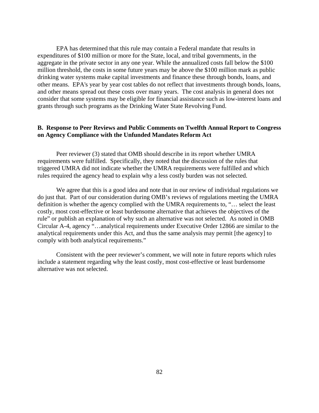EPA has determined that this rule may contain a Federal mandate that results in expenditures of \$100 million or more for the State, local, and tribal governments, in the aggregate in the private sector in any one year. While the annualized costs fall below the \$100 million threshold, the costs in some future years may be above the \$100 million mark as public drinking water systems make capital investments and finance these through bonds, loans, and other means. EPA's year by year cost tables do not reflect that investments through bonds, loans, and other means spread out these costs over many years. The cost analysis in general does not consider that some systems may be eligible for financial assistance such as low-interest loans and grants through such programs as the Drinking Water State Revolving Fund.

## **B. Response to Peer Reviews and Public Comments on Twelfth Annual Report to Congress on Agency Compliance with the Unfunded Mandates Reform Act**

Peer reviewer (3) stated that OMB should describe in its report whether UMRA requirements were fulfilled. Specifically, they noted that the discussion of the rules that triggered UMRA did not indicate whether the UMRA requirements were fulfilled and which rules required the agency head to explain why a less costly burden was not selected.

We agree that this is a good idea and note that in our review of individual regulations we do just that. Part of our consideration during OMB's reviews of regulations meeting the UMRA definition is whether the agency complied with the UMRA requirements to, "… select the least costly, most cost-effective or least burdensome alternative that achieves the objectives of the rule" or publish an explanation of why such an alternative was not selected. As noted in OMB Circular A-4, agency "…analytical requirements under Executive Order 12866 are similar to the analytical requirements under this Act, and thus the same analysis may permit [the agency] to comply with both analytical requirements."

Consistent with the peer reviewer's comment, we will note in future reports which rules include a statement regarding why the least costly, most cost-effective or least burdensome alternative was not selected.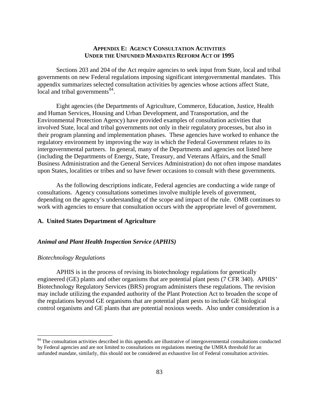## **APPENDIX E: AGENCY CONSULTATION ACTIVITIES UNDER THE UNFUNDED MANDATES REFORM ACT OF 1995**

<span id="page-87-0"></span> Sections 203 and 204 of the Act require agencies to seek input from State, local and tribal governments on new Federal regulations imposing significant intergovernmental mandates. This appendix summarizes selected consultation activities by agencies whose actions affect State, local and tribal governments<sup>[84](#page-87-0)</sup>.

 Eight agencies (the Departments of Agriculture, Commerce, Education, Justice, Health and Human Services, Housing and Urban Development, and Transportation, and the Environmental Protection Agency) have provided examples of consultation activities that involved State, local and tribal governments not only in their regulatory processes, but also in their program planning and implementation phases. These agencies have worked to enhance the regulatory environment by improving the way in which the Federal Government relates to its intergovernmental partners. In general, many of the Departments and agencies not listed here (including the Departments of Energy, State, Treasury, and Veterans Affairs, and the Small Business Administration and the General Services Administration) do not often impose mandates upon States, localities or tribes and so have fewer occasions to consult with these governments.

 As the following descriptions indicate, Federal agencies are conducting a wide range of consultations. Agency consultations sometimes involve multiple levels of government, depending on the agency's understanding of the scope and impact of the rule. OMB continues to work with agencies to ensure that consultation occurs with the appropriate level of government.

## **A. United States Department of Agriculture**

#### *Animal and Plant Health Inspection Service (APHIS)*

#### *Biotechnology Regulations*

1

APHIS is in the process of revising its biotechnology regulations for genetically engineered (GE) plants and other organisms that are potential plant pests (7 CFR 340). APHIS' Biotechnology Regulatory Services (BRS) program administers these regulations. The revision may include utilizing the expanded authority of the Plant Protection Act to broaden the scope of the regulations beyond GE organisms that are potential plant pests to include GE biological control organisms and GE plants that are potential noxious weeds. Also under consideration is a

<sup>&</sup>lt;sup>84</sup> The consultation activities described in this appendix are illustrative of intergovernmental consultations conducted by Federal agencies and are not limited to consultations on regulations meeting the UMRA threshold for an unfunded mandate, similarly, this should not be considered an exhaustive list of Federal consultation activities.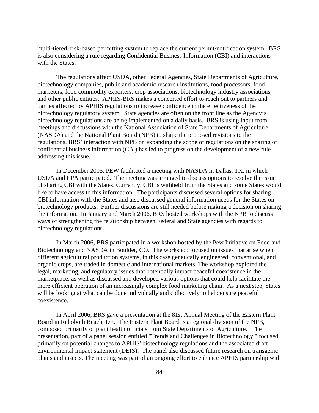multi-tiered, risk-based permitting system to replace the current permit/notification system. BRS is also considering a rule regarding Confidential Business Information (CBI) and interactions with the States.

The regulations affect USDA, other Federal Agencies, State Departments of Agriculture, biotechnology companies, public and academic research institutions, food processors, food marketers, food commodity exporters, crop associations, biotechnology industry associations, and other public entities. APHIS-BRS makes a concerted effort to reach out to partners and parties affected by APHIS regulations to increase confidence in the effectiveness of the biotechnology regulatory system. State agencies are often on the front line as the Agency's biotechnology regulations are being implemented on a daily basis. BRS is using input from meetings and discussions with the National Association of State Departments of Agriculture (NASDA) and the National Plant Board (NPB) to shape the proposed revisions to the regulations. BRS' interaction with NPB on expanding the scope of regulations on the sharing of confidential business information (CBI) has led to progress on the development of a new rule addressing this issue.

In December 2005, PEW facilitated a meeting with NASDA in Dallas, TX, in which USDA and EPA participated. The meeting was arranged to discuss options to resolve the issue of sharing CBI with the States. Currently, CBI is withheld from the States and some States would like to have access to this information. The participants discussed several options for sharing CBI information with the States and also discussed general information needs for the States on biotechnology products. Further discussions are still needed before making a decision on sharing the information. In January and March 2006, BRS hosted workshops with the NPB to discuss ways of strengthening the relationship between Federal and State agencies with regards to biotechnology regulations.

In March 2006, BRS participated in a workshop hosted by the Pew Initiative on Food and Biotechnology and NASDA in Boulder, CO. The workshop focused on issues that arise when different agricultural production systems, in this case genetically engineered, conventional, and organic crops, are traded in domestic and international markets. The workshop explored the legal, marketing, and regulatory issues that potentially impact peaceful coexistence in the marketplace, as well as discussed and developed various options that could help facilitate the more efficient operation of an increasingly complex food marketing chain. As a next step, States will be looking at what can be done individually and collectively to help ensure peaceful coexistence.

In April 2006, BRS gave a presentation at the 81st Annual Meeting of the Eastern Plant Board in Rehoboth Beach, DE. The Eastern Plant Board is a regional division of the NPB, composed primarily of plant health officials from State Departments of Agriculture. The presentation, part of a panel session entitled "Trends and Challenges in Biotechnology," focused primarily on potential changes to APHIS' biotechnology regulations and the associated draft environmental impact statement (DEIS). The panel also discussed future research on transgenic plants and insects. The meeting was part of an ongoing effort to enhance APHIS partnership with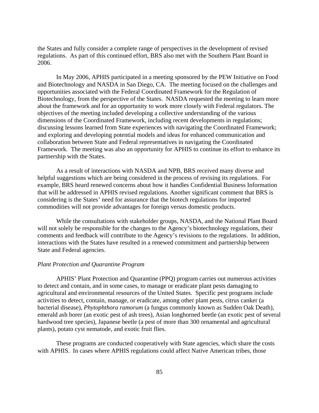the States and fully consider a complete range of perspectives in the development of revised regulations. As part of this continued effort, BRS also met with the Southern Plant Board in 2006.

In May 2006, APHIS participated in a meeting sponsored by the PEW Initiative on Food and Biotechnology and NASDA in San Diego, CA. The meeting focused on the challenges and opportunities associated with the Federal Coordinated Framework for the Regulation of Biotechnology, from the perspective of the States. NASDA requested the meeting to learn more about the framework and for an opportunity to work more closely with Federal regulators. The objectives of the meeting included developing a collective understanding of the various dimensions of the Coordinated Framework, including recent developments in regulations; discussing lessons learned from State experiences with navigating the Coordinated Framework; and exploring and developing potential models and ideas for enhanced communication and collaboration between State and Federal representatives in navigating the Coordinated Framework. The meeting was also an opportunity for APHIS to continue its effort to enhance its partnership with the States.

As a result of interactions with NASDA and NPB, BRS received many diverse and helpful suggestions which are being considered in the process of revising its regulations. For example, BRS heard renewed concerns about how it handles Confidential Business Information that will be addressed in APHIS revised regulations. Another significant comment that BRS is considering is the States' need for assurance that the biotech regulations for imported commodities will not provide advantages for foreign versus domestic products.

While the consultations with stakeholder groups, NASDA, and the National Plant Board will not solely be responsible for the changes to the Agency's biotechnology regulations, their comments and feedback will contribute to the Agency's revisions to the regulations. In addition, interactions with the States have resulted in a renewed commitment and partnership between State and Federal agencies.

#### *Plant Protection and Quarantine Program*

APHIS' Plant Protection and Quarantine (PPQ) program carries out numerous activities to detect and contain, and in some cases, to manage or eradicate plant pests damaging to agricultural and environmental resources of the United States. Specific pest programs include activities to detect, contain, manage, or eradicate, among other plant pests, citrus canker (a bacterial disease), *Phytophthora ramorum* (a fungus commonly known as Sudden Oak Death), emerald ash borer (an exotic pest of ash trees), Asian longhorned beetle (an exotic pest of several hardwood tree species), Japanese beetle (a pest of more than 300 ornamental and agricultural plants), potato cyst nematode, and exotic fruit flies.

These programs are conducted cooperatively with State agencies, which share the costs with APHIS. In cases where APHIS regulations could affect Native American tribes, those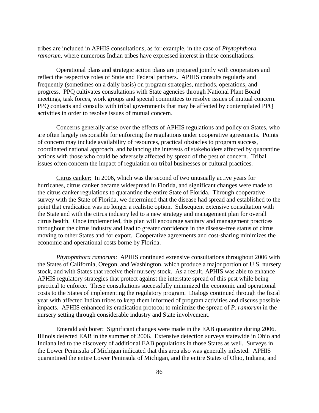tribes are included in APHIS consultations, as for example, in the case of *Phytophthora ramorum,* where numerous Indian tribes have expressed interest in these consultations.

Operational plans and strategic action plans are prepared jointly with cooperators and reflect the respective roles of State and Federal partners. APHIS consults regularly and frequently (sometimes on a daily basis) on program strategies, methods, operations, and progress. PPQ cultivates consultations with State agencies through National Plant Board meetings, task forces, work groups and special committees to resolve issues of mutual concern. PPQ contacts and consults with tribal governments that may be affected by contemplated PPQ activities in order to resolve issues of mutual concern.

Concerns generally arise over the effects of APHIS regulations and policy on States, who are often largely responsible for enforcing the regulations under cooperative agreements. Points of concern may include availability of resources, practical obstacles to program success, coordinated national approach, and balancing the interests of stakeholders affected by quarantine actions with those who could be adversely affected by spread of the pest of concern. Tribal issues often concern the impact of regulation on tribal businesses or cultural practices.

Citrus canker: In 2006, which was the second of two unusually active years for hurricanes, citrus canker became widespread in Florida, and significant changes were made to the citrus canker regulations to quarantine the entire State of Florida. Through cooperative survey with the State of Florida, we determined that the disease had spread and established to the point that eradication was no longer a realistic option. Subsequent extensive consultation with the State and with the citrus industry led to a new strategy and management plan for overall citrus health. Once implemented, this plan will encourage sanitary and management practices throughout the citrus industry and lead to greater confidence in the disease-free status of citrus moving to other States and for export. Cooperative agreements and cost-sharing minimizes the economic and operational costs borne by Florida.

*Phytophthora ramorum*: APHIS continued extensive consultations throughout 2006 with the States of California, Oregon, and Washington, which produce a major portion of U.S. nursery stock, and with States that receive their nursery stock. As a result, APHIS was able to enhance APHIS regulatory strategies that protect against the interstate spread of this pest while being practical to enforce. These consultations successfully minimized the economic and operational costs to the States of implementing the regulatory program. Dialogs continued through the fiscal year with affected Indian tribes to keep them informed of program activities and discuss possible impacts. APHIS enhanced its eradication protocol to minimize the spread of *P. ramorum* in the nursery setting through considerable industry and State involvement.

Emerald ash borer: Significant changes were made in the EAB quarantine during 2006. Illinois detected EAB in the summer of 2006. Extensive detection surveys statewide in Ohio and Indiana led to the discovery of additional EAB populations in those States as well. Surveys in the Lower Peninsula of Michigan indicated that this area also was generally infested. APHIS quarantined the entire Lower Peninsula of Michigan, and the entire States of Ohio, Indiana, and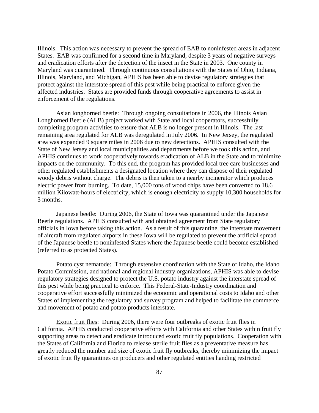Illinois. This action was necessary to prevent the spread of EAB to noninfested areas in adjacent States. EAB was confirmed for a second time in Maryland, despite 3 years of negative surveys and eradication efforts after the detection of the insect in the State in 2003. One county in Maryland was quarantined. Through continuous consultations with the States of Ohio, Indiana, Illinois, Maryland, and Michigan, APHIS has been able to devise regulatory strategies that protect against the interstate spread of this pest while being practical to enforce given the affected industries. States are provided funds through cooperative agreements to assist in enforcement of the regulations.

Asian longhorned beetle: Through ongoing consultations in 2006, the Illinois Asian Longhorned Beetle (ALB) project worked with State and local cooperators, successfully completing program activities to ensure that ALB is no longer present in Illinois. The last remaining area regulated for ALB was deregulated in July 2006. In New Jersey, the regulated area was expanded 9 square miles in 2006 due to new detections. APHIS consulted with the State of New Jersey and local municipalities and departments before we took this action, and APHIS continues to work cooperatively towards eradication of ALB in the State and to minimize impacts on the community. To this end, the program has provided local tree care businesses and other regulated establishments a designated location where they can dispose of their regulated woody debris without charge. The debris is then taken to a nearby incinerator which produces electric power from burning. To date, 15,000 tons of wood chips have been converted to 18.6 million Kilowatt-hours of electricity, which is enough electricity to supply 10,300 households for 3 months.

Japanese beetle: During 2006, the State of Iowa was quarantined under the Japanese Beetle regulations. APHIS consulted with and obtained agreement from State regulatory officials in Iowa before taking this action. As a result of this quarantine, the interstate movement of aircraft from regulated airports in these Iowa will be regulated to prevent the artificial spread of the Japanese beetle to noninfested States where the Japanese beetle could become established (referred to as protected States).

Potato cyst nematode: Through extensive coordination with the State of Idaho, the Idaho Potato Commission, and national and regional industry organizations, APHIS was able to devise regulatory strategies designed to protect the U.S. potato industry against the interstate spread of this pest while being practical to enforce. This Federal-State-Industry coordination and cooperative effort successfully minimized the economic and operational costs to Idaho and other States of implementing the regulatory and survey program and helped to facilitate the commerce and movement of potato and potato products interstate.

Exotic fruit flies: During 2006, there were four outbreaks of exotic fruit flies in California. APHIS conducted cooperative efforts with California and other States within fruit fly supporting areas to detect and eradicate introduced exotic fruit fly populations. Cooperation with the States of California and Florida to release sterile fruit flies as a preventative measure has greatly reduced the number and size of exotic fruit fly outbreaks, thereby minimizing the impact of exotic fruit fly quarantines on producers and other regulated entities handing restricted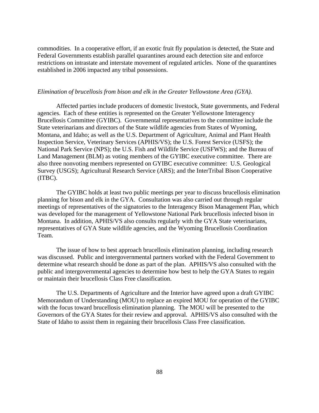commodities. In a cooperative effort, if an exotic fruit fly population is detected, the State and Federal Governments establish parallel quarantines around each detection site and enforce restrictions on intrastate and interstate movement of regulated articles. None of the quarantines established in 2006 impacted any tribal possessions.

#### *Elimination of brucellosis from bison and elk in the Greater Yellowstone Area (GYA).*

Affected parties include producers of domestic livestock, State governments, and Federal agencies. Each of these entities is represented on the Greater Yellowstone Interagency Brucellosis Committee (GYIBC). Governmental representatives to the committee include the State veterinarians and directors of the State wildlife agencies from States of Wyoming, Montana, and Idaho; as well as the U.S. Department of Agriculture, Animal and Plant Health Inspection Service, Veterinary Services (APHIS/VS); the U.S. Forest Service (USFS); the National Park Service (NPS); the U.S. Fish and Wildlife Service (USFWS); and the Bureau of Land Management (BLM) as voting members of the GYIBC executive committee. There are also three nonvoting members represented on GYIBC executive committee: U.S. Geological Survey (USGS); Agricultural Research Service (ARS); and the InterTribal Bison Cooperative (ITBC).

The GYIBC holds at least two public meetings per year to discuss brucellosis elimination planning for bison and elk in the GYA. Consultation was also carried out through regular meetings of representatives of the signatories to the Interagency Bison Management Plan, which was developed for the management of Yellowstone National Park brucellosis infected bison in Montana. In addition, APHIS/VS also consults regularly with the GYA State veterinarians, representatives of GYA State wildlife agencies, and the Wyoming Brucellosis Coordination Team.

The issue of how to best approach brucellosis elimination planning, including research was discussed. Public and intergovernmental partners worked with the Federal Government to determine what research should be done as part of the plan. APHIS/VS also consulted with the public and intergovernmental agencies to determine how best to help the GYA States to regain or maintain their brucellosis Class Free classification.

The U.S. Departments of Agriculture and the Interior have agreed upon a draft GYIBC Memorandum of Understanding (MOU) to replace an expired MOU for operation of the GYIBC with the focus toward brucellosis elimination planning. The MOU will be presented to the Governors of the GYA States for their review and approval. APHIS/VS also consulted with the State of Idaho to assist them in regaining their brucellosis Class Free classification.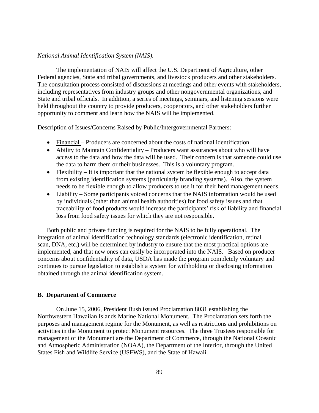#### *National Animal Identification System (NAIS).*

The implementation of NAIS will affect the U.S. Department of Agriculture, other Federal agencies, State and tribal governments, and livestock producers and other stakeholders. The consultation process consisted of discussions at meetings and other events with stakeholders, including representatives from industry groups and other nongovernmental organizations, and State and tribal officials. In addition, a series of meetings, seminars, and listening sessions were held throughout the country to provide producers, cooperators, and other stakeholders further opportunity to comment and learn how the NAIS will be implemented.

Description of Issues/Concerns Raised by Public/Intergovernmental Partners:

- Financial Producers are concerned about the costs of national identification.
- Ability to Maintain Confidentiality Producers want assurances about who will have access to the data and how the data will be used. Their concern is that someone could use the data to harm them or their businesses. This is a voluntary program.
- Flexibility It is important that the national system be flexible enough to accept data from existing identification systems (particularly branding systems). Also, the system needs to be flexible enough to allow producers to use it for their herd management needs.
- Liability Some participants voiced concerns that the NAIS information would be used by individuals (other than animal health authorities) for food safety issues and that traceability of food products would increase the participants' risk of liability and financial loss from food safety issues for which they are not responsible.

Both public and private funding is required for the NAIS to be fully operational. The integration of animal identification technology standards (electronic identification, retinal scan, DNA, etc.) will be determined by industry to ensure that the most practical options are implemented, and that new ones can easily be incorporated into the NAIS. Based on producer concerns about confidentiality of data, USDA has made the program completely voluntary and continues to pursue legislation to establish a system for withholding or disclosing information obtained through the animal identification system.

#### **B. Department of Commerce**

On June 15, 2006, President Bush issued Proclamation 8031 establishing the Northwestern Hawaiian Islands Marine National Monument. The Proclamation sets forth the purposes and management regime for the Monument, as well as restrictions and prohibitions on activities in the Monument to protect Monument resources. The three Trustees responsible for management of the Monument are the Department of Commerce, through the National Oceanic and Atmospheric Administration (NOAA), the Department of the Interior, through the United States Fish and Wildlife Service (USFWS), and the State of Hawaii.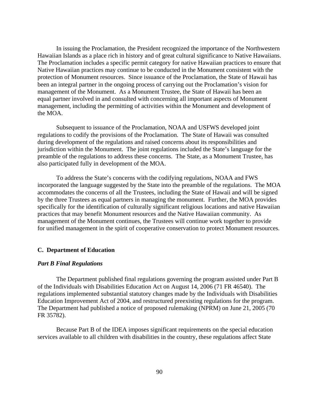In issuing the Proclamation, the President recognized the importance of the Northwestern Hawaiian Islands as a place rich in history and of great cultural significance to Native Hawaiians. The Proclamation includes a specific permit category for native Hawaiian practices to ensure that Native Hawaiian practices may continue to be conducted in the Monument consistent with the protection of Monument resources. Since issuance of the Proclamation, the State of Hawaii has been an integral partner in the ongoing process of carrying out the Proclamation's vision for management of the Monument. As a Monument Trustee, the State of Hawaii has been an equal partner involved in and consulted with concerning all important aspects of Monument management, including the permitting of activities within the Monument and development of the MOA.

Subsequent to issuance of the Proclamation, NOAA and USFWS developed joint regulations to codify the provisions of the Proclamation. The State of Hawaii was consulted during development of the regulations and raised concerns about its responsibilities and jurisdiction within the Monument. The joint regulations included the State's language for the preamble of the regulations to address these concerns. The State, as a Monument Trustee, has also participated fully in development of the MOA.

To address the State's concerns with the codifying regulations, NOAA and FWS incorporated the language suggested by the State into the preamble of the regulations. The MOA accommodates the concerns of all the Trustees, including the State of Hawaii and will be signed by the three Trustees as equal partners in managing the monument. Further, the MOA provides specifically for the identification of culturally significant religious locations and native Hawaiian practices that may benefit Monument resources and the Native Hawaiian community. As management of the Monument continues, the Trustees will continue work together to provide for unified management in the spirit of cooperative conservation to protect Monument resources.

#### **C. Department of Education**

#### *Part B Final Regulations*

The Department published final regulations governing the program assisted under Part B of the Individuals with Disabilities Education Act on August 14, 2006 (71 FR 46540). The regulations implemented substantial statutory changes made by the Individuals with Disabilities Education Improvement Act of 2004, and restructured preexisting regulations for the program. The Department had published a notice of proposed rulemaking (NPRM) on June 21, 2005 (70 FR 35782).

Because Part B of the IDEA imposes significant requirements on the special education services available to all children with disabilities in the country, these regulations affect State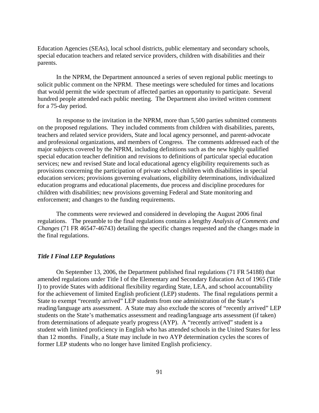Education Agencies (SEAs), local school districts, public elementary and secondary schools, special education teachers and related service providers, children with disabilities and their parents.

In the NPRM, the Department announced a series of seven regional public meetings to solicit public comment on the NPRM. These meetings were scheduled for times and locations that would permit the wide spectrum of affected parties an opportunity to participate. Several hundred people attended each public meeting. The Department also invited written comment for a 75-day period.

In response to the invitation in the NPRM, more than 5,500 parties submitted comments on the proposed regulations. They included comments from children with disabilities, parents, teachers and related service providers, State and local agency personnel, and parent-advocate and professional organizations, and members of Congress. The comments addressed each of the major subjects covered by the NPRM, including definitions such as the new highly qualified special education teacher definition and revisions to definitions of particular special education services; new and revised State and local educational agency eligibility requirements such as provisions concerning the participation of private school children with disabilities in special education services; provisions governing evaluations, eligibility determinations, individualized education programs and educational placements, due process and discipline procedures for children with disabilities; new provisions governing Federal and State monitoring and enforcement; and changes to the funding requirements.

The comments were reviewed and considered in developing the August 2006 final regulations. The preamble to the final regulations contains a lengthy *Analysis of Comments and Changes* (71 FR 46547-46743) detailing the specific changes requested and the changes made in the final regulations.

#### *Title I Final LEP Regulations*

On September 13, 2006, the Department published final regulations (71 FR 54188) that amended regulations under Title I of the Elementary and Secondary Education Act of 1965 (Title I) to provide States with additional flexibility regarding State, LEA, and school accountability for the achievement of limited English proficient (LEP) students. The final regulations permit a State to exempt "recently arrived" LEP students from one administration of the State's reading/language arts assessment. A State may also exclude the scores of "recently arrived" LEP students on the State's mathematics assessment and reading/language arts assessment (if taken) from determinations of adequate yearly progress (AYP). A "recently arrived" student is a student with limited proficiency in English who has attended schools in the United States for less than 12 months. Finally, a State may include in two AYP determination cycles the scores of former LEP students who no longer have limited English proficiency.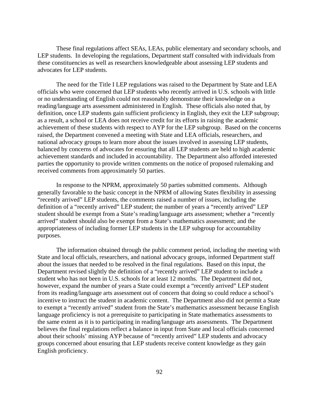These final regulations affect SEAs, LEAs, public elementary and secondary schools, and LEP students. In developing the regulations, Department staff consulted with individuals from these constituencies as well as researchers knowledgeable about assessing LEP students and advocates for LEP students.

The need for the Title I LEP regulations was raised to the Department by State and LEA officials who were concerned that LEP students who recently arrived in U.S. schools with little or no understanding of English could not reasonably demonstrate their knowledge on a reading/language arts assessment administered in English. These officials also noted that, by definition, once LEP students gain sufficient proficiency in English, they exit the LEP subgroup; as a result, a school or LEA does not receive credit for its efforts in raising the academic achievement of these students with respect to AYP for the LEP subgroup. Based on the concerns raised, the Department convened a meeting with State and LEA officials, researchers, and national advocacy groups to learn more about the issues involved in assessing LEP students, balanced by concerns of advocates for ensuring that all LEP students are held to high academic achievement standards and included in accountability. The Department also afforded interested parties the opportunity to provide written comments on the notice of proposed rulemaking and received comments from approximately 50 parties.

In response to the NPRM, approximately 50 parties submitted comments. Although generally favorable to the basic concept in the NPRM of allowing States flexibility in assessing "recently arrived" LEP students, the comments raised a number of issues, including the definition of a "recently arrived" LEP student; the number of years a "recently arrived" LEP student should be exempt from a State's reading/language arts assessment; whether a "recently arrived" student should also be exempt from a State's mathematics assessment; and the appropriateness of including former LEP students in the LEP subgroup for accountability purposes.

The information obtained through the public comment period, including the meeting with State and local officials, researchers, and national advocacy groups, informed Department staff about the issues that needed to be resolved in the final regulations. Based on this input, the Department revised slightly the definition of a "recently arrived" LEP student to include a student who has not been in U.S. schools for at least 12 months. The Department did not, however, expand the number of years a State could exempt a "recently arrived" LEP student from its reading/language arts assessment out of concern that doing so could reduce a school's incentive to instruct the student in academic content. The Department also did not permit a State to exempt a "recently arrived" student from the State's mathematics assessment because English language proficiency is not a prerequisite to participating in State mathematics assessments to the same extent as it is to participating in reading/language arts assessments. The Department believes the final regulations reflect a balance in input from State and local officials concerned about their schools' missing AYP because of "recently arrived" LEP students and advocacy groups concerned about ensuring that LEP students receive content knowledge as they gain English proficiency.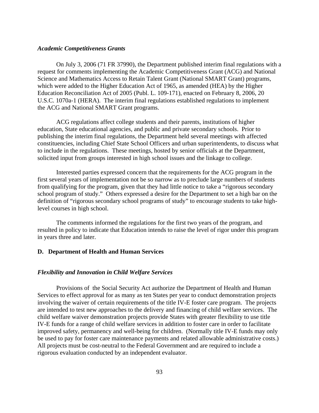#### *Academic Competitiveness Grants*

On July 3, 2006 (71 FR 37990), the Department published interim final regulations with a request for comments implementing the Academic Competitiveness Grant (ACG) and National Science and Mathematics Access to Retain Talent Grant (National SMART Grant) programs, which were added to the Higher Education Act of 1965, as amended (HEA) by the Higher Education Reconciliation Act of 2005 (Publ. L. 109-171), enacted on February 8, 2006, 20 U.S.C. 1070a-1 (HERA). The interim final regulations established regulations to implement the ACG and National SMART Grant programs.

ACG regulations affect college students and their parents, institutions of higher education, State educational agencies, and public and private secondary schools. Prior to publishing the interim final regulations, the Department held several meetings with affected constituencies, including Chief State School Officers and urban superintendents, to discuss what to include in the regulations. These meetings, hosted by senior officials at the Department, solicited input from groups interested in high school issues and the linkage to college.

Interested parties expressed concern that the requirements for the ACG program in the first several years of implementation not be so narrow as to preclude large numbers of students from qualifying for the program, given that they had little notice to take a "rigorous secondary school program of study." Others expressed a desire for the Department to set a high bar on the definition of "rigorous secondary school programs of study" to encourage students to take highlevel courses in high school.

The comments informed the regulations for the first two years of the program, and resulted in policy to indicate that Education intends to raise the level of rigor under this program in years three and later.

#### **D. Department of Health and Human Services**

#### *Flexibility and Innovation in Child Welfare Services*

Provisions of the Social Security Act authorize the Department of Health and Human Services to effect approval for as many as ten States per year to conduct demonstration projects involving the waiver of certain requirements of the title IV-E foster care program. The projects are intended to test new approaches to the delivery and financing of child welfare services. The child welfare waiver demonstration projects provide States with greater flexibility to use title IV-E funds for a range of child welfare services in addition to foster care in order to facilitate improved safety, permanency and well-being for children. (Normally title IV-E funds may only be used to pay for foster care maintenance payments and related allowable administrative costs.) All projects must be cost-neutral to the Federal Government and are required to include a rigorous evaluation conducted by an independent evaluator.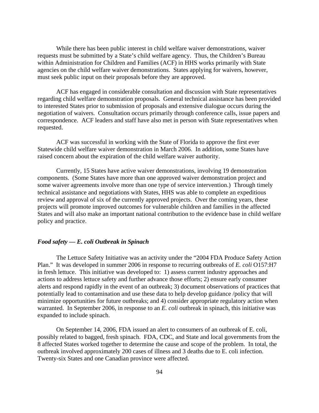While there has been public interest in child welfare waiver demonstrations, waiver requests must be submitted by a State's child welfare agency. Thus, the Children's Bureau within Administration for Children and Families (ACF) in HHS works primarily with State agencies on the child welfare waiver demonstrations. States applying for waivers, however, must seek public input on their proposals before they are approved.

ACF has engaged in considerable consultation and discussion with State representatives regarding child welfare demonstration proposals. General technical assistance has been provided to interested States prior to submission of proposals and extensive dialogue occurs during the negotiation of waivers. Consultation occurs primarily through conference calls, issue papers and correspondence. ACF leaders and staff have also met in person with State representatives when requested.

ACF was successful in working with the State of Florida to approve the first ever Statewide child welfare waiver demonstration in March 2006. In addition, some States have raised concern about the expiration of the child welfare waiver authority.

Currently, 15 States have active waiver demonstrations, involving 19 demonstration components. (Some States have more than one approved waiver demonstration project and some waiver agreements involve more than one type of service intervention.) Through timely technical assistance and negotiations with States, HHS was able to complete an expeditious review and approval of six of the currently approved projects. Over the coming years, these projects will promote improved outcomes for vulnerable children and families in the affected States and will also make an important national contribution to the evidence base in child welfare policy and practice.

#### *Food safety — E. coli Outbreak in Spinach*

The Lettuce Safety Initiative was an activity under the "2004 FDA Produce Safety Action Plan." It was developed in summer 2006 in response to recurring outbreaks of *E. coli* O157:H7 in fresh lettuce. This initiative was developed to: 1) assess current industry approaches and actions to address lettuce safety and further advance those efforts; 2) ensure early consumer alerts and respond rapidly in the event of an outbreak; 3) document observations of practices that potentially lead to contamination and use these data to help develop guidance /policy that will minimize opportunities for future outbreaks; and 4) consider appropriate regulatory action when warranted. In September 2006, in response to an *E. coli* outbreak in spinach, this initiative was expanded to include spinach.

On September 14, 2006, FDA issued an alert to consumers of an outbreak of E. coli, possibly related to bagged, fresh spinach. FDA, CDC, and State and local governments from the 8 affected States worked together to determine the cause and scope of the problem. In total, the outbreak involved approximately 200 cases of illness and 3 deaths due to E. coli infection. Twenty-six States and one Canadian province were affected.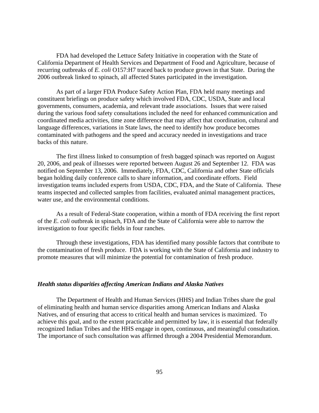FDA had developed the Lettuce Safety Initiative in cooperation with the State of California Department of Health Services and Department of Food and Agriculture, because of recurring outbreaks of *E. coli* O157:H7 traced back to produce grown in that State. During the 2006 outbreak linked to spinach, all affected States participated in the investigation.

As part of a larger FDA Produce Safety Action Plan, FDA held many meetings and constituent briefings on produce safety which involved FDA, CDC, USDA, State and local governments, consumers, academia, and relevant trade associations. Issues that were raised during the various food safety consultations included the need for enhanced communication and coordinated media activities, time zone difference that may affect that coordination, cultural and language differences, variations in State laws, the need to identify how produce becomes contaminated with pathogens and the speed and accuracy needed in investigations and trace backs of this nature.

The first illness linked to consumption of fresh bagged spinach was reported on August 20, 2006, and peak of illnesses were reported between August 26 and September 12. FDA was notified on September 13, 2006. Immediately, FDA, CDC, California and other State officials began holding daily conference calls to share information, and coordinate efforts. Field investigation teams included experts from USDA, CDC, FDA, and the State of California. These teams inspected and collected samples from facilities, evaluated animal management practices, water use, and the environmental conditions.

As a result of Federal-State cooperation, within a month of FDA receiving the first report of the *E. coli* outbreak in spinach, FDA and the State of California were able to narrow the investigation to four specific fields in four ranches.

Through these investigations, FDA has identified many possible factors that contribute to the contamination of fresh produce. FDA is working with the State of California and industry to promote measures that will minimize the potential for contamination of fresh produce.

#### *Health status disparities affecting American Indians and Alaska Natives*

The Department of Health and Human Services (HHS) and Indian Tribes share the goal of eliminating health and human service disparities among American Indians and Alaska Natives, and of ensuring that access to critical health and human services is maximized. To achieve this goal, and to the extent practicable and permitted by law, it is essential that federally recognized Indian Tribes and the HHS engage in open, continuous, and meaningful consultation. The importance of such consultation was affirmed through a 2004 Presidential Memorandum.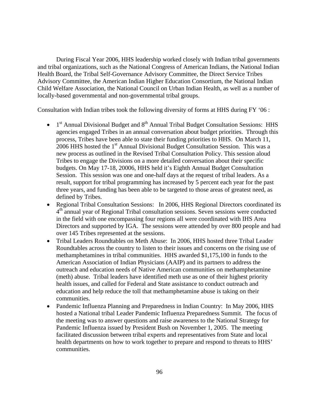During Fiscal Year 2006, HHS leadership worked closely with Indian tribal governments and tribal organizations, such as the National Congress of American Indians, the National Indian Health Board, the Tribal Self-Governance Advisory Committee, the Direct Service Tribes Advisory Committee, the American Indian Higher Education Consortium, the National Indian Child Welfare Association, the National Council on Urban Indian Health, as well as a number of locally-based governmental and non-governmental tribal groups.

Consultation with Indian tribes took the following diversity of forms at HHS during FY '06 :

- $\bullet$  1<sup>st</sup> Annual Divisional Budget and 8<sup>th</sup> Annual Tribal Budget Consultation Sessions: HHS agencies engaged Tribes in an annual conversation about budget priorities. Through this process, Tribes have been able to state their funding priorities to HHS. On March 11,  $2006$  HHS hosted the 1<sup>st</sup> Annual Divisional Budget Consultation Session. This was a new process as outlined in the Revised Tribal Consultation Policy. This session aloud Tribes to engage the Divisions on a more detailed conversation about their specific budgets. On May 17-18, 20006, HHS held it's Eighth Annual Budget Consultation Session. This session was one and one-half days at the request of tribal leaders. As a result, support for tribal programming has increased by 5 percent each year for the past three years, and funding has been able to be targeted to those areas of greatest need, as defined by Tribes.
- Regional Tribal Consultation Sessions: In 2006, HHS Regional Directors coordinated its  $4<sup>th</sup>$  annual year of Regional Tribal consultation sessions. Seven sessions were conducted in the field with one encompassing four regions all were coordinated with IHS Area Directors and supported by IGA. The sessions were attended by over 800 people and had over 145 Tribes represented at the sessions.
- Tribal Leaders Roundtables on Meth Abuse: In 2006, HHS hosted three Tribal Leader Roundtables across the country to listen to their issues and concerns on the rising use of methamphetamines in tribal communities. HHS awarded \$1,175,100 in funds to the American Association of Indian Physicians (AAIP) and its partners to address the outreach and education needs of Native American communities on methamphetamine (meth) abuse. Tribal leaders have identified meth use as one of their highest priority health issues, and called for Federal and State assistance to conduct outreach and education and help reduce the toll that methamphetamine abuse is taking on their communities.
- Pandemic Influenza Planning and Preparedness in Indian Country: In May 2006, HHS hosted a National tribal Leader Pandemic Influenza Preparedness Summit. The focus of the meeting was to answer questions and raise awareness to the National Strategy for Pandemic Influenza issued by President Bush on November 1, 2005. The meeting facilitated discussion between tribal experts and representatives from State and local health departments on how to work together to prepare and respond to threats to HHS' communities.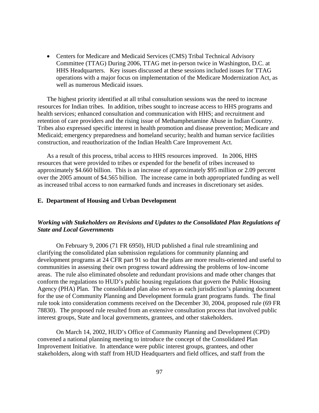• Centers for Medicare and Medicaid Services (CMS) Tribal Technical Advisory Committee (TTAG) During 2006, TTAG met in-person twice in Washington, D.C. at HHS Headquarters. Key issues discussed at these sessions included issues for TTAG operations with a major focus on implementation of the Medicare Modernization Act, as well as numerous Medicaid issues.

The highest priority identified at all tribal consultation sessions was the need to increase resources for Indian tribes. In addition, tribes sought to increase access to HHS programs and health services; enhanced consultation and communication with HHS; and recruitment and retention of care providers and the rising issue of Methamphetamine Abuse in Indian Country. Tribes also expressed specific interest in health promotion and disease prevention; Medicare and Medicaid; emergency preparedness and homeland security; health and human service facilities construction, and reauthorization of the Indian Health Care Improvement Act.

As a result of this process, tribal access to HHS resources improved. In 2006, HHS resources that were provided to tribes or expended for the benefit of tribes increased to approximately \$4.660 billion. This is an increase of approximately \$95 million or 2.09 percent over the 2005 amount of \$4.565 billion. The increase came in both appropriated funding as well as increased tribal access to non earmarked funds and increases in discretionary set asides.

#### **E. Department of Housing and Urban Development**

## *Working with Stakeholders on Revisions and Updates to the Consolidated Plan Regulations of State and Local Governments*

 On February 9, 2006 (71 FR 6950), HUD published a final rule streamlining and clarifying the consolidated plan submission regulations for community planning and development programs at 24 CFR part 91 so that the plans are more results-oriented and useful to communities in assessing their own progress toward addressing the problems of low-income areas. The rule also eliminated obsolete and redundant provisions and made other changes that conform the regulations to HUD's public housing regulations that govern the Public Housing Agency (PHA) Plan. The consolidated plan also serves as each jurisdiction's planning document for the use of Community Planning and Development formula grant programs funds. The final rule took into consideration comments received on the December 30, 2004, proposed rule (69 FR 78830). The proposed rule resulted from an extensive consultation process that involved public interest groups, State and local governments, grantees, and other stakeholders.

On March 14, 2002, HUD's Office of Community Planning and Development (CPD) convened a national planning meeting to introduce the concept of the Consolidated Plan Improvement Initiative. In attendance were public interest groups, grantees, and other stakeholders, along with staff from HUD Headquarters and field offices, and staff from the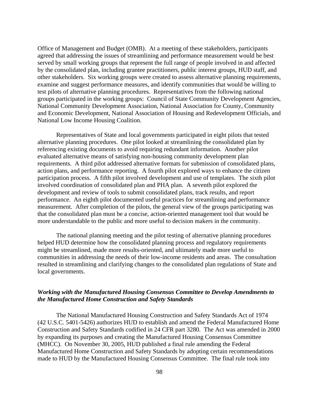Office of Management and Budget (OMB). At a meeting of these stakeholders, participants agreed that addressing the issues of streamlining and performance measurement would be best served by small working groups that represent the full range of people involved in and affected by the consolidated plan, including grantee practitioners, public interest groups, HUD staff, and other stakeholders. Six working groups were created to assess alternative planning requirements, examine and suggest performance measures, and identify communities that would be willing to test pilots of alternative planning procedures. Representatives from the following national groups participated in the working groups: Council of State Community Development Agencies, National Community Development Association, National Association for County, Community and Economic Development, National Association of Housing and Redevelopment Officials, and National Low Income Housing Coalition.

 Representatives of State and local governments participated in eight pilots that tested alternative planning procedures. One pilot looked at streamlining the consolidated plan by referencing existing documents to avoid requiring redundant information. Another pilot evaluated alternative means of satisfying non-housing community development plan requirements. A third pilot addressed alternative formats for submission of consolidated plans, action plans, and performance reporting. A fourth pilot explored ways to enhance the citizen participation process. A fifth pilot involved development and use of templates. The sixth pilot involved coordination of consolidated plan and PHA plan. A seventh pilot explored the development and review of tools to submit consolidated plans, track results, and report performance. An eighth pilot documented useful practices for streamlining and performance measurement. After completion of the pilots, the general view of the groups participating was that the consolidated plan must be a concise, action-oriented management tool that would be more understandable to the public and more useful to decision makers in the community.

 The national planning meeting and the pilot testing of alternative planning procedures helped HUD determine how the consolidated planning process and regulatory requirements might be streamlined, made more results-oriented, and ultimately made more useful to communities in addressing the needs of their low-income residents and areas. The consultation resulted in streamlining and clarifying changes to the consolidated plan regulations of State and local governments.

## *Working with the Manufactured Housing Consensus Committee to Develop Amendments to the Manufactured Home Construction and Safety Standards*

 The National Manufactured Housing Construction and Safety Standards Act of 1974 (42 U.S.C. 5401-5426) authorizes HUD to establish and amend the Federal Manufactured Home Construction and Safety Standards codified in 24 CFR part 3280. The Act was amended in 2000 by expanding its purposes and creating the Manufactured Housing Consensus Committee (MHCC). On November 30, 2005, HUD published a final rule amending the Federal Manufactured Home Construction and Safety Standards by adopting certain recommendations made to HUD by the Manufactured Housing Consensus Committee. The final rule took into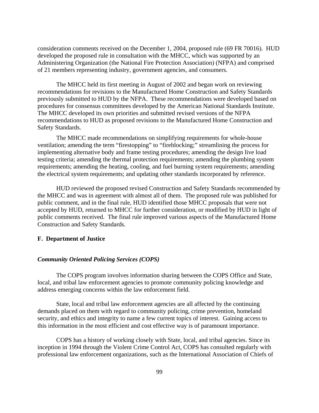consideration comments received on the December 1, 2004, proposed rule (69 FR 70016). HUD developed the proposed rule in consultation with the MHCC, which was supported by an Administering Organization (the National Fire Protection Association) (NFPA) and comprised of 21 members representing industry, government agencies, and consumers.

The MHCC held its first meeting in August of 2002 and began work on reviewing recommendations for revisions to the Manufactured Home Construction and Safety Standards previously submitted to HUD by the NFPA. These recommendations were developed based on procedures for consensus committees developed by the American National Standards Institute. The MHCC developed its own priorities and submitted revised versions of the NFPA recommendations to HUD as proposed revisions to the Manufactured Home Construction and Safety Standards.

 The MHCC made recommendations on simplifying requirements for whole-house ventilation; amending the term "firestopping" to "fireblocking;" streamlining the process for implementing alternative body and frame testing procedures; amending the design live load testing criteria; amending the thermal protection requirements; amending the plumbing system requirements; amending the heating, cooling, and fuel burning system requirements; amending the electrical system requirements; and updating other standards incorporated by reference.

 HUD reviewed the proposed revised Construction and Safety Standards recommended by the MHCC and was in agreement with almost all of them. The proposed rule was published for public comment, and in the final rule, HUD identified those MHCC proposals that were not accepted by HUD, returned to MHCC for further consideration, or modified by HUD in light of public comments received. The final rule improved various aspects of the Manufactured Home Construction and Safety Standards.

#### **F. Department of Justice**

#### *Community Oriented Policing Services (COPS)*

The COPS program involves information sharing between the COPS Office and State, local, and tribal law enforcement agencies to promote community policing knowledge and address emerging concerns within the law enforcement field.

State, local and tribal law enforcement agencies are all affected by the continuing demands placed on them with regard to community policing, crime prevention, homeland security, and ethics and integrity to name a few current topics of interest. Gaining access to this information in the most efficient and cost effective way is of paramount importance.

 COPS has a history of working closely with State, local, and tribal agencies. Since its inception in 1994 through the Violent Crime Control Act, COPS has consulted regularly with professional law enforcement organizations, such as the International Association of Chiefs of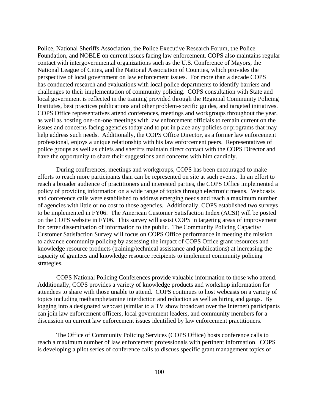Police, National Sheriffs Association, the Police Executive Research Forum, the Police Foundation, and NOBLE on current issues facing law enforcement. COPS also maintains regular contact with intergovernmental organizations such as the U.S. Conference of Mayors, the National League of Cities, and the National Association of Counties, which provides the perspective of local government on law enforcement issues. For more than a decade COPS has conducted research and evaluations with local police departments to identify barriers and challenges to their implementation of community policing. COPS consultation with State and local government is reflected in the training provided through the Regional Community Policing Institutes, best practices publications and other problem-specific guides, and targeted initiatives. COPS Office representatives attend conferences, meetings and workgroups throughout the year, as well as hosting one-on-one meetings with law enforcement officials to remain current on the issues and concerns facing agencies today and to put in place any policies or programs that may help address such needs. Additionally, the COPS Office Director, as a former law enforcement professional, enjoys a unique relationship with his law enforcement peers. Representatives of police groups as well as chiefs and sheriffs maintain direct contact with the COPS Director and have the opportunity to share their suggestions and concerns with him candidly.

 During conferences, meetings and workgroups, COPS has been encouraged to make efforts to reach more participants than can be represented on site at such events. In an effort to reach a broader audience of practitioners and interested parties, the COPS Office implemented a policy of providing information on a wide range of topics through electronic means. Webcasts and conference calls were established to address emerging needs and reach a maximum number of agencies with little or no cost to those agencies. Additionally, COPS established two surveys to be implemented in FY06. The American Customer Satisfaction Index (ACSI) will be posted on the COPS website in FY06. This survey will assist COPS in targeting areas of improvement for better dissemination of information to the public. The Community Policing Capacity/ Customer Satisfaction Survey will focus on COPS Office performance in meeting the mission to advance community policing by assessing the impact of COPS Office grant resources and knowledge resource products (training/technical assistance and publications) at increasing the capacity of grantees and knowledge resource recipients to implement community policing strategies.

COPS National Policing Conferences provide valuable information to those who attend. Additionally, COPS provides a variety of knowledge products and workshop information for attendees to share with those unable to attend. COPS continues to host webcasts on a variety of topics including methamphetamine interdiction and reduction as well as hiring and gangs. By logging into a designated webcast (similar to a TV show broadcast over the Internet) participants can join law enforcement officers, local government leaders, and community members for a discussion on current law enforcement issues identified by law enforcement practitioners.

The Office of Community Policing Services (COPS Office) hosts conference calls to reach a maximum number of law enforcement professionals with pertinent information. COPS is developing a pilot series of conference calls to discuss specific grant management topics of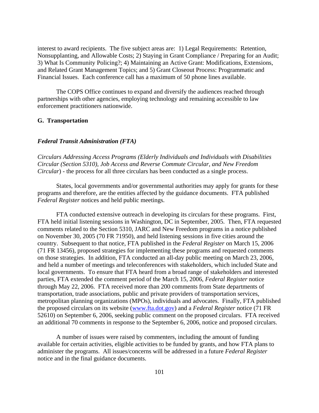interest to award recipients. The five subject areas are: 1) Legal Requirements: Retention, Nonsupplanting, and Allowable Costs; 2) Staying in Grant Compliance / Preparing for an Audit; 3) What Is Community Policing?; 4) Maintaining an Active Grant: Modifications, Extensions, and Related Grant Management Topics; and 5) Grant Closeout Process: Programmatic and Financial Issues. Each conference call has a maximum of 50 phone lines available.

The COPS Office continues to expand and diversify the audiences reached through partnerships with other agencies, employing technology and remaining accessible to law enforcement practitioners nationwide.

#### **G. Transportation**

#### *Federal Transit Administration (FTA)*

*Circulars Addressing Access Programs (Elderly Individuals and Individuals with Disabilities Circular (Section 5310), Job Access and Reverse Commute Circular, and New Freedom Circular*) - the process for all three circulars has been conducted as a single process.

States, local governments and/or governmental authorities may apply for grants for these programs and therefore, are the entities affected by the guidance documents. FTA published *Federal Register* notices and held public meetings.

FTA conducted extensive outreach in developing its circulars for these programs. First, FTA held initial listening sessions in Washington, DC in September, 2005. Then, FTA requested comments related to the Section 5310, JARC and New Freedom programs in a notice published on November 30, 2005 (70 FR 71950), and held listening sessions in five cities around the country. Subsequent to that notice, FTA published in the *Federal Register* on March 15, 2006 (71 FR 13456), proposed strategies for implementing these programs and requested comments on those strategies. In addition, FTA conducted an all-day public meeting on March 23, 2006, and held a number of meetings and teleconferences with stakeholders, which included State and local governments. To ensure that FTA heard from a broad range of stakeholders and interested parties, FTA extended the comment period of the March 15, 2006, *Federal Register* notice through May 22, 2006. FTA received more than 200 comments from State departments of transportation, trade associations, public and private providers of transportation services, metropolitan planning organizations (MPOs), individuals and advocates. Finally, FTA published the proposed circulars on its website ([www.fta.dot.gov\)](http://www.fta.dot.gov/) and a *Federal Register* notice (71 FR 52610) on September 6, 2006, seeking public comment on the proposed circulars. FTA received an additional 70 comments in response to the September 6, 2006, notice and proposed circulars.

A number of issues were raised by commenters, including the amount of funding available for certain activities, eligible activities to be funded by grants, and how FTA plans to administer the programs. All issues/concerns will be addressed in a future *Federal Register* notice and in the final guidance documents.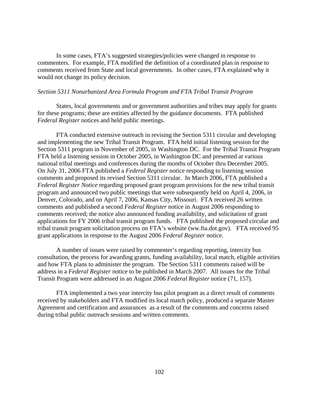In some cases, FTA's suggested strategies/policies were changed in response to commenters. For example, FTA modified the definition of a coordinated plan in response to comments received from State and local governments. In other cases, FTA explained why it would not change its policy decision.

#### *Section 5311 Nonurbanized Area Formula Program and FTA Tribal Transit Program*

States, local governments and or government authorities and tribes may apply for grants for these programs; these are entities affected by the guidance documents. FTA published *Federal Register* notices and held public meetings.

FTA conducted extensive outreach in revising the Section 5311 circular and developing and implementing the new Tribal Transit Program. FTA held initial listening session for the Section 5311 program in November of 2005, in Washington DC. For the Tribal Transit Program FTA held a listening session in October 2005, in Washington DC and presented at various national tribal meetings and conferences during the months of October thru December 2005. On July 31, 2006 FTA published a *Federal Register* notice responding to listening session comments and proposed its revised Section 5311 circular. In March 2006, FTA published a *Federal Register Notice* regarding proposed grant program provisions for the new tribal transit program and announced two public meetings that were subsequently held on April 4, 2006, in Denver, Colorado, and on April 7, 2006, Kansas City, Missouri. FTA received 26 written comments and published a second *Federal Register* notice in August 2006 responding to comments received; the notice also announced funding availability, and solicitation of grant applications for FY 2006 tribal transit program funds. FTA published the proposed circular and tribal transit program solicitation process on FTA's website (ww.fta.dot.gov). FTA received 95 grant applications in response to the August 2006 *Federal Register* notice.

A number of issues were raised by commenter's regarding reporting, intercity bus consultation, the process for awarding grants, funding availability, local match, eligible activities and how FTA plans to administer the program. The Section 5311 comments raised will be address in a *Federal Register* notice to be published in March 2007. All issues for the Tribal Transit Program were addressed in an August 2006 *Federal Register* notice (71, 157).

FTA implemented a two year intercity bus pilot program as a direct result of comments received by stakeholders and FTA modified its local match policy, produced a separate Master Agreement and certification and assurances as a result of the comments and concerns raised during tribal public outreach sessions and written comments.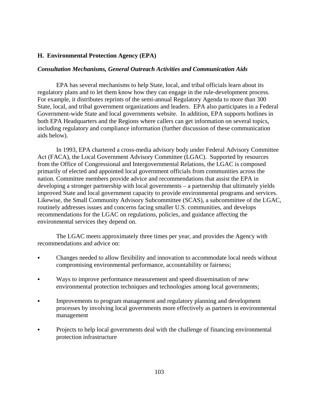## **H. Environmental Protection Agency (EPA)**

## *Consultation Mechanisms, General Outreach Activities and Communication Aids*

 EPA has several mechanisms to help State, local, and tribal officials learn about its regulatory plans and to let them know how they can engage in the rule-development process. For example, it distributes reprints of the semi-annual Regulatory Agenda to more than 300 State, local, and tribal government organizations and leaders. EPA also participates in a Federal Government-wide State and local governments website. In addition, EPA supports hotlines in both EPA Headquarters and the Regions where callers can get information on several topics, including regulatory and compliance information (further discussion of these communication aids below).

 In 1993, EPA chartered a cross-media advisory body under Federal Advisory Committee Act (FACA), the Local Government Advisory Committee (LGAC). Supported by resources from the Office of Congressional and Intergovernmental Relations, the LGAC is composed primarily of elected and appointed local government officials from communities across the nation. Committee members provide advice and recommendations that assist the EPA in developing a stronger partnership with local governments – a partnership that ultimately yields improved State and local government capacity to provide environmental programs and services. Likewise, the Small Community Advisory Subcommittee (SCAS), a subcommittee of the LGAC, routinely addresses issues and concerns facing smaller U.S. communities, and develops recommendations for the LGAC on regulations, policies, and guidance affecting the environmental services they depend on.

 The LGAC meets approximately three times per year, and provides the Agency with recommendations and advice on:

- Changes needed to allow flexibility and innovation to accommodate local needs without compromising environmental performance, accountability or fairness;
- Ways to improve performance measurement and speed dissemination of new environmental protection techniques and technologies among local governments;
- Improvements to program management and regulatory planning and development processes by involving local governments more effectively as partners in environmental management
- Projects to help local governments deal with the challenge of financing environmental protection infrastructure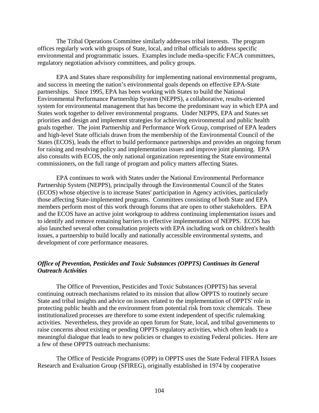The Tribal Operations Committee similarly addresses tribal interests. The program offices regularly work with groups of State, local, and tribal officials to address specific environmental and programmatic issues. Examples include media-specific FACA committees, regulatory negotiation advisory committees, and policy groups.

 EPA and States share responsibility for implementing national environmental programs, and success in meeting the nation's environmental goals depends on effective EPA-State partnerships. Since 1995, EPA has been working with States to build the National Environmental Performance Partnership System (NEPPS), a collaborative, results-oriented system for environmental management that has become the predominant way in which EPA and States work together to deliver environmental programs. Under NEPPS, EPA and States set priorities and design and implement strategies for achieving environmental and public health goals together. The joint Partnership and Performance Work Group, comprised of EPA leaders and high-level State officials drawn from the membership of the Environmental Council of the States (ECOS), leads the effort to build performance partnerships and provides an ongoing forum for raising and resolving policy and implementation issues and improve joint planning. EPA also consults with ECOS, the only national organization representing the State environmental commissioners, on the full range of program and policy matters affecting States.

 EPA continues to work with States under the National Environmental Performance Partnership System (NEPPS), principally through the Environmental Council of the States (ECOS) whose objective is to increase States' participation in Agency activities, particularly those affecting State-implemented programs. Committees consisting of both State and EPA members perform most of this work through forums that are open to other stakeholders. EPA and the ECOS have an active joint workgroup to address continuing implementation issues and to identify and remove remaining barriers to effective implementation of NEPPS. ECOS has also launched several other consultation projects with EPA including work on children's health issues, a partnership to build locally and nationally accessible environmental systems, and development of core performance measures.

## *Office of Prevention, Pesticides and Toxic Substances (OPPTS) Continues its General Outreach Activities*

The Office of Prevention, Pesticides and Toxic Substances (OPPTS) has several continuing outreach mechanisms related to its mission that allow OPPTS to routinely secure State and tribal insights and advice on issues related to the implementation of OPPTS' role in protecting public health and the environment from potential risk from toxic chemicals. These institutionalized processes are therefore to some extent independent of specific rulemaking activities. Nevertheless, they provide an open forum for State, local, and tribal governments to raise concerns about existing or pending OPPTS regulatory activities, which often leads to a meaningful dialogue that leads to new policies or changes to existing Federal policies. Here are a few of these OPPTS outreach mechanisms:

The Office of Pesticide Programs (OPP) in OPPTS uses the State Federal FIFRA Issues Research and Evaluation Group (SFIREG), originally established in 1974 by cooperative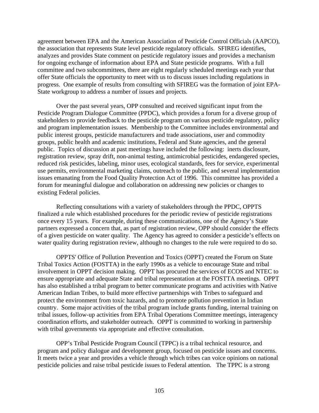agreement between EPA and the American Association of Pesticide Control Officials (AAPCO), the association that represents State level pesticide regulatory officials. SFIREG identifies, analyzes and provides State comment on pesticide regulatory issues and provides a mechanism for ongoing exchange of information about EPA and State pesticide programs. With a full committee and two subcommittees, there are eight regularly scheduled meetings each year that offer State officials the opportunity to meet with us to discuss issues including regulations in progress. One example of results from consulting with SFIREG was the formation of joint EPA-State workgroup to address a number of issues and projects.

Over the past several years, OPP consulted and received significant input from the Pesticide Program Dialogue Committee (PPDC), which provides a forum for a diverse group of stakeholders to provide feedback to the pesticide program on various pesticide regulatory, policy and program implementation issues. Membership to the Committee includes environmental and public interest groups, pesticide manufacturers and trade associations, user and commodity groups, public health and academic institutions, Federal and State agencies, and the general public. Topics of discussion at past meetings have included the following: inerts disclosure, registration review, spray drift, non-animal testing, antimicrobial pesticides, endangered species, reduced risk pesticides, labeling, minor uses, ecological standards, fees for service, experimental use permits, environmental marketing claims, outreach to the public, and several implementation issues emanating from the Food Quality Protection Act of 1996. This committee has provided a forum for meaningful dialogue and collaboration on addressing new policies or changes to existing Federal policies.

Reflecting consultations with a variety of stakeholders through the PPDC, OPPTS finalized a rule which established procedures for the periodic review of pesticide registrations once every 15 years. For example, during these communications, one of the Agency's State partners expressed a concern that, as part of registration review, OPP should consider the effects of a given pesticide on water quality. The Agency has agreed to consider a pesticide's effects on water quality during registration review, although no changes to the rule were required to do so.

 OPPTS' Office of Pollution Prevention and Toxics (OPPT) created the Forum on State Tribal Toxics Action (FOSTTA) in the early 1990s as a vehicle to encourage State and tribal involvement in OPPT decision making. OPPT has procured the services of ECOS and NTEC to ensure appropriate and adequate State and tribal representation at the FOSTTA meetings. OPPT has also established a tribal program to better communicate programs and activities with Native American Indian Tribes, to build more effective partnerships with Tribes to safeguard and protect the environment from toxic hazards, and to promote pollution prevention in Indian country. Some major activities of the tribal program include grants funding, internal training on tribal issues, follow-up activities from EPA Tribal Operations Committee meetings, interagency coordination efforts, and stakeholder outreach. OPPT is committed to working in partnership with tribal governments via appropriate and effective consultation.

OPP's Tribal Pesticide Program Council (TPPC) is a tribal technical resource, and program and policy dialogue and development group, focused on pesticide issues and concerns. It meets twice a year and provides a vehicle through which tribes can voice opinions on national pesticide policies and raise tribal pesticide issues to Federal attention. The TPPC is a strong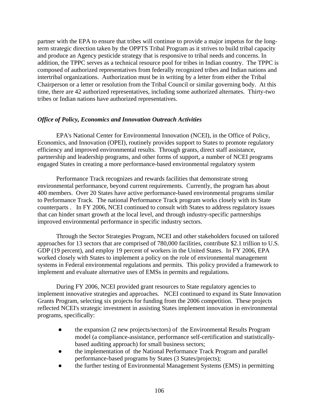partner with the EPA to ensure that tribes will continue to provide a major impetus for the longterm strategic direction taken by the OPPTS Tribal Program as it strives to build tribal capacity and produce an Agency pesticide strategy that is responsive to tribal needs and concerns. In addition, the TPPC serves as a technical resource pool for tribes in Indian country. The TPPC is composed of authorized representatives from federally recognized tribes and Indian nations and intertribal organizations. Authorization must be in writing by a letter from either the Tribal Chairperson or a letter or resolution from the Tribal Council or similar governing body. At this time, there are 42 authorized representatives, including some authorized alternates. Thirty-two tribes or Indian nations have authorized representatives.

# *Office of Policy, Economics and Innovation Outreach Activities*

EPA's National Center for Environmental Innovation (NCEI), in the Office of Policy, Economics, and Innovation (OPEI), routinely provides support to States to promote regulatory efficiency and improved environmental results. Through grants, direct staff assistance, partnership and leadership programs, and other forms of support, a number of NCEI programs engaged States in creating a more performance-based environmental regulatory system

 Performance Track recognizes and rewards facilities that demonstrate strong environmental performance, beyond current requirements. Currently, the program has about 400 members. Over 20 States have active performance-based environmental programs similar to Performance Track. The national Performance Track program works closely with its State counterparts . In FY 2006, NCEI continued to consult with States to address regulatory issues that can hinder smart growth at the local level, and through industry-specific partnerships improved environmental performance in specific industry sectors.

Through the Sector Strategies Program, NCEI and other stakeholders focused on tailored approaches for 13 sectors that are comprised of 780,000 facilities, contribute \$2.1 trillion to U.S. GDP (19 percent), and employ 19 percent of workers in the United States. In FY 2006, EPA worked closely with States to implement a policy on the role of environmental management systems in Federal environmental regulations and permits. This policy provided a framework to implement and evaluate alternative uses of EMSs in permits and regulations.

 During FY 2006, NCEI provided grant resources to State regulatory agencies to implement innovative strategies and approaches. NCEI continued to expand its State Innovation Grants Program, selecting six projects for funding from the 2006 competition. These projects reflected NCEI's strategic investment in assisting States implement innovation in environmental programs, specifically:

- the expansion (2 new projects/sectors) of the Environmental Results Program model (a compliance-assistance, performance self-certification and statisticallybased auditing approach) for small business sectors;
- the implementation of the National Performance Track Program and parallel performance-based programs by States (3 States/projects);
- the further testing of Environmental Management Systems (EMS) in permitting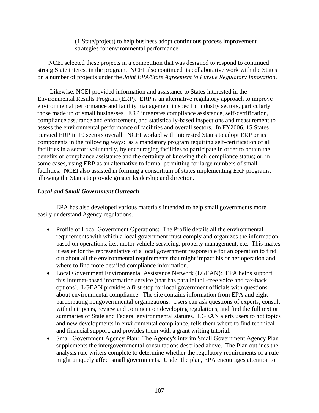(1 State/project) to help business adopt continuous process improvement strategies for environmental performance.

 NCEI selected these projects in a competition that was designed to respond to continued strong State interest in the program. NCEI also continued its collaborative work with the States on a number of projects under the *Joint EPA/State Agreement to Pursue Regulatory Innovation*.

 Likewise, NCEI provided information and assistance to States interested in the Environmental Results Program (ERP). ERP is an alternative regulatory approach to improve environmental performance and facility management in specific industry sectors, particularly those made up of small businesses. ERP integrates compliance assistance, self-certification, compliance assurance and enforcement, and statistically-based inspections and measurement to assess the environmental performance of facilities and overall sectors. In FY2006, 15 States pursued ERP in 10 sectors overall. NCEI worked with interested States to adopt ERP or its components in the following ways: as a mandatory program requiring self-certification of all facilities in a sector; voluntarily, by encouraging facilities to participate in order to obtain the benefits of compliance assistance and the certainty of knowing their compliance status; or, in some cases, using ERP as an alternative to formal permitting for large numbers of small facilities. NCEI also assisted in forming a consortium of states implementing ERP programs, allowing the States to provide greater leadership and direction.

# *Local and Small Government Outreach*

 EPA has also developed various materials intended to help small governments more easily understand Agency regulations.

- Profile of Local Government Operations: The Profile details all the environmental requirements with which a local government must comply and organizes the information based on operations, i.e., motor vehicle servicing, property management, etc. This makes it easier for the representative of a local government responsible for an operation to find out about all the environmental requirements that might impact his or her operation and where to find more detailed compliance information.
- Local Government Environmental Assistance Network (LGEAN): EPA helps support this Internet-based information service (that has parallel toll-free voice and fax-back options). LGEAN provides a first stop for local government officials with questions about environmental compliance. The site contains information from EPA and eight participating nongovernmental organizations. Users can ask questions of experts, consult with their peers, review and comment on developing regulations, and find the full text or summaries of State and Federal environmental statutes. LGEAN alerts users to hot topics and new developments in environmental compliance, tells them where to find technical and financial support, and provides them with a grant writing tutorial.
- Small Government Agency Plan: The Agency's interim Small Government Agency Plan supplements the intergovernmental consultations described above. The Plan outlines the analysis rule writers complete to determine whether the regulatory requirements of a rule might uniquely affect small governments. Under the plan, EPA encourages attention to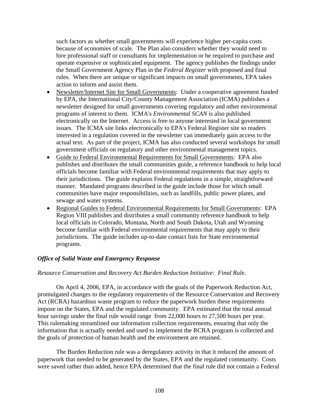such factors as whether small governments will experience higher per-capita costs because of economies of scale. The Plan also considers whether they would need to hire professional staff or consultants for implementation or be required to purchase and operate expensive or sophisticated equipment. The agency publishes the findings under the Small Government Agency Plan in the *Federal Register* with proposed and final rules. When there are unique or significant impacts on small governments, EPA takes action to inform and assist them.

- Newsletter/Internet Site for Small Governments: Under a cooperative agreement funded by EPA, the International City/County Management Association (ICMA) publishes a newsletter designed for small governments covering regulatory and other environmental programs of interest to them. ICMA's *Environmental SCAN* is also published electronically on the Internet. Access is free to anyone interested in local government issues. The ICMA site links electronically to EPA's Federal Register site so readers interested in a regulation covered in the newsletter can immediately gain access to the actual text. As part of the project, ICMA has also conducted several workshops for small government officials on regulatory and other environmental management topics.
- Guide to Federal Environmental Requirements for Small Governments: EPA also publishes and distributes the small communities guide, a reference handbook to help local officials become familiar with Federal environmental requirements that may apply to their jurisdictions. The guide explains Federal regulations in a simple, straightforward manner. Mandated programs described in the guide include those for which small communities have major responsibilities, such as landfills, public power plants, and sewage and water systems.
- Regional Guides to Federal Environmental Requirements for Small Governments: EPA Region VIII publishes and distributes a small community reference handbook to help local officials in Colorado, Montana, North and South Dakota, Utah and Wyoming become familiar with Federal environmental requirements that may apply to their jurisdictions. The guide includes up-to-date contact lists for State environmental programs.

## *Office of Solid Waste and Emergency Response*

#### *Resource Conservation and Recovery Act Burden Reduction Initiative: Final Rule.*

On April 4, 2006, EPA, in accordance with the goals of the Paperwork Reduction Act, promulgated changes to the regulatory requirements of the Resource Conservation and Recovery Act (RCRA) hazardous waste program to reduce the paperwork burden these requirements impose on the States, EPA and the regulated community. EPA estimated that the total annual hour savings under the final rule would range from 22,000 hours to 27,500 hours per year. This rulemaking streamlined our information collection requirements, ensuring that only the information that is actually needed and used to implement the RCRA program is collected and the goals of protection of human health and the environment are retained.

The Burden Reduction rule was a deregulatory activity in that it reduced the amount of paperwork that needed to be generated by the States, EPA and the regulated community. Costs were saved rather than added, hence EPA determined that the final rule did not contain a Federal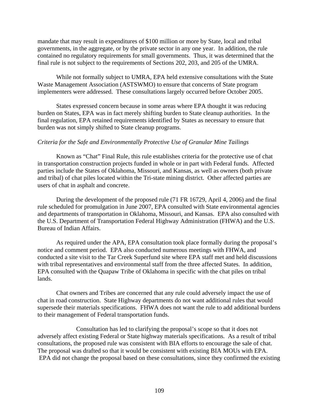mandate that may result in expenditures of \$100 million or more by State, local and tribal governments, in the aggregate, or by the private sector in any one year. In addition, the rule contained no regulatory requirements for small governments. Thus, it was determined that the final rule is not subject to the requirements of Sections 202, 203, and 205 of the UMRA.

While not formally subject to UMRA, EPA held extensive consultations with the State Waste Management Association (ASTSWMO) to ensure that concerns of State program implementers were addressed. These consultations largely occurred before October 2005.

States expressed concern because in some areas where EPA thought it was reducing burden on States, EPA was in fact merely shifting burden to State cleanup authorities. In the final regulation, EPA retained requirements identified by States as necessary to ensure that burden was not simply shifted to State cleanup programs.

#### *Criteria for the Safe and Environmentally Protective Use of Granular Mine Tailings*

Known as "Chat" Final Rule, this rule establishes criteria for the protective use of chat in transportation construction projects funded in whole or in part with Federal funds. Affected parties include the States of Oklahoma, Missouri, and Kansas, as well as owners (both private and tribal) of chat piles located within the Tri-state mining district. Other affected parties are users of chat in asphalt and concrete.

During the development of the proposed rule (71 FR 16729, April 4, 2006) and the final rule scheduled for promulgation in June 2007, EPA consulted with State environmental agencies and departments of transportation in Oklahoma, Missouri, and Kansas. EPA also consulted with the U.S. Department of Transportation Federal Highway Administration (FHWA) and the U.S. Bureau of Indian Affairs.

As required under the APA, EPA consultation took place formally during the proposal's notice and comment period. EPA also conducted numerous meetings with FHWA, and conducted a site visit to the Tar Creek Superfund site where EPA staff met and held discussions with tribal representatives and environmental staff from the three affected States. In addition, EPA consulted with the Quapaw Tribe of Oklahoma in specific with the chat piles on tribal lands.

Chat owners and Tribes are concerned that any rule could adversely impact the use of chat in road construction. State Highway departments do not want additional rules that would supersede their materials specifications. FHWA does not want the rule to add additional burdens to their management of Federal transportation funds.

Consultation has led to clarifying the proposal's scope so that it does not adversely affect existing Federal or State highway materials specifications. As a result of tribal consultations, the proposed rule was consistent with BIA efforts to encourage the sale of chat. The proposal was drafted so that it would be consistent with existing BIA MOUs with EPA. EPA did not change the proposal based on these consultations, since they confirmed the existing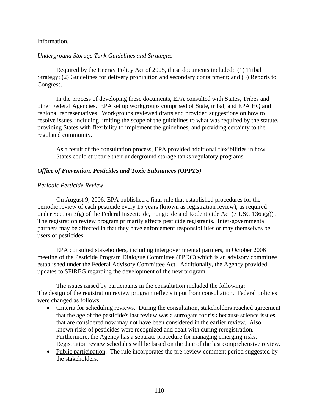### information.

#### *Underground Storage Tank Guidelines and Strategies*

Required by the Energy Policy Act of 2005, these documents included: (1) Tribal Strategy; (2) Guidelines for delivery prohibition and secondary containment; and (3) Reports to Congress.

In the process of developing these documents, EPA consulted with States, Tribes and other Federal Agencies. EPA set up workgroups comprised of State, tribal, and EPA HQ and regional representatives. Workgroups reviewed drafts and provided suggestions on how to resolve issues, including limiting the scope of the guidelines to what was required by the statute, providing States with flexibility to implement the guidelines, and providing certainty to the regulated community.

As a result of the consultation process, EPA provided additional flexibilities in how States could structure their underground storage tanks regulatory programs.

#### *Office of Prevention, Pesticides and Toxic Substances (OPPTS)*

#### *Periodic Pesticide Review*

On August 9, 2006, EPA published a final rule that established procedures for the periodic review of each pesticide every 15 years (known as registration review), as required under Section  $3(g)$  of the Federal Insecticide, Fungicide and Rodenticide Act (7 USC 136a(g)). The registration review program primarily affects pesticide registrants. Inter-governmental partners may be affected in that they have enforcement responsibilities or may themselves be users of pesticides.

EPA consulted stakeholders, including intergovernmental partners, in October 2006 meeting of the Pesticide Program Dialogue Committee (PPDC) which is an advisory committee established under the Federal Advisory Committee Act. Additionally, the Agency provided updates to SFIREG regarding the development of the new program.

The issues raised by participants in the consultation included the following; The design of the registration review program reflects input from consultation. Federal policies were changed as follows:

- Criteria for scheduling reviews. During the consultation, stakeholders reached agreement that the age of the pesticide's last review was a surrogate for risk because science issues that are considered now may not have been considered in the earlier review. Also, known risks of pesticides were recognized and dealt with during reregistration. Furthermore, the Agency has a separate procedure for managing emerging risks. Registration review schedules will be based on the date of the last comprehensive review.
- Public participation. The rule incorporates the pre-review comment period suggested by the stakeholders.